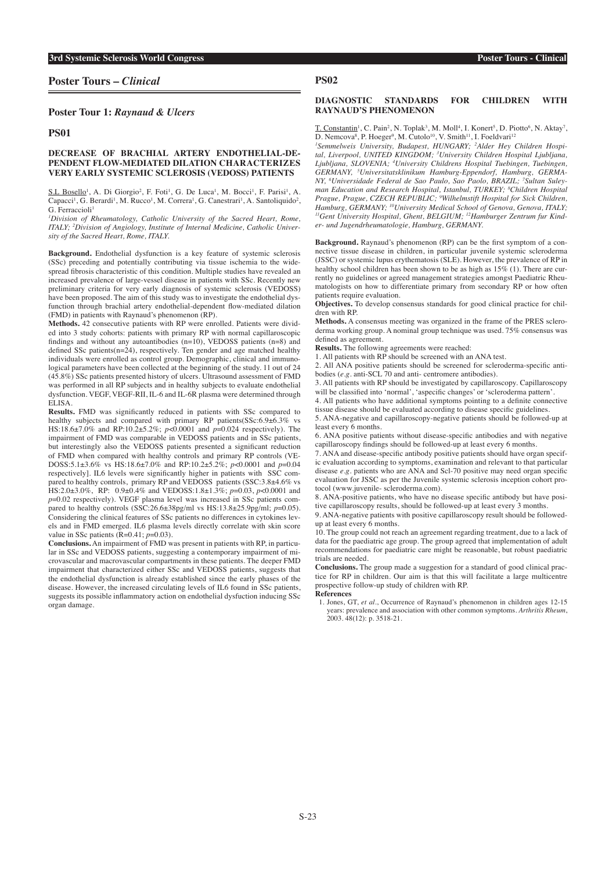**Poster Tours –** *Clinical*

### **Poster Tour 1:** *Raynaud & Ulcers*

**PS01**

### **DECREASE OF BRACHIAL ARTERY ENDOTHELIAL-DE-PENDENT FLOW-MEDIATED DILATION CHARACTERIZES VERY EARLY SYSTEMIC SCLEROSIS (VEDOSS) PATIENTS**

S.L Bosello<sup>1</sup>, A. Di Giorgio<sup>2</sup>, F. Foti<sup>1</sup>, G. De Luca<sup>1</sup>, M. Bocci<sup>1</sup>, F. Parisi<sup>1</sup>, A. Capacci<sup>1</sup>, G. Berardi<sup>1</sup>, M. Rucco<sup>1</sup>, M. Correra<sup>1</sup>, G. Canestrari<sup>1</sup>, A. Santoliquido<sup>2</sup>, G. Ferraccioli<sup>1</sup>

*1 Division of Rheumatology, Catholic University of the Sacred Heart, Rome, ITALY; 2 Division of Angiology, Institute of Internal Medicine, Catholic University of the Sacred Heart, Rome, ITALY.*

**Background.** Endothelial dysfunction is a key feature of systemic sclerosis (SSc) preceding and potentially contributing via tissue ischemia to the widespread fibrosis characteristic of this condition. Multiple studies have revealed an increased prevalence of large-vessel disease in patients with SSc. Recently new preliminary criteria for very early diagnosis of systemic sclerosis (VEDOSS) have been proposed. The aim of this study was to investigate the endothelial dysfunction through brachial artery endothelial-dependent flow-mediated dilation (FMD) in patients with Raynaud's phenomenon (RP).

**Methods.** 42 consecutive patients with RP were enrolled. Patients were divided into 3 study cohorts: patients with primary RP with normal capillaroscopic findings and without any autoantibodies (n=10), VEDOSS patients (n=8) and defined SSc patients(n=24), respectively. Ten gender and age matched healthy individuals were enrolled as control group. Demographic, clinical and immunological parameters have been collected at the beginning of the study. 11 out of 24 (45.8%) SSc patients presented history of ulcers. Ultrasound assessment of FMD was performed in all RP subjects and in healthy subjects to evaluate endothelial dysfunction. VEGF, VEGF-RII, IL-6 and IL-6R plasma were determined through ELISA.

**Results.** FMD was significantly reduced in patients with SSc compared to healthy subjects and compared with primary RP patients(SSc:6.9±6.3% vs HS:18.6±7.0% and RP:10.2±5.2%; *p*<0.0001 and *p*=0.024 respectively). The impairment of FMD was comparable in VEDOSS patients and in SSc patients, but interestingly also the VEDOSS patients presented a significant reduction of FMD when compared with healthy controls and primary RP controls (VE-DOSS:5.1±3.6% vs HS:18.6±7.0% and RP:10.2±5.2%; *p*<0.0001 and *p*=0.04 respectively]. IL6 levels were significantly higher in patients with SSC compared to healthy controls, primary RP and VEDOSS patients (SSC:3.8±4.6% vs HS:2.0±3.0%, RP: 0.9±0.4% and VEDOSS:1.8±1.3%; *p*=0.03, *p*<0.0001 and *p*=0.02 respectively). VEGF plasma level was increased in SSc patients compared to healthy controls (SSC:26.6±38pg/ml vs HS:13.8±25.9pg/ml; *p*=0.05). Considering the clinical features of SSc patients no differences in cytokines levels and in FMD emerged. IL6 plasma levels directly correlate with skin score value in SSc patients (R=0.41; *p*=0.03).

**Conclusions.** An impairment of FMD was present in patients with RP, in particular in SSc and VEDOSS patients, suggesting a contemporary impairment of microvascular and macrovascular compartments in these patients. The deeper FMD impairment that characterized either SSc and VEDOSS patients, suggests that the endothelial dysfunction is already established since the early phases of the disease. However, the increased circulating levels of IL6 found in SSc patients, suggests its possible inflammatory action on endothelial dysfuction inducing SSc organ damage.

# **PS02**

### **DIAGNOSTIC STANDARDS FOR CHILDREN WITH RAYNAUD'S PHENOMENON**

 $T.$  Constantin<sup>1</sup>, C. Pain<sup>2</sup>, N. Toplak<sup>3</sup>, M. Moll<sup>4</sup>, I. Konert<sup>5</sup>, D. Piotto<sup>6</sup>, N. Aktay<sup>7</sup>, D. Nemcova<sup>8</sup>, P. Hoeger<sup>9</sup>, M. Cutolo<sup>10</sup>, V. Smith<sup>11</sup>, I. Foeldvari<sup>12</sup>

*1 Semmelweis University, Budapest, HUNGARY; 2 Alder Hey Children Hospital, Liverpool, UNITED KINGDOM; 3 University Children Hospital Ljubljana, Ljubljana, SLOVENIA; 4 University Childrens Hospital Tuebingen, Tuebingen, GERMANY, 5 Universitatsklinikum Hamburg-Eppendorf, Hamburg, GERMA-NY, 6 Universidade Federal de Sao Paulo, Sao Paolo, BRAZIL; 7 Sultan Suleyman Education and Research Hospital, Istanbul, TURKEY; 8 Children Hospital Prague, Prague, CZECH REPUBLIC; 9 Wilhelmstift Hospital for Sick Children, Hamburg, GERMANY; <sup>10</sup>University Medical School of Genova, Genova, ITALY; <sup>11</sup>Gent University Hospital, Ghent, BELGIUM; <sup>12</sup>Hamburger Zentrum fur Kinder- und Jugendrheumatologie, Hamburg, GERMANY.*

**Background.** Raynaud's phenomenon (RP) can be the first symptom of a connective tissue disease in children, in particular juvenile systemic scleroderma (JSSC) or systemic lupus erythematosis (SLE). However, the prevalence of RP in healthy school children has been shown to be as high as  $15\%$  (1). There are currently no guidelines or agreed management strategies amongst Paediatric Rheumatologists on how to differentiate primary from secondary RP or how often patients require evaluation.

**Objectives.** To develop consensus standards for good clinical practice for children with RP.

**Methods.** A consensus meeting was organized in the frame of the PRES scleroderma working group. A nominal group technique was used. 75% consensus was defined as agreement.

**Results.** The following agreements were reached:

1. All patients with RP should be screened with an ANA test.

2. All ANA positive patients should be screened for scleroderma-specific antibodies (*e.g.* anti-SCL 70 and anti- centromere antibodies).

3. All patients with RP should be investigated by capillaroscopy. Capillaroscopy will be classified into 'normal', 'aspecific changes' or 'scleroderma pattern'.

4. All patients who have additional symptoms pointing to a definite connective tissue disease should be evaluated according to disease specific guidelines.

5. ANA-negative and capillaroscopy-negative patients should be followed-up at least every 6 months.

6. ANA positive patients without disease-specific antibodies and with negative capillaroscopy findings should be followed-up at least every 6 months.

7. ANA and disease-specific antibody positive patients should have organ specific evaluation according to symptoms, examination and relevant to that particular disease  $e.g.$  patients who are  $\angle$ NA and Scl-70 positive may need organ specific evaluation for JSSC as per the Juvenile systemic sclerosis inception cohort protocol (www.juvenile- scleroderma.com).

8. ANA-positive patients, who have no disease specific antibody but have positive capillaroscopy results, should be followed-up at least every 3 months.

9. ANA-negative patients with positive capillaroscopy result should be followedup at least every  $\overline{6}$  months.

10. The group could not reach an agreement regarding treatment, due to a lack of data for the paediatric age group. The group agreed that implementation of adult recommendations for paediatric care might be reasonable, but robust paediatric trials are needed.

**Conclusions.** The group made a suggestion for a standard of good clinical practice for RP in children. Our aim is that this will facilitate a large multicentre prospective follow-up study of children with RP.

**References**

 1. Jones, GT, *et al*., Occurrence of Raynaud's phenomenon in children ages 12-15 years: prevalence and association with other common symptoms. *Arthritis Rheum*, 2003. 48(12): p. 3518-21.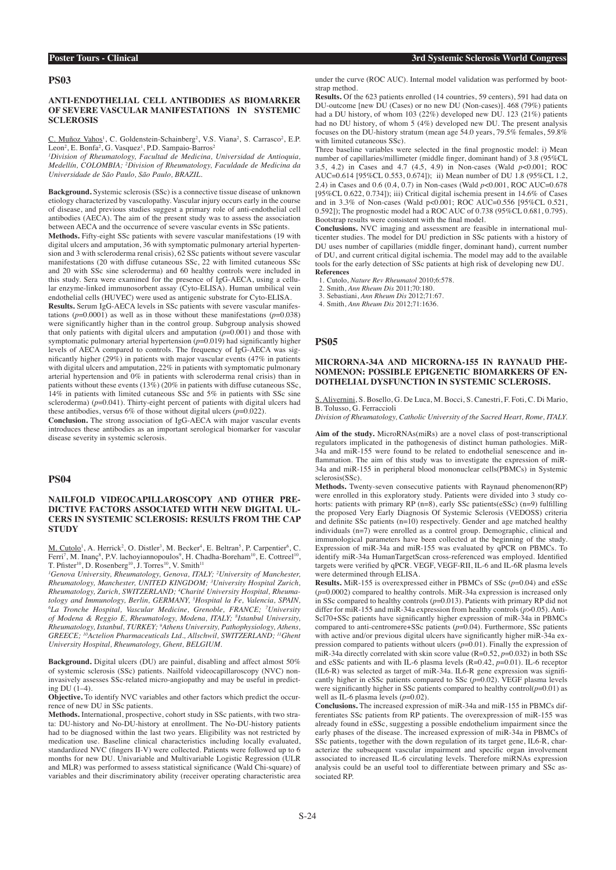### **ANTI-ENDOTHELIAL CELL ANTIBODIES AS BIOMARKER OF SEVERE VASCULAR MANIFESTATIONS IN SYSTEMIC SCLEROSIS**

C. Muñoz Vahos<sup>1</sup>, C. Goldenstein-Schainberg<sup>2</sup>, V.S. Viana<sup>2</sup>, S. Carrasco<sup>2</sup>, E.P. Leon<sup>2</sup>, E. Bonfa<sup>2</sup>, G. Vasquez<sup>1</sup>, P.D. Sampaio-Barros<sup>2</sup>

*1 Division of Rheumatology, Facultad de Medicina, Universidad de Antioquia, Medellín, COLOMBIA; 2 Division of Rheumatology, Faculdade de Medicina da Universidade de São Paulo, São Paulo, BRAZIL.*

**Background.** Systemic sclerosis (SSc) is a connective tissue disease of unknown etiology characterized by vasculopathy. Vascular injury occurs early in the course of disease, and previous studies suggest a primary role of anti-endothelial cell antibodies (AECA). The aim of the present study was to assess the association between AECA and the occurrence of severe vascular events in SSc patients.

**Methods.** Fifty-eight SSc patients with severe vascular manifestations (19 with digital ulcers and amputation, 36 with symptomatic pulmonary arterial hypertension and 3 with scleroderma renal crisis), 62 SSc patients without severe vascular manifestations (20 with diffuse cutaneous SSc, 22 with limited cutaneous SSc and 20 with SSc sine scleroderma) and 60 healthy controls were included in this study. Sera were examined for the presence of IgG-AECA, using a cellular enzyme-linked immunosorbent assay (Cyto-ELISA). Human umbilical vein endothelial cells (HUVEC) were used as antigenic substrate for Cyto-ELISA.

**Results.** Serum IgG-AECA levels in SSc patients with severe vascular manifestations  $(p=0.0001)$  as well as in those without these manifestations  $(p=0.038)$ were significantly higher than in the control group. Subgroup analysis showed that only patients with digital ulcers and amputation  $(p=0.001)$  and those with symptomatic pulmonary arterial hypertension (*p*=0.019) had significantly higher levels of AECA compared to controls. The frequency of IgG-AECA was significantly higher (29%) in patients with major vascular events (47% in patients with digital ulcers and amputation, 22% in patients with symptomatic pulmonary arterial hypertension and 0% in patients with scleroderma renal crisis) than in patients without these events  $(13\hat{\%})$  (20% in patients with diffuse cutaneous SSc, 14% in patients with limited cutaneous SSc and 5% in patients with SSc sine scleroderma) ( $p=0.041$ ). Thirty-eight percent of patients with digital ulcers had these antibodies, versus  $6\%$  of those without digital ulcers  $(p=0.022)$ .

**Conclusion.** The strong association of IgG-AECA with major vascular events introduces these antibodies as an important serological biomarker for vascular disease severity in systemic sclerosis.

# **PS04**

### **NAILFOLD VIDEOCAPILLAROSCOPY AND OTHER PRE-DICTIVE FACTORS ASSOCIATED WITH NEW DIGITAL UL-CERS IN SYSTEMIC SCLEROSIS: RESULTS FROM THE CAP STUDY**

M. Cutolo<sup>1</sup>, A. Herrick<sup>2</sup>, O. Distler<sup>3</sup>, M. Becker<sup>4</sup>, E. Beltran<sup>5</sup>, P. Carpentier<sup>6</sup>, C. Ferri<sup>7</sup>, M. Inanç<sup>8</sup>, P.V. lachoyiannopoulos<sup>9</sup>, H. Chadha-Boreham<sup>10</sup>, E. Cottreel<sup>10</sup>, T. Pfister<sup>10</sup>, D. Rosenberg<sup>10</sup>, J. Torres<sup>10</sup>, V. Smith<sup>11</sup>

*1 Genova University, Rheumatology, Genova, ITALY; 2 University of Manchester, Rheumatology, Manchester, UNITED KINGDOM; 3 University Hospital Zurich, Rheumatology, Zurich, SWITZERLAND; 4 Charité University Hospital, Rheuma*tology and Immunology, Berlin, GERMANY, <sup>5</sup>Hospital la Fe, Valencia, SPAIN, tology and Immunology, Berlin, GERMANY, <sup>5</sup>Hospital la Fe, Valencia, SPAIN,<br><sup>6</sup>La Tronche Hospital, Vascular Medicine, Grenoble, FRANCE; <sup>7</sup>University *of Modena & Reggio E, Rheumatology, Modena, ITALY; 8 Istanbul University, Rheumatology, Istanbul, TURKEY; 9 Athens University, Pathophysiology, Athens, GREECE; 10Actelion Pharmaceuticals Ltd., Allschwil, SWITZERLAND; 11Ghent University Hospital, Rheumatology, Ghent, BELGIUM.*

**Background.** Digital ulcers (DU) are painful, disabling and affect almost 50% of systemic sclerosis (SSc) patients. Nailfold videocapillaroscopy (NVC) noninvasively assesses SSc-related micro-angiopathy and may be useful in predicting  $\text{DI}$  (1–4).

**Objective.** To identify NVC variables and other factors which predict the occurrence of new DU in SSc patients.

**Methods.** International, prospective, cohort study in SSc patients, with two strata: DU-history and No-DU-history at enrollment. The No-DU-history patients had to be diagnosed within the last two years. Eligibility was not restricted by medication use. Baseline clinical characteristics including locally evaluated, standardized NVC (fingers II-V) were collected. Patients were followed up to 6 months for new DU. Univariable and Multivariable Logistic Regression (ULR and MLR) was performed to assess statistical significance (Wald Chi-square) of variables and their discriminatory ability (receiver operating characteristic area under the curve (ROC AUC). Internal model validation was performed by bootstrap method.

**Results.** Of the 623 patients enrolled (14 countries, 59 centers), 591 had data on DU-outcome [new DU (Cases) or no new DU (Non-cases)]. 468 (79%) patients had a DU history, of whom 103 (22%) developed new DU. 123 (21%) patients had no DU history, of whom 5 (4%) developed new DU. The present analysis focuses on the DU-history stratum (mean age 54.0 years, 79.5% females, 59.8% with limited cutaneous SSc).

Three baseline variables were selected in the final prognostic model: i) Mean number of capillaries/millimeter (middle finger, dominant hand) of 3.8 (95%CL 3.5, 4.2) in Cases and 4.7 (4.5, 4.9) in Non-cases (Wald *p*<0.001; ROC AUC=0.614 [95%CL 0.553, 0.674]); ii) Mean number of DU 1.8 (95%CL 1.2, 2.4) in Cases and 0.6 (0.4, 0.7) in Non-cases (Wald *p*<0.001, ROC AUC=0.678 [95%CL 0.622, 0.734]); iii) Critical digital ischemia present in 14.6% of Cases and in 3.3% of Non-cases (Wald p<0.001; ROC AUC=0.556 [95%CL 0.521, 0.592]); The prognostic model had a ROC AUC of 0.738 (95%CL 0.681, 0.795). Bootstrap results were consistent with the final model.

**Conclusions.** NVC imaging and assessment are feasible in international multicenter studies. The model for DU prediction in SSc patients with a history of DU uses number of capillaries (middle finger, dominant hand), current number of DU, and current critical digital ischemia. The model may add to the available tools for the early detection of SSc patients at high risk of developing new DU. **References**

- 1. Cutolo, *Nature Rev Rheumatol* 2010;6:578. 2. Smith, *Ann Rheum Dis* 2011;70:180.
- 
- 3. Sebastiani, *Ann Rheum Dis* 2012;71:67.
- 4. Smith, *Ann Rheum Dis* 2012;71:1636.

#### **PS05**

### **MICRORNA-34A AND MICRORNA-155 IN RAYNAUD PHE-NOMENON: POSSIBLE EPIGENETIC BIOMARKERS OF EN-DOTHELIAL DYSFUNCTION IN SYSTEMIC SCLEROSIS.**

S. Alivernini, S. Bosello, G. De Luca, M. Bocci, S. Canestri, F. Foti, C. Di Mario, B. Tolusso, G. Ferraccioli

*Division of Rheumatology, Catholic University of the Sacred Heart, Rome, ITALY.*

**Aim of the study.** MicroRNAs(miRs) are a novel class of post-transcriptional regulators implicated in the pathogenesis of distinct human pathologies. MiR-34a and miR-155 were found to be related to endothelial senescence and inflammation. The aim of this study was to investigate the expression of miR-34a and miR-155 in peripheral blood mononuclear cells(PBMCs) in Systemic sclerosis(SSc).

**Methods.** Twenty-seven consecutive patients with Raynaud phenomenon(RP) were enrolled in this exploratory study. Patients were divided into 3 study cohorts: patients with primary RP (n=8), early SSc patients(eSSc) (n=9) fulfilling the proposed Very Early Diagnosis Of Systemic Sclerosis (VEDOSS) criteria and definite SSc patients (n=10) respectively. Gender and age matched healthy individuals (n=7) were enrolled as a control group. Demographic, clinical and immunological parameters have been collected at the beginning of the study. Expression of miR-34a and miR-155 was evaluated by qPCR on PBMCs. To identify miR-34a HumanTargetScan cross-referenced was employed. Identified targets were verified by qPCR. VEGF, VEGF-RII, IL-6 and IL-6R plasma levels were determined through ELISA.

**Results.** MiR-155 is overexpressed either in PBMCs of SSc (*p*=0.04) and eSSc  $(p=0.0002)$  compared to healthy controls. MiR-34a expression is increased only in SSc compared to healthy controls  $(p=0.013)$ . Patients with primary RP did not differ for miR-155 and miR-34a expression from healthy controls (*p*>0.05). Anti-Scl70+SSc patients have significantly higher expression of miR-34a in PBMCs compared to anti-centromere+SSc patients ( $p=0.04$ ). Furthermore, SSc patients with active and/or previous digital ulcers have significantly higher miR-34a expression compared to patients without ulcers  $(p=0.01)$ . Finally the expression of miR-34a directly correlated with skin score value (R=0.52,  $p=0.032$ ) in both SSc and eSSc patients and with IL-6 plasma levels (R=0.42,  $p=0.01$ ). IL-6 receptor (IL6-R) was selected as target of miR-34a. IL6-R gene expression was significantly higher in eSSc patients compared to SSc ( $p=0.02$ ). VEGF plasma levels were significantly higher in SSc patients compared to healthy control( $p=0.01$ ) as well as IL-6 plasma levels (*p*=0.02).

**Conclusions.** The increased expression of miR-34a and miR-155 in PBMCs differentiates SSc patients from RP patients. The overexpression of miR-155 was already found in eSSc, suggesting a possible endothelium impairment since the early phases of the disease. The increased expression of miR-34a in PBMCs of SSc patients, together with the down regulation of its target gene, IL6-R, characterize the subsequent vascular impairment and specific organ involvement associated to increased IL-6 circulating levels. Therefore miRNAs expression analysis could be an useful tool to differentiate between primary and SSc associated RP.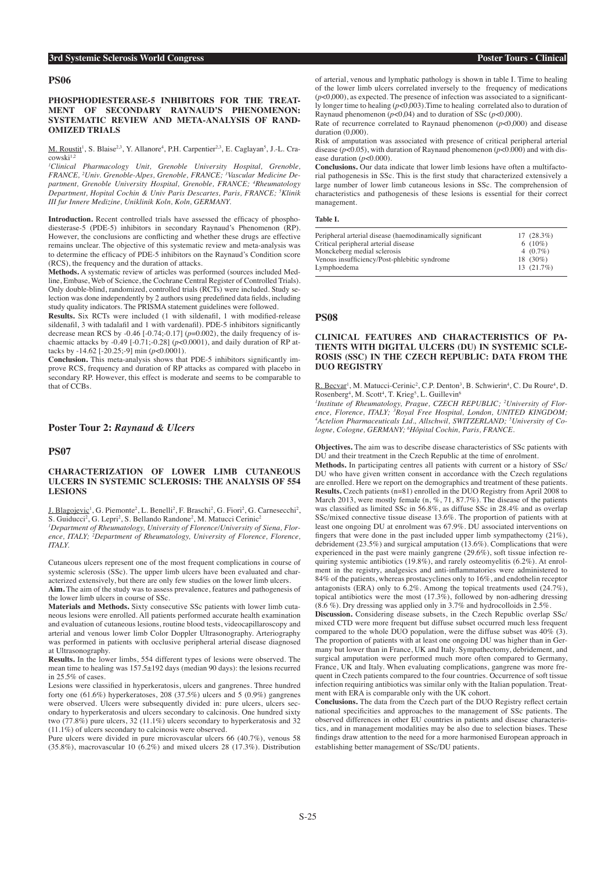### **PHOSPHODIESTERASE-5 INHIBITORS FOR THE TREAT-MENT OF SECONDARY RAYNAUD'S PHENOMENON: SYSTEMATIC REVIEW AND META-ANALYSIS OF RAND-OMIZED TRIALS**

M. Roustit<sup>1</sup>, S. Blaise<sup>2,3</sup>, Y. Allanore<sup>4</sup>, P.H. Carpentier<sup>2,3</sup>, E. Caglayan<sup>5</sup>, J.-L. Cra- $\text{cowski}^{1,2}$ 

*1 Clinical Pharmacology Unit, Grenoble University Hospital, Grenoble, FRANCE, 2 Univ. Grenoble-Alpes, Grenoble, FRANCE; 3 Vascular Medicine Department, Grenoble University Hospital, Grenoble, FRANCE; 4 Rheumatology Department, Hopital Cochin & Univ Paris Descartes, Paris, FRANCE; 5 Klinik III fur Innere Medizine, Uniklinik Koln, Koln, GERMANY.*

**Introduction.** Recent controlled trials have assessed the efficacy of phosphodiesterase-5 (PDE-5) inhibitors in secondary Raynaud's Phenomenon (RP). However, the conclusions are conflicting and whether these drugs are effective remains unclear. The objective of this systematic review and meta-analysis was to determine the efficacy of PDE-5 inhibitors on the Raynaud's Condition score (RCS), the frequency and the duration of attacks.

**Methods.** A systematic review of articles was performed (sources included Medline, Embase, Web of Science, the Cochrane Central Register of Controlled Trials). Only double-blind, randomized, controlled trials (RCTs) were included. Study selection was done independently by 2 authors using predefined data fields, including study quality indicators. The PRISMA statement guidelines were followed.

**Results.** Six RCTs were included (1 with sildenafil, 1 with modified-release sildenafil, 3 with tadalafil and 1 with vardenafil). PDE-5 inhibitors significantly decrease mean RCS by -0.46  $[-0.74; -0.17]$   $(p=0.002)$ , the daily frequency of ischaemic attacks by -0.49 [-0.71;-0.28] (*p*<0.0001), and daily duration of RP attacks by -14.62  $[-20.25; -9]$  min  $(p<0.0001)$ .

**Conclusion.** This meta-analysis shows that PDE-5 inhibitors significantly improve RCS, frequency and duration of RP attacks as compared with placebo in secondary RP. However, this effect is moderate and seems to be comparable to that of CCBs.

**Poster Tour 2:** *Raynaud & Ulcers*

# **PS07**

### **CHARACTERIZATION OF LOWER LIMB CUTANEOUS ULCERS IN SYSTEMIC SCLEROSIS: THE ANALYSIS OF 554 LESIONS**

**J. Blagojevic<sup>1</sup>**, G. Piemonte<sup>2</sup>, L. Benelli<sup>2</sup>, F. Braschi<sup>2</sup>, G. Fiori<sup>2</sup>, G. Carnesecchi<sup>2</sup>, S. Guiducci<sup>2</sup>, G. Lepri<sup>2</sup>, S. Bellando Randone<sup>2</sup>, M. Matucci Cerinic<sup>2</sup>

*1 Department of Rheumatology, University of Florence/University of Siena, Florence, ITALY; 2 Department of Rheumatology, University of Florence, Florence, ITALY.*

Cutaneous ulcers represent one of the most frequent complications in course of systemic sclerosis (SSc). The upper limb ulcers have been evaluated and characterized extensively, but there are only few studies on the lower limb ulcers. **Aim.** The aim of the study was to assess prevalence, features and pathogenesis of the lower limb ulcers in course of SSc.

**Materials and Methods.** Sixty consecutive SSc patients with lower limb cutaneous lesions were enrolled. All patients performed accurate health examination and evaluation of cutaneous lesions, routine blood tests, videocapillaroscopy and arterial and venous lower limb Color Doppler Ultrasonography. Arteriography was performed in patients with occlusive peripheral arterial disease diagnosed at Ultrasonography.

**Results.** In the lower limbs, 554 different types of lesions were observed. The mean time to healing was 157.5±192 days (median 90 days): the lesions recurred in 25.5% of cases.

Lesions were classified in hyperkeratosis, ulcers and gangrenes. Three hundred forty one (61.6%) hyperkeratoses, 208 (37.5%) ulcers and 5 (0.9%) gangrenes were observed. Ulcers were subsequently divided in: pure ulcers, ulcers secondary to hyperkeratosis and ulcers secondary to calcinosis. One hundred sixty two (77.8%) pure ulcers, 32 (11.1%) ulcers secondary to hyperkeratosis and 32 (11.1%) of ulcers secondary to calcinosis were observed.

Pure ulcers were divided in pure microvascular ulcers 66 (40.7%), venous 58 (35.8%), macrovascular 10 (6.2%) and mixed ulcers 28 (17.3%). Distribution of arterial, venous and lymphatic pathology is shown in table I. Time to healing of the lower limb ulcers correlated inversely to the frequency of medications  $(p<0.000)$ , as expected. The presence of infection was associated to a significantly longer time to healing (*p*<0,003).Time to healing correlated also to duration of Raynaud phenomenon ( $p<0.04$ ) and to duration of SSc ( $p<0.000$ ).

Rate of recurrence correlated to Raynaud phenomenon (*p*<0,000) and disease duration (0,000).

Risk of amputation was associated with presence of critical peripheral arterial disease (*p*<0.05), with duration of Raynaud phenomenon (*p*<0.000) and with disease duration (*p*<0.000).

**Conclusions.** Our data indicate that lower limb lesions have often a multifactorial pathogenesis in SSc. This is the first study that characterized extensively a large number of lower limb cutaneous lesions in SSc. The comprehension of characteristics and pathogenesis of these lesions is essential for their correct management.

#### **Table I.**

| Peripheral arterial disease (haemodinamically significant | $17(28.3\%)$ |
|-----------------------------------------------------------|--------------|
| Critical peripheral arterial disease                      | 6 $(10\%)$   |
| Monckeberg medial sclerosis                               | 4 $(0.7\%)$  |
| Venous insufficiency/Post-phlebitic syndrome              | 18 (30%)     |
| Lymphoedema                                               | $13(21.7\%)$ |

#### **PS08**

### **CLINICAL FEATURES AND CHARACTERISTICS OF PA-TIENTS WITH DIGITAL ULCERS (DU) IN SYSTEMIC SCLE-ROSIS (SSC) IN THE CZECH REPUBLIC: DATA FROM THE DUO REGISTRY**

R. Becvar<sup>1</sup>, M. Matucci-Cerinic<sup>2</sup>, C.P. Denton<sup>3</sup>, B. Schwierin<sup>4</sup>, C. Du Roure<sup>4</sup>, D. Rosenberg<sup>4</sup>, M. Scott<sup>4</sup>, T. Krieg<sup>5</sup>, L. Guillevin<sup>6</sup>

*1 Institute of Rheumatology, Prague, CZECH REPUBLIC; 2 University of Florence, Florence, ITALY; 3 Royal Free Hospital, London, UNITED KINGDOM; 4 Actelion Pharmaceuticals Ltd., Allschwil, SWITZERLAND; 5 University of Cologne, Cologne, GERMANY; 6 Hôpital Cochin, Paris, FRANCE.*

**Objectives.** The aim was to describe disease characteristics of SSc patients with DU and their treatment in the Czech Republic at the time of enrolment.

**Methods.** In participating centres all patients with current or a history of SSc/ DU who have given written consent in accordance with the Czech regulations are enrolled. Here we report on the demographics and treatment of these patients. **Results.** Czech patients (n=81) enrolled in the DUO Registry from April 2008 to March 2013, were mostly female (n, %, 71, 87.7%). The disease of the patients was classified as limited SSc in 56.8%, as diffuse SSc in 28.4% and as overlap SSc/mixed connective tissue disease 13.6%. The proportion of patients with at least one ongoing DU at enrolment was 67.9%. DU associated interventions on fingers that were done in the past included upper limb sympathectomy (21%), debridement (23.5%) and surgical amputation (13.6%). Complications that were experienced in the past were mainly gangrene (29.6%), soft tissue infection requiring systemic antibiotics (19.8%), and rarely osteomyelitis (6.2%). At enrolment in the registry, analgesics and anti-inflammatories were administered to 84% of the patients, whereas prostacyclines only to 16%, and endothelin receptor antagonists (ERA) only to  $6.2\%$ . Among the topical treatments used (24.7%), topical antibiotics were the most  $(17.3\%)$ , followed by non-adhering dressing  $(8.6\%)$ . Dry dressing was applied only in 3.7% and hydrocolloids in 2.5%.

Discussion. Considering disease subsets, in the Czech Republic overlap SSc/ mixed CTD were more frequent but diffuse subset occurred much less frequent compared to the whole DUO population, were the diffuse subset was  $40\%$  (3). The proportion of patients with at least one ongoing DU was higher than in Germany but lower than in France, UK and Italy. Sympathectomy, debridement, and surgical amputation were performed much more often compared to Germany, France, UK and Italy. When evaluating complications, gangrene was more frequent in Czech patients compared to the four countries. Occurrence of soft tissue infection requiring antibiotics was similar only with the Italian population. Treatment with ERA is comparable only with the UK cohort.

**Conclusions.** The data from the Czech part of the DUO Registry reflect certain national specificities and approaches to the management of SSc patients. The observed differences in other EU countries in patients and disease characteristics, and in management modalities may be also due to selection biases. These findings draw attention to the need for a more harmonised European approach in establishing better management of SSc/DU patients.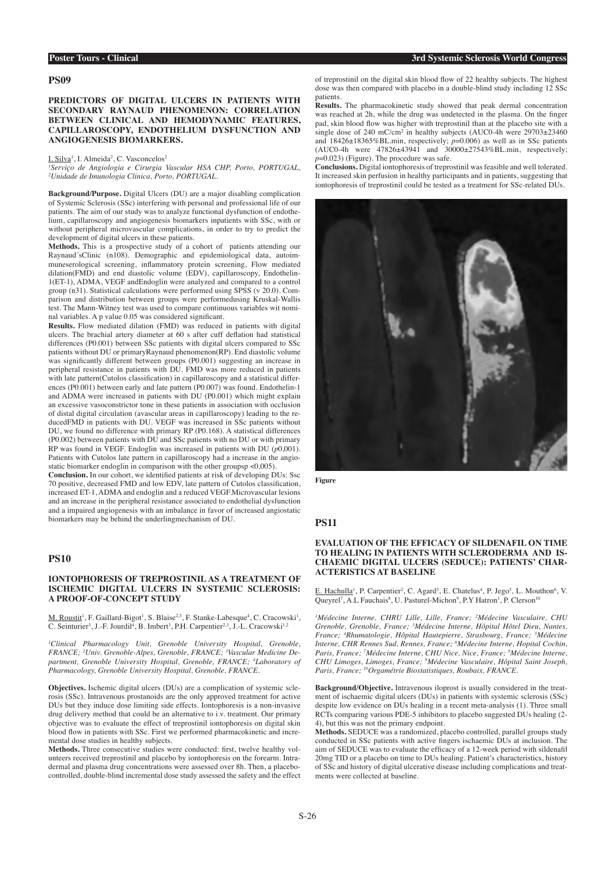#### **Poster Tours - Clinical 3rd Systemic Sclerosis World Congress**

#### **PS09**

### **PREDICTORS OF DIGITAL ULCERS IN PATIENTS WITH SECONDARY RAYNAUD PHENOMENON: CORRELATION BETWEEN CLINICAL AND HEMODYNAMIC FEATURES, CAPILLAROSCOPY, ENDOTHELIUM DYSFUNCTION AND ANGIOGENESIS BIOMARKERS.**

I. Silva<sup>1</sup>, I. Almeida<sup>2</sup>, C. Vasconcelos<sup>2</sup>

*1 Serviço de Angiologia e Cirurgia Vascular HSA CHP, Porto, PORTUGAL, 2 Unidade de Imunologia Clinica, Porto, PORTUGAL.*

**Background/Purpose.** Digital Ulcers (DU) are a major disabling complication of Systemic Sclerosis (SSc) interfering with personal and professional life of our patients. The aim of our study was to analyze functional dysfunction of endothelium, capillaroscopy and angiogenesis biomarkers inpatients with SSc, with or without peripheral microvascular complications, in order to try to predict the development of digital ulcers in these patients.

**Methods.** This is a prospective study of a cohort of patients attending our Raynaud´sClinic (n108). Demographic and epidemiological data, autoimmuneserological screening, inflammatory protein screening, Flow mediated dilation(FMD) and end diastolic volume (EDV), capillaroscopy, Endothelin-1(ET-1), ADMA, VEGF andEndoglin were analyzed and compared to a control group  $(n31)$ . Statistical calculations were performed using SPSS (v 20.0). Comparison and distribution between groups were performedusing Kruskal-Wallis test. The Mann-Witney test was used to compare continuous variables wit nominal variables. A p value 0.05 was considered significant.

**Results.** Flow mediated dilation (FMD) was reduced in patients with digital ulcers. The brachial artery diameter at 60 s after cuff deflation had statistical differences (P0.001) between SSc patients with digital ulcers compared to SSc patients without DU or primaryRaynaud phenomenon(RP). End diastolic volume was significantly different between groups (P0.001) suggesting an increase in peripheral resistance in patients with DU. FMD was more reduced in patients with late pattern(Cutolos classification) in capillaroscopy and a statistical differences (P0.001) between early and late pattern (P0.007) was found. Endothelin-1 and ADMA were increased in patients with DU (P0.001) which might explain an excessive vasoconstrictor tone in these patients in association with occlusion of distal digital circulation (avascular areas in capillaroscopy) leading to the reducedFMD in patients with DU. VEGF was increased in SSc patients without DU, we found no difference with primary RP (P0.168). A statistical differences  $(P0.002)$  between patients with DU and SSc patients with no DU or with primary RP was found in VEGF. Endoglin was increased in patients with DU (*p*0,001). Patients with Cutolos late pattern in capillaroscopy had a increase in the angiostatic biomarker endoglin in comparison with the other groupsp <0,005).

**Conclusion.** In our cohort, we identified patients at risk of developing DUs: Ssc 70 positive, decreased FMD and low EDV, late pattern of Cutolos classification, increased ET-1, ADMA and endoglin and a reduced VEGF.Microvascular lesions and an increase in the peripheral resistance associated to endothelial dysfunction and a impaired angiogenesis with an imbalance in favor of increased angiostatic biomarkers may be behind the underlingmechanism of DU.

# **PS10**

### **IONTOPHORESIS OF TREPROSTINIL AS A TREATMENT OF ISCHEMIC DIGITAL ULCERS IN SYSTEMIC SCLEROSIS: A PROOF-OF-CONCEPT STUDY**

M. Roustit<sup>1</sup>, F. Gaillard-Bigot<sup>1</sup>, S. Blaise<sup>2,3</sup>, F. Stanke-Labesque<sup>4</sup>, C. Cracowski<sup>1</sup>, C. Seinturier<sup>3</sup>, J.-F. Jourdil<sup>4</sup>, B. Imbert<sup>3</sup>, P.H. Carpentier<sup>2,3</sup>, J.-L. Cracowski<sup>1,2</sup>

*1 Clinical Pharmacology Unit, Grenoble University Hospital, Grenoble, FRANCE; 2 Univ. Grenoble-Alpes, Grenoble, FRANCE; 3 Vascular Medicine Department, Grenoble University Hospital, Grenoble, FRANCE; 4 Laboratory of Pharmacology, Grenoble University Hospital, Grenoble, FRANCE.*

**Objectives.** Ischemic digital ulcers (DUs) are a complication of systemic sclerosis (SSc). Intravenous prostanoids are the only approved treatment for active DUs but they induce dose limiting side effects. Iontophoresis is a non-invasive drug delivery method that could be an alternative to i.v. treatment. Our primary objective was to evaluate the effect of treprostinil iontophoresis on digital skin blood flow in patients with SSc. First we performed pharmacokinetic and incremental dose studies in healthy subjects.

**Methods.** Three consecutive studies were conducted: first, twelve healthy volunteers received treprostinil and placebo by iontophoresis on the forearm. Intradermal and plasma drug concentrations were assessed over 8h. Then, a placebocontrolled, double-blind incremental dose study assessed the safety and the effect of treprostinil on the digital skin blood flow of 22 healthy subjects. The highest dose was then compared with placebo in a double-blind study including 12 SSc patients.

**Results.** The pharmacokinetic study showed that peak dermal concentration was reached at 2h, while the drug was undetected in the plasma. On the finger pad, skin blood flow was higher with treprostinil than at the placebo site with a single dose of 240 mC/cm<sup>2</sup> in healthy subjects (AUC0-4h were 29703±23460 and 18426±18365%BL.min, respectively; *p*=0.006) as well as in SSc patients (AUC0-4h were 47826±43941 and 30000±27543%BL.min, respectively; *p*=0.023) (Figure). The procedure was safe.

**Conclusions.** Digital iontophoresis of treprostinil was feasible and well tolerated. It increased skin perfusion in healthy participants and in patients, suggesting that iontophoresis of treprostinil could be tested as a treatment for SSc-related DUs.



**Figure** 

#### **PS11**

### **EVALUATION OF THE EFFICACY OF SILDENAFIL ON TIME TO HEALING IN PATIENTS WITH SCLERODERMA AND IS-CHAEMIC DIGITAL ULCERS (SEDUCE): PATIENTS' CHAR-ACTERISTICS AT BASELINE**

E. Hachulla<sup>1</sup>, P. Carpentier<sup>2</sup>, C. Agard<sup>3</sup>, E. Chatelus<sup>4</sup>, P. Jego<sup>5</sup>, L. Mouthon<sup>6</sup>, V. Queyrel<sup>7</sup>, A.L Fauchais<sup>8</sup>, U. Pasturel-Michon<sup>9</sup>, P.Y Hatron<sup>1</sup>, P. Clerson<sup>10</sup>

*1 Médecine Interne, CHRU Lille, Lille, France; 2 Médecine Vasculaire, CHU Grenoble, Grenoble, France; 3 Médecine Interne, Hôpital Hôtel Dieu, Nantes, France; 4 Rhumatologie, Hôpital Hautepierre, Strasbourg, France; 5 Médecine Interne, CHR Rennes Sud, Rennes, France; 6 Médecine Interne, Hopital Cochin, Paris, France; 7 Médecine Interne, CHU Nice, Nice, France; 8 Médecine Interne, CHU Limoges, Limoges, France; 9 Médecine Vasculaire, Hôpital Saint Joseph, Paris, France; 10Orgamétrie Biostatistiques, Roubaix, FRANCE.*

**Background/Objective.** Intravenous iloprost is usually considered in the treatment of ischaemic digital ulcers (DUs) in patients with systemic sclerosis (SSc) despite low evidence on DUs healing in a recent meta-analysis (1). Three small RCTs comparing various PDE-5 inhibitors to placebo suggested DUs healing (2- 4), but this was not the primary endpoint.

**Methods.** SEDUCE was a randomized, placebo controlled, parallel groups study conducted in SSc patients with active fingers ischaemic DUs at inclusion. The aim of SEDUCE was to evaluate the efficacy of a 12-week period with sildenafil 20mg TID or a placebo on time to DUs healing. Patient's characteristics, history of SSc and history of digital ulcerative disease including complications and treatments were collected at baseline.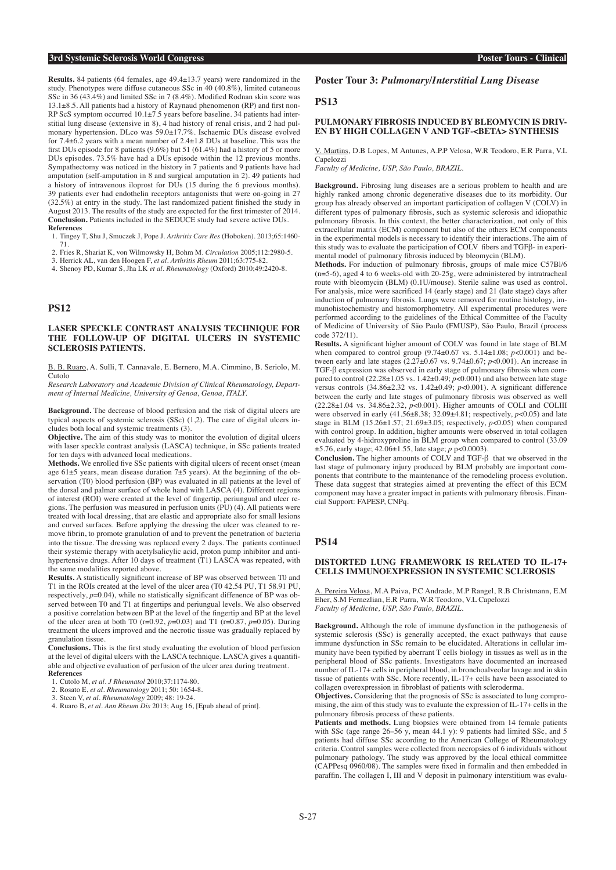### **3rd Systemic Sclerosis World Congress Poster Tours - Clinical**

**Results.** 84 patients (64 females, age 49.4±13.7 years) were randomized in the study. Phenotypes were diffuse cutaneous SSc in 40 (40.8%), limited cutaneous SSc in 36 (43.4%) and limited SSc in 7 (8.4%). Modified Rodnan skin score was 13.1±8.5. All patients had a history of Raynaud phenomenon (RP) and first non-RP ScS symptom occurred  $10.1\pm7.5$  years before baseline. 34 patients had interstitial lung disease (extensive in 8), 4 had history of renal crisis, and 2 had pulmonary hypertension. DLco was 59.0±17.7%. Ischaemic DUs disease evolved for  $7.4\pm6.2$  years with a mean number of  $2.4\pm1.8$  DUs at baseline. This was the first DUs episode for 8 patients (9.6%) but 51 (61.4%) had a history of 5 or more DUs episodes. 73.5% have had a DUs episode within the 12 previous months. Sympathectomy was noticed in the history in 7 patients and 9 patients have had amputation (self-amputation in 8 and surgical amputation in 2). 49 patients had a history of intravenous iloprost for DUs (15 during the 6 previous months). 39 patients ever had endothelin receptors antagonists that were on-going in 27 (32.5%) at entry in the study. The last randomized patient finished the study in August 2013. The results of the study are expected for the first trimester of 2014. Conclusion. Patients included in the SEDUCE study had severe active DUs. **References**

 1. Tingey T, Shu J, Smuczek J, Pope J. *Arthritis Care Res* (Hoboken). 2013;65:1460- 71.

2. Fries R, Shariat K, von Wilmowsky H, Bohm M. *Circulation* 2005;112:2980-5.

3. Herrick AL, van den Hoogen F, *et al. Arthritis Rheum* 2011;63:775-82.

4. Shenoy PD, Kumar S, Jha LK *et al. Rheumatology* (Oxford) 2010;49:2420-8.

# **PS12**

### **LASER SPECKLE CONTRAST ANALYSIS TECHNIQUE FOR THE FOLLOW-UP OF DIGITAL ULCERS IN SYSTEMIC SCLEROSIS PATIENTS.**

B. B. Ruaro, A. Sulli, T. Cannavale, E. Bernero, M.A. Cimmino, B. Seriolo, M. Cutolo

*Research Laboratory and Academic Division of Clinical Rheumatology, Department of Internal Medicine, University of Genoa, Genoa, ITALY.*

**Background.** The decrease of blood perfusion and the risk of digital ulcers are typical aspects of systemic sclerosis (SSc) (1,2). The care of digital ulcers includes both local and systemic treatments (3).

**Objective.** The aim of this study was to monitor the evolution of digital ulcers with laser speckle contrast analysis (LASCA) technique, in SSc patients treated for ten days with advanced local medications.

**Methods.** We enrolled five SSc patients with digital ulcers of recent onset (mean age  $61\pm5$  years, mean disease duration 7 $\pm5$  years). At the beginning of the observation (T0) blood perfusion (BP) was evaluated in all patients at the level of the dorsal and palmar surface of whole hand with LASCA (4). Different regions of interest (ROI) were created at the level of fingertip, periungual and ulcer regions. The perfusion was measured in perfusion units (PU) (4). All patients were treated with local dressing, that are elastic and appropriate also for small lesions and curved surfaces. Before applying the dressing the ulcer was cleaned to remove fibrin, to promote granulation of and to prevent the penetration of bacteria into the tissue. The dressing was replaced every 2 days. The patients continued their systemic therapy with acetylsalicylic acid, proton pump inhibitor and antihypertensive drugs. After 10 days of treatment (T1) LASCA was repeated, with the same modalities reported above.

**Results.** A statistically significant increase of BP was observed between T0 and T1 in the ROIs created at the level of the ulcer area (T0 42.54 PU, T1 58.91 PU, respectively, *p*=0.04), while no statistically significant diffenence of BP was observed between T0 and T1 at fingertips and periungual levels. We also observed a positive correlation between BP at the level of the fingertip and BP at the level of the ulcer area at both T0 (r=0.92, *p*=0.03) and T1 (r=0.87, *p*=0.05). During treatment the ulcers improved and the necrotic tissue was gradually replaced by granulation tissue.

**Conclusions.** This is the first study evaluating the evolution of blood perfusion at the level of digital ulcers with the LASCA technique. LASCA gives a quantifiable and objective evaluation of perfusion of the ulcer area during treatment. **References**

1. Cutolo M, *et al. J Rheumatol* 2010;37:1174-80.

2. Rosato E, *et al. Rheumatology* 2011; 50: 1654-8.

3. Steen V, *et al. Rheumatology* 2009; 48: 19-24.

4. Ruaro B, *et al. Ann Rheum Dis* 2013; Aug 16, [Epub ahead of print].

**Poster Tour 3:** *Pulmonary/Interstitial Lung Disease*

### **PS13**

### **PULMONARY FIBROSIS INDUCED BY BLEOMYCIN IS DRIV-EN BY HIGH COLLAGEN V AND TGF-<BETA> SYNTHESIS**

V. Martins, D.B Lopes, M Antunes, A.P.P Velosa, W.R Teodoro, E.R Parra, V.L Capelozzi

*Faculty of Medicine, USP, São Paulo, BRAZIL.*

**Background.** Fibrosing lung diseases are a serious problem to health and are highly ranked among chronic degenerative diseases due to its morbidity. Our group has already observed an important participation of collagen V (COLV) in different types of pulmonary fibrosis, such as systemic sclerosis and idiopathic pulmonary fibrosis. In this context, the better characterization, not only of this extracellular matrix (ECM) component but also of the others ECM components in the experimental models is necessary to identify their interactions. The aim of this study was to evaluate the participation of COLV fibers and TGFβ- in experimental model of pulmonary fibrosis induced by bleomycin (BLM).

**Methods.** For induction of pulmonary fibrosis, groups of male mice C57Bl/6 (n=5-6), aged 4 to 6 weeks-old with 20-25g, were administered by intratracheal route with bleomycin (BLM) (0.1U/mouse). Sterile saline was used as control. For analysis, mice were sacrificed 14 (early stage) and 21 (late stage) days after induction of pulmonary fibrosis. Lungs were removed for routine histology, immunohistochemistry and histomorphometry. All experimental procedures were performed according to the guidelines of the Ethical Committee of the Faculty of Medicine of University of São Paulo (FMUSP), São Paulo, Brazil (process code 372/11).

**Results.** A significant higher amount of COLV was found in late stage of BLM when compared to control group (9.74±0.67 vs. 5.14±1.08; *p*<0.001) and between early and late stages  $(2.27 \pm 0.67 \text{ vs. } 9.74 \pm 0.67; p < 0.001)$ . An increase in TGF-β expression was observed in early stage of pulmonary fibrosis when compared to control (22.28±1.05 vs. 1.42±0.49; *p*<0.001) and also between late stage versus controls  $(34.86\pm2.32 \text{ vs. } 1.42\pm0.49; p<0.001)$ . A significant difference between the early and late stages of pulmonary fibrosis was observed as well (22.28±1.04 vs. 34.86±2.32, *p*<0.001). Higher amounts of COLI and COLIII were observed in early  $(41.56 \pm 8.38; 32.09 \pm 4.81;$  respectively,  $p < 0.05$ ) and late stage in BLM (15.26±1.57; 21.69±3.05; respectively, *p*<0.05) when compared with control group. In addition, higher amounts were observed in total collagen evaluated by 4-hidroxyproline in BLM group when compared to control (33.09 ±5.76, early stage; 42.06±1.55, late stage; *p* p<0.0003).

**Conclusion.** The higher amounts of COLV and TGF-β that we observed in the last stage of pulmonary injury produced by BLM probably are important components that contribute to the maintenance of the remodeling process evolution. These data suggest that strategies aimed at preventing the effect of this ECM component may have a greater impact in patients with pulmonary fibrosis. Financial Support: FAPESP, CNPq.

# **PS14**

### **DISTORTED LUNG FRAMEWORK IS RELATED TO IL-17+ CELLS IMMUNOEXPRESSION IN SYSTEMIC SCLEROSIS**

A. Pereira Velosa, M.A Paiva, P.C Andrade, M.P Rangel, R.B Christmann, E.M Eher, S.M Fernezlian, E.R Parra, W.R Teodoro, V.L Capelozzi *Faculty of Medicine, USP, São Paulo, BRAZIL.*

**Background.** Although the role of immune dysfunction in the pathogenesis of systemic sclerosis (SSc) is generally accepted, the exact pathways that cause immune dysfunction in SSc remain to be elucidated. Alterations in cellular immunity have been typified by aberrant T cells biology in tissues as well as in the peripheral blood of SSc patients. Investigators have documented an increased number of IL-17+ cells in peripheral blood, in bronchoalveolar lavage and in skin tissue of patients with SSc. More recently, IL-17+ cells have been associated to collagen overexpression in fibroblast of patients with scleroderma.

**Objectives.** Considering that the prognosis of SSc is associated to lung compromising, the aim of this study was to evaluate the expression of IL-17+ cells in the pulmonary fibrosis process of these patients.

Patients and methods. Lung biopsies were obtained from 14 female patients with SSc (age range  $26-56$  y, mean  $44.1$  y): 9 patients had limited SSc, and 5 patients had diffuse SSc according to the American College of Rheumatology criteria. Control samples were collected from necropsies of 6 individuals without pulmonary pathology. The study was approved by the local ethical committee (CAPPesq 0960/08). The samples were fixed in formalin and then embedded in paraffin. The collagen I, III and V deposit in pulmonary interstitium was evalu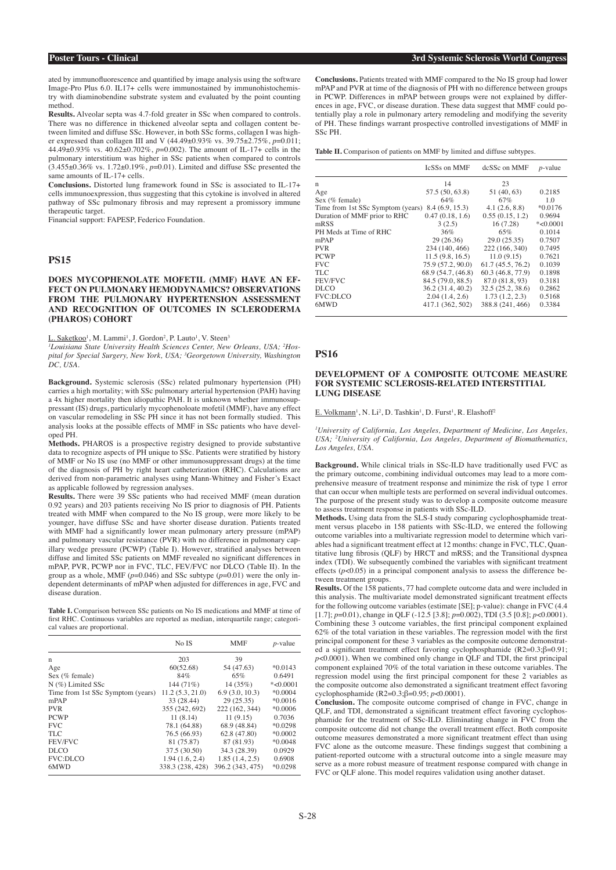ated by immunofluorescence and quantified by image analysis using the software Image-Pro Plus 6.0. IL17+ cells were immunostained by immunohistochemistry with diaminobendine substrate system and evaluated by the point counting method.

**Results.** Alveolar septa was 4.7-fold greater in SSc when compared to controls. There was no difference in thickened alveolar septa and collagen content between limited and diffuse SSc. However, in both SSc forms, collagen I was higher expressed than collagen III and V (44.49±0.93% vs. 39.75±2.75%, *p*=0.011; 44.49±0.93% vs. 40.62±0.702%, *p*=0.002). The amount of IL-17+ cells in the pulmonary interstitium was higher in SSc patients when compared to controls  $(3.455 \pm 0.36\% \text{ vs. } 1.72 \pm 0.19\%, p=0.01)$ . Limited and diffuse SSc presented the same amounts of IL-17+ cells.

**Conclusions.** Distorted lung framework found in SSc is associated to IL-17+ cells immunoexpression, thus suggesting that this cytokine is involved in altered pathway of SSc pulmonary fibrosis and may represent a promissory immune therapeutic target.

Financial support: FAPESP, Federico Foundation.

# **PS15**

### **DOES MYCOPHENOLATE MOFETIL (MMF) HAVE AN EF-FECT ON PULMONARY HEMODYNAMICS? OBSERVATIONS FROM THE PULMONARY HYPERTENSION ASSESSMENT AND RECOGNITION OF OUTCOMES IN SCLERODERMA (PHAROS) COHORT**

<u>L. Saketkoo</u><sup>1</sup>, M. Lammi<sup>1</sup>, J. Gordon<sup>2</sup>, P. Lauto<sup>1</sup>, V. Steen<sup>3</sup>

*1 Louisiana State University Health Sciences Center, New Orleans, USA; 2 Hospital for Special Surgery, New York, USA; 3 Georgetown University, Washington DC, USA.*

**Background.** Systemic sclerosis (SSc) related pulmonary hypertension (PH) carries a high mortality; with SSc pulmonary arterial hypertension (PAH) having a 4x higher mortality then idiopathic PAH. It is unknown whether immunosuppressant (IS) drugs, particularly mycophenoloate mofetil (MMF), have any effect on vascular remodeling in SSc PH since it has not been formally studied. This analysis looks at the possible effects of MMF in SSc patients who have developed PH.

**Methods.** PHAROS is a prospective registry designed to provide substantive data to recognize aspects of PH unique to SSc. Patients were stratified by history of MMF or No IS use (no MMF or other immunosuppressant drugs) at the time of the diagnosis of PH by right heart catheterization (RHC). Calculations are derived from non-parametric analyses using Mann-Whitney and Fisher's Exact as applicable followed by regression analyses.

**Results.** There were 39 SSc patients who had received MMF (mean duration 0.92 years) and 203 patients receiving No IS prior to diagnosis of PH. Patients treated with MMF when compared to the No IS group, were more likely to be younger, have diffuse SSc and have shorter disease duration. Patients treated with MMF had a significantly lower mean pulmonary artery pressure (mPAP) and pulmonary vascular resistance (PVR) with no difference in pulmonary capillary wedge pressure (PCWP) (Table I). However, stratified analyses between diffuse and limited SSc patients on MMF revealed no significant differences in mPAP, PVR, PCWP nor in FVC, TLC, FEV/FVC nor DLCO (Table II). In the group as a whole, MMF  $(p=0.046)$  and SSc subtype  $(p=0.01)$  were the only independent determinants of mPAP when adjusted for differences in age, FVC and disease duration.

**Table I.** Comparison between SSc patients on No IS medications and MMF at time of first RHC. Continuous variables are reported as median, interquartile range; categorical values are proportional.

|                                   | No IS            | <b>MMF</b>       | $p$ -value |
|-----------------------------------|------------------|------------------|------------|
| $\mathbf{n}$                      | 203              | 39               |            |
| Age                               | 60(52.68)        | 54 (47.63)       | $*0.0143$  |
| Sex $(\%$ female)                 | 84%              | 65%              | 0.6491     |
| $N$ (%) Limited SSc               | 144 $(71\%)$     | 14(35%)          | $*<0.0001$ |
| Time from 1st SSc Symptom (years) | 11.2(5.3, 21.0)  | 6.9(3.0, 10.3)   | $*0.0004$  |
| mPAP                              | 33 (28.44)       | 29(25.35)        | $*0.0016$  |
| <b>PVR</b>                        | 355 (242, 692)   | 222 (162, 344)   | $*0.0006$  |
| <b>PCWP</b>                       | 11(8.14)         | 11(9.15)         | 0.7036     |
| <b>FVC</b>                        | 78.1 (64.88)     | 68.9 (48.84)     | $*0.0298$  |
| TLC                               | 76.5 (66.93)     | 62.8 (47.80)     | $*0.0002$  |
| <b>FEV/FVC</b>                    | 81 (75.87)       | 87 (81.93)       | $*0.0048$  |
| DLCO                              | 37.5 (30.50)     | 34.3 (28.39)     | 0.0929     |
| FVC:DI.CO                         | 1.94(1.6, 2.4)   | 1.85(1.4, 2.5)   | 0.6908     |
| 6MWD                              | 338.3 (238, 428) | 396.2 (343, 475) | $*0.0298$  |

**Conclusions.** Patients treated with MMF compared to the No IS group had lower mPAP and PVR at time of the diagnosis of PH with no difference between groups in PCWP. Differences in mPAP between groups were not explained by differences in age, FVC, or disease duration. These data suggest that MMF could potentially play a role in pulmonary artery remodeling and modifying the severity of PH. These findings warrant prospective controlled investigations of MMF in SSc PH.

**Table II.** Comparison of patients on MMF by limited and diffuse subtypes.

|                                   | <b>IcSSs on MMF</b> | dcSSc on MMF     | $p$ -value |
|-----------------------------------|---------------------|------------------|------------|
| $\mathbf n$                       | 14                  | 23               |            |
| Age                               | 57.5 (50, 63.8)     | 51 (40, 63)      | 0.2185     |
| $Sex \, (\% \, female)$           | 64%                 | 67%              | 1.0        |
| Time from 1st SSc Symptom (years) | 8.4(6.9, 15.3)      | 4.1(2.6, 8.8)    | $*0.0176$  |
| Duration of MMF prior to RHC      | 0.47(0.18, 1.6)     | 0.55(0.15, 1.2)  | 0.9694     |
| mRSS                              | 3(2.5)              | 16(7.28)         | $*<0.0001$ |
| PH Meds at Time of RHC            | 36%                 | 65%              | 0.1014     |
| mPAP                              | 29(26.36)           | 29.0 (25.35)     | 0.7507     |
| <b>PVR</b>                        | 234 (140, 466)      | 222 (166, 340)   | 0.7495     |
| <b>PCWP</b>                       | 11.5(9.8, 16.5)     | 11.0(9.15)       | 0.7621     |
| <b>FVC</b>                        | 75.9 (57.2, 90.0)   | 61.7(45.5, 76.2) | 0.1039     |
| TLC                               | 68.9 (54.7, (46.8)  | 60.3(46.8, 77.9) | 0.1898     |
| FEV/FVC                           | 84.5 (79.0, 88.5)   | 87.0 (81.8, 93)  | 0.3181     |
| DLCO                              | 36.2 (31.4, 40.2)   | 32.5(25.2, 38.6) | 0.2862     |
| <b>FVC:DLCO</b>                   | 2.04(1.4, 2.6)      | 1.73(1.2, 2.3)   | 0.5168     |
| 6MWD                              | 417.1 (362, 502)    | 388.8 (241, 466) | 0.3384     |

#### **PS16**

### **DEVELOPMENT OF A COMPOSITE OUTCOME MEASURE FOR SYSTEMIC SCLEROSIS-RELATED INTERSTITIAL LUNG DISEASE**

E. Volkmann<sup>1</sup>, N. Li<sup>2</sup>, D. Tashkin<sup>1</sup>, D. Furst<sup>1</sup>, R. Elashoff<sup>2</sup>

*1 University of California, Los Angeles, Department of Medicine, Los Angeles, USA; 2 University of California, Los Angeles, Department of Biomathematics, Los Angeles, USA.*

**Background.** While clinical trials in SSc-ILD have traditionally used FVC as the primary outcome, combining individual outcomes may lead to a more comprehensive measure of treatment response and minimize the risk of type 1 error that can occur when multiple tests are performed on several individual outcomes. The purpose of the present study was to develop a composite outcome measure to assess treatment response in patients with SSc-ILD.

**Methods.** Using data from the SLS-I study comparing cyclophosphamide treatment versus placebo in 158 patients with SSc-ILD, we entered the following outcome variables into a multivariate regression model to determine which variables had a significant treatment effect at 12 months: change in FVC, TLC, Quantitative lung fibrosis (QLF) by HRCT and mRSS; and the Transitional dyspnea index (TDI). We subsequently combined the variables with significant treatment effects  $(p<0.05)$  in a principal component analysis to assess the difference between treatment groups.

**Results.** Of the 158 patients, 77 had complete outcome data and were included in this analysis. The multivariate model demonstrated significant treatment effects for the following outcome variables (estimate [SE]; p-value): change in FVC (4.4 [1.7]; *p*=0.01), change in QLF (-12.5 [3.8]; *p*=0.002), TDI (3.5 [0.8]; *p*<0.0001). Combining these 3 outcome variables, the first principal component explained 62% of the total variation in these variables. The regression model with the first principal component for these 3 variables as the composite outcome demonstrated a significant treatment effect favoring cyclophosphamide (R2=0.3;β=0.91;  $p$ <0.0001). When we combined only change in QLF and TDI, the first principal component explained 70% of the total variation in these outcome variables. The regression model using the first principal component for these 2 variables as the composite outcome also demonstrated a significant treatment effect favoring cyclophosphamide (R2=0.3;β=0.95; *p*<0.0001).

**Conclusion.** The composite outcome comprised of change in FVC, change in QLF, and TDI, demonstrated a significant treatment effect favoring cyclophosphamide for the treatment of SSc-ILD. Eliminating change in FVC from the composite outcome did not change the overall treatment effect. Both composite outcome measures demonstrated a more significant treatment effect than using FVC alone as the outcome measure. These findings suggest that combining a patient-reported outcome with a structural outcome into a single measure may serve as a more robust measure of treatment response compared with change in FVC or QLF alone. This model requires validation using another dataset.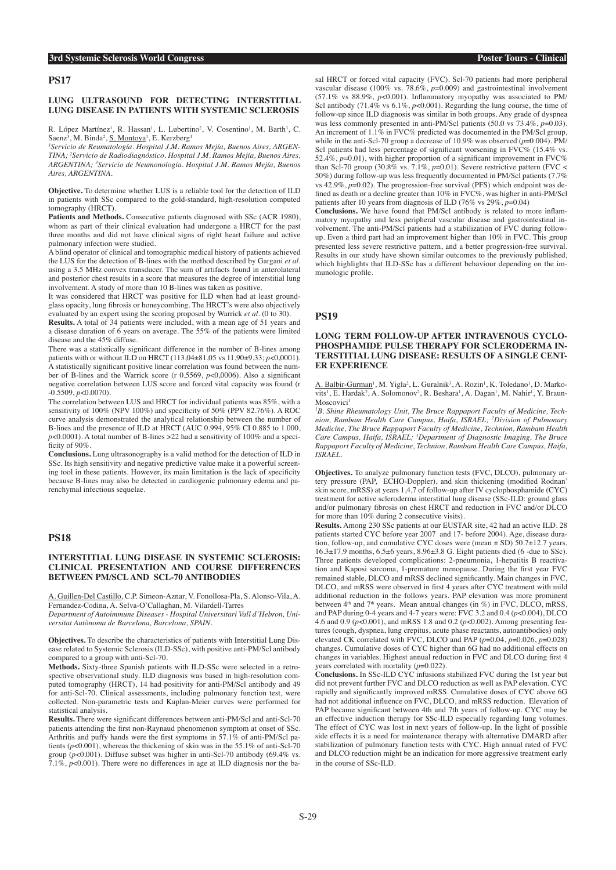### **LUNG ULTRASOUND FOR DETECTING INTERSTITIAL LUNG DISEASE IN PATIENTS WITH SYSTEMIC SCLEROSIS**

R. López Martínez<sup>1</sup>, R. Hassan<sup>1</sup>, L. Lubertino<sup>2</sup>, V. Cosentino<sup>1</sup>, M. Barth<sup>3</sup>, C. Saenz<sup>3</sup>, M. Binda<sup>2</sup>, <u>S. Montoya</u><sup>1</sup>, E. Kerzberg<sup>1</sup>

*1 Servicio de Reumatología. Hospital J.M. Ramos Mejía, Buenos Aires, ARGEN-TINA; 2 Servicio de Radiodiagnóstico. Hospital J.M. Ramos Mejía, Buenos Aires, ARGENTINA; 3 Servicio de Neumonología. Hospital J.M. Ramos Mejía, Buenos Aires, ARGENTINA.*

**Objective.** To determine whether LUS is a reliable tool for the detection of ILD in patients with SSc compared to the gold-standard, high-resolution computed tomography (HRCT).

Patients and Methods. Consecutive patients diagnosed with SSc (ACR 1980), whom as part of their clinical evaluation had undergone a HRCT for the past three months and did not have clinical signs of right heart failure and active pulmonary infection were studied.

A blind operator of clinical and tomographic medical history of patients achieved the LUS for the detection of B-lines with the method described by Gargani *et al.* using a 3.5 MHz convex transducer. The sum of artifacts found in anterolateral and posterior chest results in a score that measures the degree of interstitial lung involvement. A study of more than 10 B-lines was taken as positive.

It was considered that HRCT was positive for ILD when had at least groundglass opacity, lung fibrosis or honeycombing. The HRCT's were also objectively evaluated by an expert using the scoring proposed by Warrick *et al.* (0 to 30).

**Results.** A total of 34 patients were included, with a mean age of 51 years and a disease duration of  $6$  years on average. The 55% of the patients were limited disease and the 45% diffuse.

There was a statistically significant difference in the number of B-lines among patients with or without ILD on HRCT (113,04 $\pm$ 81,05 vs 11,90 $\pm$ 9,33; *p*<0,0001). A statistically significant positive linear correlation was found between the number of B-lines and the Warrick score (r 0,5569, *p*<0,0006). Also a significant negative correlation between LUS score and forced vital capacity was found (r  $-0.5509$   $p < 0.0070$ ).

The correlation between LUS and HRCT for individual patients was 85%, with a sensitivity of 100% (NPV 100%) and specificity of 50% (PPV 82.76%). A ROC curve analysis demonstrated the analytical relationship between the number of B-lines and the presence of ILD at HRCT (AUC 0.994, 95% CI 0.885 to 1.000, *p*<0.0001). A total number of B-lines >22 had a sensitivity of 100% and a specificity of 90%.

**Conclusions.** Lung ultrasonography is a valid method for the detection of ILD in SSc. Its high sensitivity and negative predictive value make it a powerful screening tool in these patients. However, its main limitation is the lack of specificity because B-lines may also be detected in cardiogenic pulmonary edema and parenchymal infectious sequelae.

# **PS18**

### **INTERSTITIAL LUNG DISEASE IN SYSTEMIC SCLEROSIS: CLINICAL PRESENTATION AND COURSE DIFFERENCES BETWEEN PM/SCL AND SCL-70 ANTIBODIES**

A. Guillen-Del Castillo, C.P. Simeon-Aznar, V. Fonollosa-Pla, S. Alonso-Vila, A. Fernandez-Codina, A. Selva-O'Callaghan, M. Vilardell-Tarres

*Department of Autoimmune Diseases - Hospital Universitari Vall d´Hebron, Universitat Autònoma de Barcelona, Barcelona, SPAIN.*

**Objectives.** To describe the characteristics of patients with Interstitial Lung Disease related to Systemic Sclerosis (ILD-SSc), with positive anti-PM/Scl antibody compared to a group with anti-Scl-70.

**Methods.** Sixty-three Spanish patients with ILD-SSc were selected in a retrospective observational study. ILD diagnosis was based in high-resolution computed tomography (HRCT), 14 had positivity for anti-PM/Scl antibody and 49 for anti-Scl-70. Clinical assessments, including pulmonary function test, were collected. Non-parametric tests and Kaplan-Meier curves were performed for statistical analysis.

**Results.** There were significant differences between anti-PM/Scl and anti-Scl-70 patients attending the first non-Raynaud phenomenon symptom at onset of SSc. Arthritis and puffy hands were the first symptoms in  $57.1\%$  of anti-PM/Scl patients  $(p<0.001)$ , whereas the thickening of skin was in the 55.1% of anti-Scl-70 group  $(p<0.001)$ . Diffuse subset was higher in anti-Scl-70 antibody (69.4% vs.  $7.1\%$ ,  $p<0.001$ ). There were no differences in age at ILD diagnosis nor the ba-

sal HRCT or forced vital capacity (FVC). Scl-70 patients had more peripheral vascular disease (100% vs. 78.6%, *p*=0.009) and gastrointestinal involvement (57.1% vs 88.9%, *p*<0.001). Inflammatory myopathy was associated to PM/ Scl antibody (71.4% vs 6.1%, *p*<0.001). Regarding the lung course, the time of follow-up since ILD diagnosis was similar in both groups. Any grade of dyspnea was less commonly presented in anti-PM/Scl patients (50.0 vs 73.4%, *p*=0.03). An increment of  $1.1\%$  in FVC% predicted was documented in the PM/Scl group, while in the anti-Scl-70 group a decrease of 10.9% was observed  $(p=0.004)$ . PM/ Scl patients had less percentage of significant worsening in FVC% (15.4% vs. 52.4%, *p*=0.01), with higher proportion of a significant improvement in FVC% than Scl-70 group (30.8% vs.  $7.1\%$ ,  $p=0.01$ ). Severe restrictive pattern (FVC < 50%) during follow-up was less frequently documented in PM/Scl patients (7.7% vs 42.9%, *p*=0.02). The progression-free survival (PFS) which endpoint was defined as death or a decline greater than 10% in FVC%, was higher in anti-PM/Scl patients after 10 years from diagnosis of ILD (76% vs 29%, *p*=0.04)

**Conclusions.** We have found that PM/Scl antibody is related to more inflammatory myopathy and less peripheral vascular disease and gastrointestinal involvement. The anti-PM/Scl patients had a stabilization of FVC during followup. Even a third part had an improvement higher than 10% in FVC. This group presented less severe restrictive pattern, and a better progression-free survival. Results in our study have shown similar outcomes to the previously published, which highlights that ILD-SSc has a different behaviour depending on the immunologic profile.

### **PS19**

### **LONG TERM FOLLOW-UP AFTER INTRAVENOUS CYCLO-PHOSPHAMIDE PULSE THERAPY FOR SCLERODERMA IN-TERSTITIAL LUNG DISEASE: RESULTS OF A SINGLE CENT-ER EXPERIENCE**

A. Balbir-Gurman<sup>1</sup>, M. Yigla<sup>2</sup>, L. Guralnik<sup>3</sup>, A. Rozin<sup>1</sup>, K. Toledano<sup>1</sup>, D. Markovits<sup>1</sup>, E. Hardak<sup>2</sup>, A. Solomonov<sup>2</sup>, R. Beshara<sup>1</sup>, A. Dagan<sup>1</sup>, M. Nahir<sup>1</sup>, Y. Braun-Moscovici<sup>1</sup>

*1 B. Shine Rheumatology Unit, The Bruce Rappaport Faculty of Medicine, Technion, Rambam Health Care Campus, Haifa, ISRAEL; 2 Division of Pulmonary Medicine, The Bruce Rappaport Faculty of Medicine, Technion, Rambam Health Care Campus, Haifa, ISRAEL; 3 Department of Diagnostic Imaging, The Bruce Rappaport Faculty of Medicine, Technion, Rambam Health Care Campus, Haifa, ISRAEL.*

**Objectives.** To analyze pulmonary function tests (FVC, DLCO), pulmonary artery pressure (PAP, ECHO-Doppler), and skin thickening (modified Rodnan' skin score, mRSS) at years 1,4,7 of follow-up after IV cyclophosphamide (CYC) treatment for active scleroderma interstitial lung disease (SSc-ILD: ground glass and/or pulmonary fibrosis on chest HRCT and reduction in FVC and/or DLCO for more than 10% during 2 consecutive visits).

**Results.** Among 230 SSc patients at our EUSTAR site, 42 had an active ILD. 28 patients started CYC before year 2007 and 17- before 2004). Age, disease duration, follow-up, and cumulative CYC doses were (mean  $\pm$  SD) 50.7 $\pm$ 12.7 years,  $16.3\pm17.9$  months,  $6.5\pm6$  years,  $8.96\pm3.8$  G. Eight patients died (6 -due to SSc). Three patients developed complications: 2-pneumonia, 1-hepatitis B reactivation and Kaposi sarcoma, 1-premature menopause. During the first year FVC remained stable, DLCO and mRSS declined significantly. Main changes in FVC, DLCO, and mRSS were observed in first 4 years after CYC treatment with mild additional reduction in the follows years. PAP elevation was more prominent between 4<sup>th</sup> and 7<sup>th</sup> years. Mean annual changes (in %) in FVC, DLCO, mRSS, and PAP during 0-4 years and 4-7 years were: FVC 3.2 and 0.4 (*p*<0.004), DLCO 4.6 and 0.9 (*p*<0.001), and mRSS 1.8 and 0.2 (*p*<0.002). Among presenting features (cough, dyspnea, lung crepitus, acute phase reactants, autoantibodies) only elevated CK correlated with FVC, DLCO and PAP (*p*=0.04, *p*=0.026, *p*=0.028) changes. Cumulative doses of CYC higher than 6G had no additional effects on changes in variables. Highest annual reduction in FVC and DLCO during first 4 years correlated with mortality ( $p=0.022$ ).

**Conclusions.** In SSc-ILD CYC infusions stabilized FVC during the 1st year but did not prevent further FVC and DLCO reduction as well as PAP elevation. CYC rapidly and significantly improved mRSS. Cumulative doses of CYC above 6G had not additional influence on FVC, DLCO, and mRSS reduction. Elevation of PAP became significant between 4th and 7th years of follow-up. CYC may be an effective induction therapy for SSc-ILD especially regarding lung volumes. The effect of CYC was lost in next years of follow-up. In the light of possible side effects it is a need for maintenance therapy with alternative DMARD after stabilization of pulmonary function tests with CYC. High annual rated of FVC and DLCO reduction might be an indication for more aggressive treatment early in the course of SSc-ILD.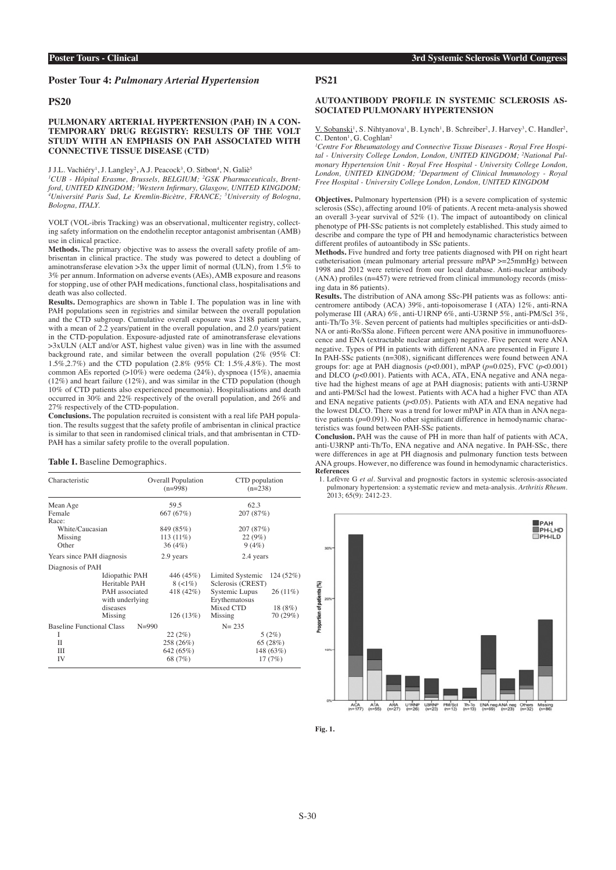## **Poster Tour 4:** *Pulmonary Arterial Hypertension*

### **PS20**

### **PULMONARY ARTERIAL HYPERTENSION (PAH) IN A CON-TEMPORARY DRUG REGISTRY: RESULTS OF THE VOLT STUDY WITH AN EMPHASIS ON PAH ASSOCIATED WITH CONNECTIVE TISSUE DISEASE (CTD)**

#### J J.L. Vachiéry<sup>1</sup>, J. Langley<sup>2</sup>, A.J. Peacock<sup>3</sup>, O. Sitbon<sup>4</sup>, N. Galiè<sup>5</sup>

*1 CUB - Hôpital Erasme, Brussels, BELGIUM; 2 GSK Pharmaceuticals, Brentford, UNITED KINGDOM; 3 Western Infirmary, Glasgow, UNITED KINGDOM; 4 Université Paris Sud, Le Kremlin-Bicètre, FRANCE; 5 University of Bologna, Bologna, ITALY.*

VOLT (VOL-ibris Tracking) was an observational, multicenter registry, collecting safety information on the endothelin receptor antagonist ambrisentan (AMB) use in clinical practice.

**Methods.** The primary objective was to assess the overall safety profile of ambrisentan in clinical practice. The study was powered to detect a doubling of aminotransferase elevation >3x the upper limit of normal (ULN), from  $1.5\%$  to 3% per annum. Information on adverse events (AEs), AMB exposure and reasons for stopping, use of other PAH medications, functional class, hospitalisations and death was also collected.

**Results.** Demographics are shown in Table I. The population was in line with PAH populations seen in registries and similar between the overall population and the CTD subgroup. Cumulative overall exposure was 2188 patient years, with a mean of  $2.2$  years/patient in the overall population, and  $2.0$  years/patient in the CTD-population. Exposure-adjusted rate of aminotransferase elevations >3xULN (ALT and/or AST, highest value given) was in line with the assumed background rate, and similar between the overall population (2% (95% CI: 1.5%,2.7%) and the CTD population (2.8% (95% CI: 1.5%,4.8%). The most common AEs reported (>10%) were oedema (24%), dyspnoea (15%), anaemia (12%) and heart failure (12%), and was similar in the CTD population (though 10% of CTD patients also experienced pneumonia). Hospitalisations and death occurred in 30% and 22% respectively of the overall population, and 26% and 27% respectively of the CTD-population.

**Conclusions.** The population recruited is consistent with a real life PAH population. The results suggest that the safety profile of ambrisentan in clinical practice is similar to that seen in randomised clinical trials, and that ambrisentan in CTD-PAH has a similar safety profile to the overall population.

|  |  |  | Table I. Baseline Demographics. |  |
|--|--|--|---------------------------------|--|
|--|--|--|---------------------------------|--|

| Characteristic                   | Overall Population<br>$(n=998)$ | CTD population<br>$(n=238)$ |            |  |
|----------------------------------|---------------------------------|-----------------------------|------------|--|
| Mean Age                         | 59.5                            | 62.3                        |            |  |
| Female                           | 667 (67%)                       | 207 (87%)                   |            |  |
| Race:                            |                                 |                             |            |  |
| White/Caucasian                  | 849 (85%)                       | 207(87%)                    |            |  |
| Missing                          | $113(11\%)$                     | 22(9%)                      |            |  |
| Other                            | 36(4%)                          | 9(4%)                       |            |  |
| Years since PAH diagnosis        | 2.9 years                       | 2.4 years                   |            |  |
| Diagnosis of PAH                 |                                 |                             |            |  |
| Idiopathic PAH                   | 446 (45%)                       | Limited Systemic            | 124(52%)   |  |
| Heritable PAH                    | $8 (< 1\%)$                     | Sclerosis (CREST)           |            |  |
| PAH associated                   | 418 (42\%)                      | Systemic Lupus              | $26(11\%)$ |  |
| with underlying                  |                                 | Erythematosus               |            |  |
| diseases                         |                                 | Mixed CTD                   | 18(8%)     |  |
| Missing                          | 126(13%)                        | Missing                     | 70 (29%)   |  |
| <b>Baseline Functional Class</b> | $N = 990$                       | $N = 235$                   |            |  |
| I                                | 22(2%)                          |                             | 5(2%)      |  |
| П                                | 258 (26%)                       |                             | 65(28%)    |  |
| Ш                                | 642 (65%)                       | 148 (63%)                   |            |  |
| IV                               | 68 (7%)                         | 17(7%)                      |            |  |

# **PS21**

### **AUTOANTIBODY PROFILE IN SYSTEMIC SCLEROSIS AS-SOCIATED PULMONARY HYPERTENSION**

 $V.$  Sobanski<sup>1</sup>, S. Nihtyanova<sup>1</sup>, B. Lynch<sup>1</sup>, B. Schreiber<sup>2</sup>, J. Harvey<sup>3</sup>, C. Handler<sup>2</sup>, C. Denton<sup>1</sup>, G. Coghlan<sup>2</sup>

*1 Centre For Rheumatology and Connective Tissue Diseases - Royal Free Hospi*tal - University College London, London, UNITED KINGDOM; <sup>2</sup>National Pul*monary Hypertension Unit - Royal Free Hospital - University College London, London, UNITED KINGDOM; 3 Department of Clinical Immunology - Royal Free Hospital - University College London, London, UNITED KINGDOM*

**Objectives.** Pulmonary hypertension (PH) is a severe complication of systemic sclerosis (SSc), affecting around 10% of patients. A recent meta-analysis showed an overall 3-year survival of 52% (1). The impact of autoantibody on clinical phenotype of PH-SSc patients is not completely established. This study aimed to describe and compare the type of PH and hemodynamic characteristics between different profiles of autoantibody in SSc patients.

**Methods.** Five hundred and forty tree patients diagnosed with PH on right heart catheterisation (mean pulmonary arterial pressure mPAP >=25mmHg) between 1998 and 2012 were retrieved from our local database. Anti-nuclear antibody (ANA) profiles (n=457) were retrieved from clinical immunology records (missing data in 86 patients).

**Results.** The distribution of ANA among SSc-PH patients was as follows: anticentromere antibody (ACA) 39%, anti-topoisomerase I (ATA) 12%, anti-RNA polymerase III (ARA) 6%, anti-U1RNP 6%, anti-U3RNP 5%, anti-PM/Scl 3%, anti-Th/To 3%. Seven percent of patients had multiples specificities or anti-dsD-NA or anti-Ro/SSa alone. Fifteen percent were ANA positive in immunofluorescence and ENA (extractable nuclear antigen) negative. Five percent were ANA negative. Types of PH in patients with different ANA are presented in Figure 1. In PAH-SSc patients (n=308), significant differences were found between ANA groups for: age at PAH diagnosis  $(p<0.001)$ , mPAP  $(p=0.025)$ , FVC  $(p<0.001)$ and DLCO ( $p$ <0.001). Patients with ACA, ATA, ENA negative and ANA negative had the highest means of age at PAH diagnosis; patients with anti-U3RNP and anti-PM/Scl had the lowest. Patients with ACA had a higher FVC than ATA and ENA negative patients (*p*<0.05). Patients with ATA and ENA negative had the lowest DLCO. There was a trend for lower mPAP in ATA than in ANA negative patients ( $p=0.091$ ). No other significant difference in hemodynamic characteristics was found between PAH-SSc patients.

**Conclusion.** PAH was the cause of PH in more than half of patients with ACA, anti-U3RNP anti-Th/To, ENA negative and ANA negative. In PAH-SSc, there were differences in age at PH diagnosis and pulmonary function tests between ANA groups. However, no difference was found in hemodynamic characteristics. **References**

 1. Lefèvre G *et al*. Survival and prognostic factors in systemic sclerosis-associated pulmonary hypertension: a systematic review and meta-analysis. *Arthritis Rheum*. 2013; 65(9): 2412-23.



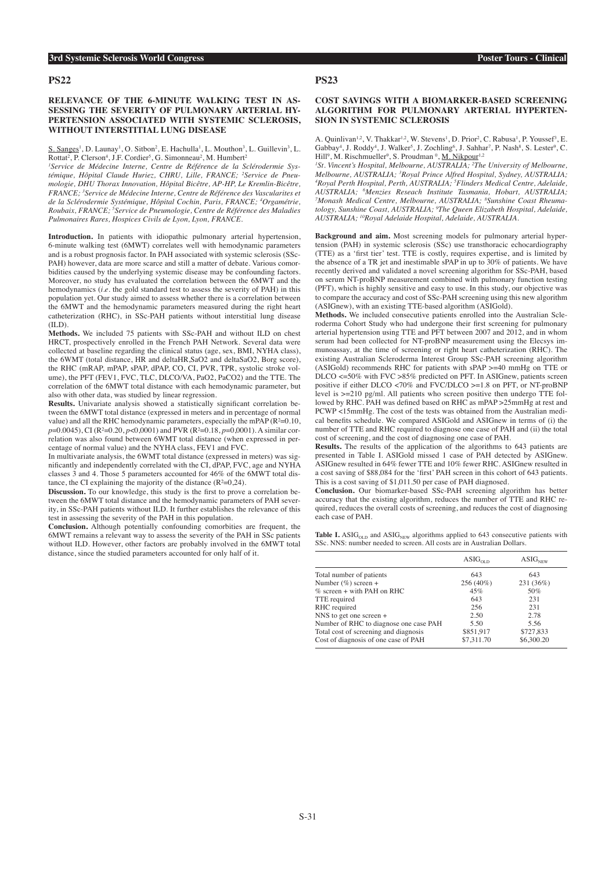### **RELEVANCE OF THE 6-MINUTE WALKING TEST IN AS-SESSING THE SEVERITY OF PULMONARY ARTERIAL HY-PERTENSION ASSOCIATED WITH SYSTEMIC SCLEROSIS, WITHOUT INTERSTITIAL LUNG DISEASE**

 $S.$  Sanges<sup>1</sup>, D. Launay<sup>1</sup>, O. Sitbon<sup>2</sup>, E. Hachulla<sup>1</sup>, L. Mouthon<sup>3</sup>, L. Guillevin<sup>3</sup>, L. Rottat<sup>2</sup>, P. Clerson<sup>4</sup>, J.F. Cordier<sup>5</sup>, G. Simonneau<sup>2</sup>, M. Humbert<sup>2</sup>

*1 Service de Médecine Interne, Centre de Référence de la Sclérodermie Systémique, Hôpital Claude Huriez, CHRU, Lille, FRANCE; 2 Service de Pneumologie, DHU Thorax Innovation, Hôpital Bicêtre, AP-HP, Le Kremlin-Bicêtre, FRANCE; 3 Service de Médecine Interne, Centre de Référence des Vascularites et de la Sclérodermie Systémique, Hôpital Cochin, Paris, FRANCE; 4 Orgamétrie, Roubaix, FRANCE; 5 Service de Pneumologie, Centre de Référence des Maladies Pulmonaires Rares, Hospices Civils de Lyon, Lyon, FRANCE.*

**Introduction.** In patients with idiopathic pulmonary arterial hypertension, 6-minute walking test (6MWT) correlates well with hemodynamic parameters and is a robust prognosis factor. In PAH associated with systemic sclerosis (SSc-PAH) however, data are more scarce and still a matter of debate. Various comorbidities caused by the underlying systemic disease may be confounding factors. Moreover, no study has evaluated the correlation between the 6MWT and the hemodynamics (*i.e.* the gold standard test to assess the severity of PAH) in this population yet. Our study aimed to assess whether there is a correlation between the 6MWT and the hemodynamic parameters measured during the right heart catheterization (RHC), in SSc-PAH patients without interstitial lung disease  $(II.D)$ .

**Methods.** We included 75 patients with SSc-PAH and without ILD on chest HRCT, prospectively enrolled in the French PAH Network. Several data were collected at baseline regarding the clinical status (age, sex, BMI, NYHA class), the 6WMT (total distance, HR and deltaHR,SaO2 and deltaSaO2, Borg score), the RHC (mRAP, mPAP, sPAP, dPAP, CO, CI, PVR, TPR, systolic stroke volume), the PFT (FEV1, FVC, TLC, DLCO/VA, PaO2, PaCO2) and the TTE. The correlation of the 6MWT total distance with each hemodynamic parameter, but also with other data, was studied by linear regression.

**Results.** Univariate analysis showed a statistically significant correlation between the 6MWT total distance (expressed in meters and in percentage of normal value) and all the RHC hemodynamic parameters, especially the mPAP  $(R^2=0.10$ , *p*=0.0045), CI (R²=0.20, *p*<0,0001) and PVR (R²=0.18, *p*=0,0001). A similar correlation was also found between 6WMT total distance (when expressed in percentage of normal value) and the NYHA class, FEV1 and FVC.

In multivariate analysis, the 6WMT total distance (expressed in meters) was significantly and independently correlated with the CI, dPAP, FVC, age and NYHA classes 3 and 4. Those 5 parameters accounted for 46% of the 6MWT total distance, the CI explaining the majority of the distance  $(R<sup>2</sup>=0,24)$ .

**Discussion.** To our knowledge, this study is the first to prove a correlation between the 6MWT total distance and the hemodynamic parameters of PAH severity, in SSc-PAH patients without ILD. It further establishes the relevance of this test in assessing the severity of the PAH in this population.

**Conclusion.** Although potentially confounding comorbities are frequent, the 6MWT remains a relevant way to assess the severity of the PAH in SSc patients without ILD. However, other factors are probably involved in the 6MWT total distance, since the studied parameters accounted for only half of it.

# **PS23**

### **COST SAVINGS WITH A BIOMARKER-BASED SCREENING ALGORITHM FOR PULMONARY ARTERIAL HYPERTEN-SION IN SYSTEMIC SCLEROSIS**

A. Quinlivan<sup>1,2</sup>, V. Thakkar<sup>1,2</sup>, W. Stevens<sup>1</sup>, D. Prior<sup>2</sup>, C. Rabusa<sup>1</sup>, P. Youssef<sup>3</sup>, E.  $G$ abbay<sup>4</sup>, J. Roddy<sup>4</sup>, J. Walker<sup>5</sup>, J. Zochling<sup>6</sup>, J. Sahhar<sup>7</sup>, P. Nash<sup>8</sup>, S. Lester<sup>9</sup>, C.

Hill°, M. Rischmueller°, S. Proudman <sup>0</sup>, <u>M. Nikpourland Bureure, And Bureure, B. New York Bureure, S. Vincent's Hospital, Melbourne, AUSTRALIA; <sup>2</sup>The University of Melbourne,</u> *Melbourne, AUSTRALIA; 3 Royal Prince Alfred Hospital, Sydney, AUSTRALIA; 4 Royal Perth Hospital, Perth, AUSTRALIA; 5 Flinders Medical Centre, Adelaide, AUSTRALIA; 6 Menzies Reseach Institute Tasmania, Hobart, AUSTRALIA; 7 Monash Medical Centre, Melbourne, AUSTRALIA; 8 Sunshine Coast Rheumatology, Sunshine Coast, AUSTRALIA; 9 The Queen Elizabeth Hospital, Adelaide, AUSTRALIA; 10Royal Adelaide Hospital, Adelaide, AUSTRALIA.*

**Background and aim.** Most screening models for pulmonary arterial hypertension (PAH) in systemic sclerosis (SSc) use transthoracic echocardiography (TTE) as a 'first tier' test. TTE is costly, requires expertise, and is limited by the absence of a TR jet and inestimable sPAP in up to 30% of patients. We have recently derived and validated a novel screening algorithm for SSc-PAH, based on serum NT-proBNP measurement combined with pulmonary function testing (PFT), which is highly sensitive and easy to use. In this study, our objective was to compare the accuracy and cost of SSc-PAH screening using this new algorithm (ASIGnew), with an existing TTE-based algorithm (ASIGold).

**Methods.** We included consecutive patients enrolled into the Australian Scleroderma Cohort Study who had undergone their first screening for pulmonary arterial hypertension using TTE and PFT between 2007 and 2012, and in whom serum had been collected for NT-proBNP measurement using the Elecsys immunoassay, at the time of screening or right heart catheterization (RHC). The existing Australian Scleroderma Interest Group SSc-PAH screening algorithm (ASIGold) recommends RHC for patients with sPAP >=40 mmHg on TTE or DLCO <=50% with FVC >85% predicted on PFT. In ASIGnew, patients screen positive if either DLCO <70% and FVC/DLCO >=1.8 on PFT, or NT-proBNP level is >=210 pg/ml. All patients who screen positive then undergo TTE followed by RHC. PAH was defined based on RHC as mPAP > 25mmHg at rest and PCWP <15mmHg. The cost of the tests was obtained from the Australian medical benefits schedule. We compared ASIGold and ASIGnew in terms of (i) the number of TTE and RHC required to diagnose one case of PAH and (ii) the total cost of screening, and the cost of diagnosing one case of PAH.

**Results.** The results of the application of the algorithms to 643 patients are presented in Table I. ASIGold missed 1 case of PAH detected by ASIGnew. ASIGnew resulted in 64% fewer TTE and 10% fewer RHC. ASIGnew resulted in a cost saving of \$88,084 for the 'first' PAH screen in this cohort of 643 patients. This is a cost saving of \$1,011.50 per case of PAH diagnosed.

**Conclusion.** Our biomarker-based SSc-PAH screening algorithm has better accuracy that the existing algorithm, reduces the number of TTE and RHC required, reduces the overall costs of screening, and reduces the cost of diagnosing each case of PAH.

Table I.  $\mathrm{ASIG}_{\mathrm{OLD}}$  and  $\mathrm{ASIG}_{\mathrm{NEW}}$  algorithms applied to 643 consecutive patients with SSc. NNS: number needed to screen. All costs are in Australian Dollars.

|                                        | $\mathrm{ASIG}_{\alpha \mathrm{D}}$ | $\text{ASIG}_{\text{NFW}}$ |
|----------------------------------------|-------------------------------------|----------------------------|
| Total number of patients               | 643                                 | 643                        |
| Number $(\%)$ screen +                 | 256 (40%)                           | 231 (36%)                  |
| $\%$ screen + with PAH on RHC          | 45%                                 | 50%                        |
| TTE required                           | 643                                 | 231                        |
| RHC required                           | 256                                 | 231                        |
| NNS to get one screen $+$              | 2.50                                | 2.78                       |
| Number of RHC to diagnose one case PAH | 5.50                                | 5.56                       |
| Total cost of screening and diagnosis  | \$851.917                           | \$727,833                  |
| Cost of diagnosis of one case of PAH   | \$7,311.70                          | \$6,300.20                 |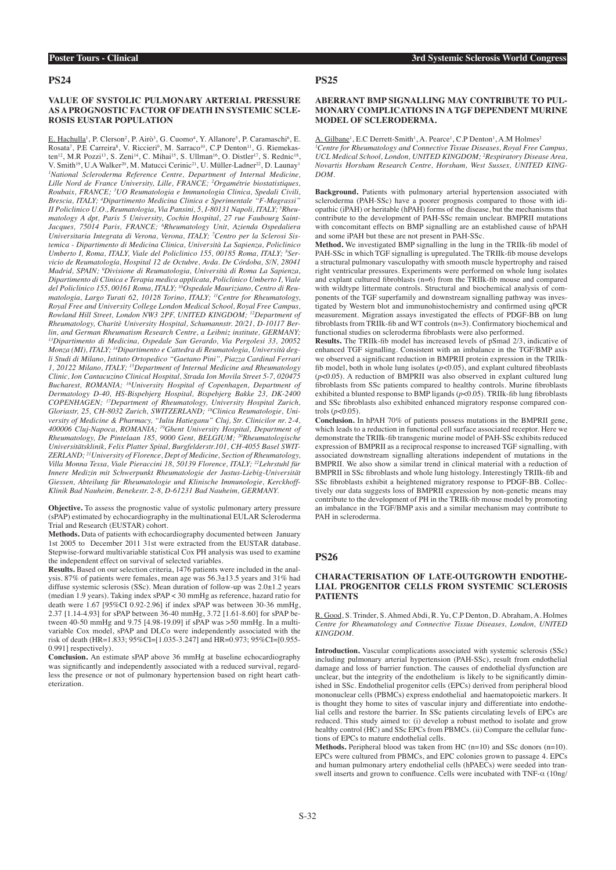#### **PS25**

### **VALUE OF SYSTOLIC PULMONARY ARTERIAL PRESSURE AS A PROGNOSTIC FACTOR OF DEATH IN SYSTEMIC SCLE-ROSIS EUSTAR POPULATION**

E. Hachulla<sup>1</sup>, P. Clerson<sup>2</sup>, P. Airò<sup>3</sup>, G. Cuomo<sup>4</sup>, Y. Allanore<sup>5</sup>, P. Caramaschi<sup>6</sup>, E. Rosata<sup>7</sup>, P.E Carreira<sup>8</sup>, V. Riccieri<sup>9</sup>, M. Sarraco<sup>10</sup>, C.P Denton<sup>11</sup>, G. Riemekasten<sup>12</sup>, M.R Pozzi<sup>13</sup>, S. Zeni<sup>14</sup>, C. Mihai<sup>15</sup>, S. Ullman<sup>16</sup>, O. Distler<sup>17</sup>, S. Rednic<sup>18</sup>, V. Smith<sup>19</sup>, U.A Walker<sup>20</sup>, M. Matucci Cerinic<sup>21</sup>, U. Müller-Ladner<sup>22</sup>, D. Launay<sup>1</sup> <sup>1</sup> National Scleroderma Reference Centre, Department of Internal Medicine, *Lille Nord de France University, Lille, FRANCE; 2 Orgamétrie biostatistiques, Roubaix, FRANCE; 3 UO Reumatologia e Immunologia Clinica, Spedali Civili, Brescia, ITALY; 4 Dipartimento Medicina Clinica e Sperimentale "F-Magrassi" II Policlinico U.O., Reumatologia, Via Pansini, 5, I-80131 Napoli, ITALY; 5 Rheumatology A dpt, Paris 5 University, Cochin Hospital, 27 rue Faubourg Saint-Jacques, 75014 Paris, FRANCE; 6 Rheumatology Unit, Azienda Ospedaliera Universitaria Integrata di Verona, Verona, ITALY; 7 Centro per la Sclerosi Sistemica - Dipartimento di Medicina Clinica, Università La Sapienza, Policlinico Umberto I, Roma, ITALY, Viale del Policlinico 155, 00185 Roma, ITALY; 8 Servicio de Reumatología, Hospital 12 de Octubre, Avda. De Córdoba, S/N, 28041 Madrid, SPAIN; 9 Divisione di Reumatologia, Università di Roma La Sapienza, Dipartimento di Clinica e Terapia medica applicata, Policlinico Umberto I, Viale del Policlinico 155, 00161 Roma, ITALY; 10Ospedale Mauriziano, Centro di Reumatologia, Largo Turati 62, 10128 Torino, ITALY; 11Centre for Rheumatology, Royal Free and University College London Medical School, Royal Free Campus, Rowland Hill Street, London NW3 2PF, UNITED KINGDOM; 12Department of Rheumatology, Charitè University Hospital, Schumannstr. 20/21, D-10117 Berlin, and German Rheumatism Research Centre, a Leibniz institute, GERMANY; 13Dipartimento di Medicina, Ospedale San Gerardo, Via Pergolesi 33, 20052 Monza (MI), ITALY; 14Dipartimento e Cattedra di Reumatologia, Università degli Studi di Milano, Istituto Ortopedico "Gaetano Pini", Piazza Cardinal Ferrari 1, 20122 Milano, ITALY; 15Department of Internal Medicine and Rheumatology Clinic, Ion Cantacuzino Clinical Hospital, Strada Ion Movila Street 5-7, 020475 Bucharest, ROMANIA; 16University Hospital of Copenhagen, Department of Dermatology D-40, HS-Bispebjerg Hospital, Bispebjerg Bakke 23, DK-2400 COPENHAGEN; 17Department of Rheumatology, University Hospital Zurich, Gloriastr, 25, CH-8032 Zurich, SWITZERLAND; 18Clinica Reumatologie, University of Medicine & Pharmacy, "Iuliu Hatieganu" Cluj, Str. Clinicilor nr. 2-4, 400006 Cluj-Napoca, ROMANIA; 19Ghent University Hospital, Department of Rheumatology, De Pintelaan 185, 9000 Gent, BELGIUM; 20Rheumatologische Universitätsklinik, Felix Platter Spital, Burgfelderstr.101, CH-4055 Basel SWIT-ZERLAND; 21University of Florence, Dept of Medicine, Section of Rheumatology, Villa Monna Tessa, Viale Pieraccini 18, 50139 Florence, ITALY; 22Lehrstuhl für Innere Medizin mit Schwerpunkt Rheumatologie der Justus-Liebig-Universität Giessen, Abteilung für Rheumatologie und Klinische Immunologie, Kerckhoff-Klinik Bad Nauheim, Benekestr. 2-8, D-61231 Bad Nauheim, GERMANY.*

**Objective.** To assess the prognostic value of systolic pulmonary artery pressure (sPAP) estimated by echocardiography in the multinational EULAR Scleroderma Trial and Research (EUSTAR) cohort.

**Methods.** Data of patients with echocardiography documented between January 1st 2005 to December 2011 31st were extracted from the EUSTAR database. Stenwise-forward multivariable statistical Cox PH analysis was used to examine the independent effect on survival of selected variables.

**Results.** Based on our selection criteria, 1476 patients were included in the analysis. 87% of patients were females, mean age was 56.3±13.5 years and 31% had diffuse systemic sclerosis (SSc). Mean duration of follow-up was 2.0±1.2 years (median 1.9 years). Taking index sPAP < 30 mmHg as reference, hazard ratio for death were 1.67 [95%CI 0.92-2.96] if index sPAP was between 30-36 mmHg, 2.37 [1.14-4.93] for sPAP between 36-40 mmHg, 3.72 [1.61-8.60] for sPAP between 40-50 mmHg and 9.75 [4.98-19.09] if sPAP was >50 mmHg. In a multivariable Cox model, sPAP and DLCo were independently associated with the risk of death (HR=1.833; 95%CI=[1.035-3.247] and HR=0.973; 95%CI=[0.955- 0.991] respectively).

**Conclusion.** An estimate sPAP above 36 mmHg at baseline echocardiography was significantly and independently associated with a reduced survival, regardless the presence or not of pulmonary hypertension based on right heart catheterization.

### **ABERRANT BMP SIGNALLING MAY CONTRIBUTE TO PUL-MONARY COMPLICATIONS IN A TGF DEPENDENT MURINE MODEL OF SCLERODERMA.**

A. Gilbane<sup>1</sup>, E.C Derrett-Smith<sup>1</sup>, A. Pearce<sup>1</sup>, C.P Denton<sup>1</sup>, A.M Holmes<sup>2</sup> <sup>1</sup> Centre for Rheumatology and Connective Tissue Diseases, Royal Free Campus, *UCL Medical School, London, UNITED KINGDOM; 2 Respiratory Disease Area, Novartis Horsham Research Centre, Horsham, West Sussex, UNITED KING-DOM.*

**Background.** Patients with pulmonary arterial hypertension associated with scleroderma (PAH-SSc) have a poorer prognosis compared to those with idiopathic (iPAH) or heritable (hPAH) forms of the disease, but the mechanisms that contribute to the development of PAH-SSc remain unclear. BMPRII mutations with concomitant effects on BMP signalling are an established cause of hPAH and some iPAH but these are not present in PAH-SSc.

**Method.** We investigated BMP signalling in the lung in the TRIIk-fib model of PAH-SSc in which TGF signalling is upregulated. The TRIIk-fib mouse develops a structural pulmonary vasculopathy with smooth muscle hypertrophy and raised right ventricular pressures. Experiments were performed on whole lung isolates and explant cultured fibroblasts (n=6) from the TRIIk-fib mouse and compared with wildtype littermate controls. Structural and biochemical analysis of components of the TGF superfamily and downstream signalling pathway was investigated by Western blot and immunohistochemistry and confirmed using qPCR measurement. Migration assays investigated the effects of PDGF-BB on lung fibroblasts from TRIIk-fib and WT controls (n=3). Confirmatory biochemical and functional studies on scleroderma fibroblasts were also performed.

**Results.** The TRIIk-fib model has increased levels of pSmad 2/3, indicative of enhanced TGF signalling. Consistent with an imbalance in the TGF/BMP axis we observed a significant reduction in BMPRII protein expression in the TRIIkfib model, both in whole lung isolates  $(p<0.05)$ , and explant cultured fibroblasts (*p*<0.05). A reduction of BMPRII was also observed in explant cultured lung fibroblasts from SSc patients compared to healthy controls. Murine fibroblasts exhibited a blunted response to BMP ligands ( $p$ <0.05). TRIIk-fib lung fibroblasts and SSc fibroblasts also exhibited enhanced migratory response compared controls (*p*<0.05).

**Conclusion.** In hPAH 70% of patients possess mutations in the BMPRII gene, which leads to a reduction in functional cell surface associated receptor. Here we demonstrate the TRIIk-fib transgenic murine model of PAH-SSc exhibits reduced expression of BMPRII as a reciprocal response to increased TGF signalling, with associated downstream signalling alterations independent of mutations in the BMPRII. We also show a similar trend in clinical material with a reduction of BMPRII in SSc fibroblasts and whole lung histology. Interestingly TRIIk-fib and SSc fibroblasts exhibit a heightened migratory response to PDGF-BB. Collectively our data suggests loss of BMPRII expression by non-genetic means may contribute to the development of PH in the TRIIk-fib mouse model by promoting an imbalance in the TGF/BMP axis and a similar mechanism may contribute to PAH in scleroderma.

### **PS26**

### **CHARACTERISATION OF LATE-OUTGROWTH ENDOTHE-LIAL PROGENITOR CELLS FROM SYSTEMIC SCLEROSIS PATIENTS**

R. Good, S. Trinder, S. Ahmed Abdi, R. Yu, C.P Denton, D. Abraham, A. Holmes *Centre for Rheumatology and Connective Tissue Diseases, London, UNITED KINGDOM.*

**Introduction.** Vascular complications associated with systemic sclerosis (SSc) including pulmonary arterial hypertension (PAH-SSc), result from endothelial damage and loss of barrier function. The causes of endothelial dysfunction are unclear, but the integrity of the endothelium is likely to be significantly diminished in SSc. Endothelial progenitor cells (EPCs) derived from peripheral blood mononuclear cells (PBMCs) express endothelial and haematopoietic markers. It is thought they home to sites of vascular injury and differentiate into endothelial cells and restore the barrier. In SSc patients circulating levels of EPCs are reduced. This study aimed to: (i) develop a robust method to isolate and grow healthy control (HC) and SSc EPCs from PBMCs. (ii) Compare the cellular functions of EPCs to mature endothelial cells.

**Methods.** Peripheral blood was taken from HC (n=10) and SSc donors (n=10). EPCs were cultured from PBMCs, and EPC colonies grown to passage 4. EPCs and human pulmonary artery endothelial cells (hPAECs) were seeded into transwell inserts and grown to confluence. Cells were incubated with TNF-α (10ng/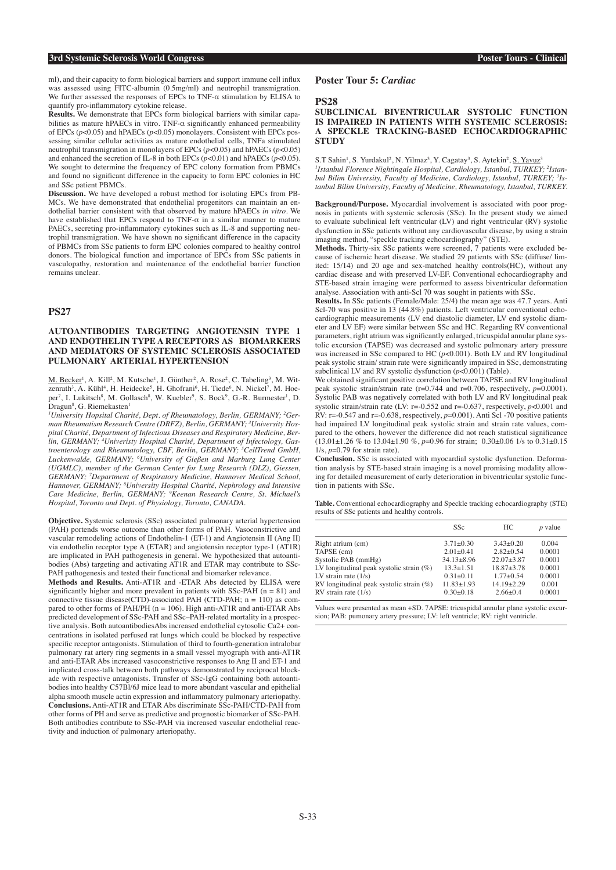#### **3rd Systemic Sclerosis World Congress Poster Tours - Clinical**

ml), and their capacity to form biological barriers and support immune cell influx was assessed using FITC-albumin (0.5mg/ml) and neutrophil transmigration. We further assessed the responses of EPCs to TNF-α stimulation by ELISA to quantify pro-inflammatory cytokine release.

**Results.** We demonstrate that EPCs form biological barriers with similar capabilities as mature hPAECs in vitro. TNF- $\alpha$  significantly enhanced permeability of EPCs (*p*<0.05) and hPAECs (*p*<0.05) monolayers. Consistent with EPCs possessing similar cellular activities as mature endothelial cells, TNFa stimulated neutrophil transmigration in monolayers of EPCs (*p*<0.05) and hPAECs (*p*<0.05) and enhanced the secretion of IL-8 in both EPCs  $(p<0.01)$  and hPAECs  $(p<0.05)$ . We sought to determine the frequency of EPC colony formation from PBMCs and found no significant difference in the capacity to form EPC colonies in HC and SSc patient PBMCs.

**Discussion.** We have developed a robust method for isolating EPCs from PB-MCs. We have demonstrated that endothelial progenitors can maintain an endothelial barrier consistent with that observed by mature hPAECs *in vitro.* We have established that EPCs respond to TNF- $\alpha$  in a similar manner to mature PAECs, secreting pro-inflammatory cytokines such as IL-8 and supporting neutrophil transmigration. We have shown no significant difference in the capacity of PBMCs from SSc patients to form EPC colonies compared to healthy control donors. The biological function and importance of EPCs from SSc patients in vasculopathy, restoration and maintenance of the endothelial barrier function remains unclear.

# **PS27**

## **AUTOANTIBODIES TARGETING ANGIOTENSIN TYPE 1 AND ENDOTHELIN TYPE A RECEPTORS AS BIOMARKERS AND MEDIATORS OF SYSTEMIC SCLEROSIS ASSOCIATED PULMONARY ARTERIAL HYPERTENSION**

M. Becker<sup>1</sup>, A. Kill<sup>2</sup>, M. Kutsche<sup>1</sup>, J. Günther<sup>2</sup>, A. Rose<sup>2</sup>, C. Tabeling<sup>3</sup>, M. Witzenrath<sup>3</sup>, A. Kühl<sup>4</sup>, H. Heidecke<sup>5</sup>, H. Ghofrani<sup>6</sup>, H. Tiede<sup>6</sup>, N. Nickel<sup>7</sup>, M. Hoeper<sup>7</sup>, I. Lukitsch<sup>8</sup>, M. Gollasch<sup>8</sup>, W. Kuebler<sup>9</sup>, S. Bock<sup>9</sup>, G.-R. Burmester<sup>1</sup>, D. Dragun<sup>8</sup>, G. Riemekasten<sup>1</sup>

<sup>1</sup>University Hopsital Charité, Dept. of Rheumatology, Berlin, GERMANY; <sup>2</sup>Ger*man Rheumatism Research Centre (DRFZ), Berlin, GERMANY; 3 University Hospital Charité, Department of Infectious Diseases and Respiratory Medicine, Berlin, GERMANY; 4 Univeristy Hospital Charité, Department of Infectology, Gastroenterology and Rheumatology, CBF, Berlin, GERMANY; 5 CellTrend GmbH, Luckenwalde, GERMANY; <sup>6</sup> University of Gießen and Marburg Lung Center (UGMLC), member of the German Center for Lung Research (DLZ), Giessen, GERMANY; 7 Department of Respiratory Medicine, Hannover Medical School, Hannover, GERMANY; 8 University Hospital Charité, Nephrology and Intensive Care Medicine, Berlin, GERMANY; 9 Keenan Research Centre, St. Michael's Hospital, Toronto and Dept. of Physiology, Toronto, CANADA.*

**Objective.** Systemic sclerosis (SSc) associated pulmonary arterial hypertension (PAH) portends worse outcome than other forms of PAH. Vasoconstrictive and vascular remodeling actions of Endothelin-1 (ET-1) and Angiotensin II (Ang II) via endothelin receptor type A (ETAR) and angiotensin receptor type-1 (AT1R) are implicated in PAH pathogenesis in general. We hypothesized that autoantibodies (Abs) targeting and activating AT1R and ETAR may contribute to SSc-PAH pathogenesis and tested their functional and biomarker relevance.

**Methods and Results.** Anti-AT1R and -ETAR Abs detected by ELISA were significantly higher and more prevalent in patients with SSc-PAH ( $n = 81$ ) and connective tissue disease(CTD)-associated PAH (CTD-PAH;  $n = 110$ ) as compared to other forms of PAH/PH ( $n = 106$ ). High anti-AT1R and anti-ETAR Abs predicted development of SSc-PAH and SSc–PAH-related mortality in a prospective analysis. Both autoantibodiesAbs increased endothelial cytosolic Ca2+ concentrations in isolated perfused rat lungs which could be blocked by respective specific receptor antagonists. Stimulation of third to fourth-generation intralobar pulmonary rat artery ring segments in a small vessel myograph with anti-AT1R and anti-ETAR Abs increased vasoconstrictive responses to Ang II and ET-1 and implicated cross-talk between both pathways demonstrated by reciprocal blockade with respective antagonists. Transfer of SSc-IgG containing both autoantibodies into healthy C57Bl/6J mice lead to more abundant vascular and epithelial alpha smooth muscle actin expression and inflammatory pulmonary arteriopathy. **Conclusions.** Anti-AT1R and ETAR Abs discriminate SSc-PAH/CTD-PAH from other forms of PH and serve as predictive and prognostic biomarker of SSc-PAH. Both antibodies contribute to SSc-PAH via increased vascular endothelial reactivity and induction of pulmonary arteriopathy.

#### **Poster Tour 5:** *Cardiac*

#### **PS28**

### **SUBCLINICAL BIVENTRICULAR SYSTOLIC FUNCTION IS IMPAIRED IN PATIENTS WITH SYSTEMIC SCLEROSIS: A SPECKLE TRACKING-BASED ECHOCARDIOGRAPHIC STUDY**

S.T Sahin<sup>1</sup>, S. Yurdakul<sup>2</sup>, N. Yilmaz<sup>3</sup>, Y. Cagatay<sup>3</sup>, S. Aytekin<sup>2</sup>, S. Yavuz<sup>3</sup>

*1 Istanbul Florence Nightingale Hospital, Cardiology, Istanbul, TURKEY; 2 Istanbul Bilim University, Faculty of Medicine, Cardiology, Istanbul, TURKEY; 3 Istanbul Bilim University, Faculty of Medicine, Rheumatology, Istanbul, TURKEY.*

**Background/Purpose.** Myocardial involvement is associated with poor prognosis in patients with systemic sclerosis (SSc). In the present study we aimed to evaluate subclinical left ventricular (LV) and right ventricular (RV) systolic dysfunction in SSc patients without any cardiovascular disease, by using a strain imaging method, "speckle tracking echocardiography" (STE).

**Methods.** Thirty-six SSc patients were screened, 7 patients were excluded because of ischemic heart disease. We studied 29 patients with SSc (diffuse/ limited: 15/14) and 20 age and sex-matched healthy controls(HC), without any cardiac disease and with preserved LV-EF. Conventional echocardiography and STE-based strain imaging were performed to assess biventricular deformation analyse. Association with anti-Scl 70 was sought in patients with SSc.

**Results.** In SSc patients (Female/Male: 25/4) the mean age was 47.7 years. Anti Scl-70 was positive in 13 (44.8%) patients. Left ventricular conventional echocardiographic measurements (LV end diastolic diameter, LV end systolic diameter and LV EF) were similar between SSc and HC. Regarding RV conventional parameters, right atrium was significantly enlarged, tricuspidal annular plane systolic excursion (TAPSE) was decreased and systolic pulmonary artery pressure was increased in SSc compared to HC ( $p$ <0.001). Both LV and RV longitudinal peak systolic strain/ strain rate were significantly impaired in SSc, demonstrating subclinical LV and RV systolic dysfunction  $(p<0.001)$  (Table).

We obtained significant positive correlation between TAPSE and RV longitudinal peak systolic strain/strain rate (r=0.744 and r=0.706, respectively,  $p=0.0001$ ). Systolic PAB was negatively correlated with both LV and RV longitudinal peak systolic strain/strain rate (LV:  $r = -0.552$  and  $r = -0.637$ , respectively,  $p < 0.001$  and RV:  $r=-0.547$  and  $r=-0.638$ , respectively,  $p=0.001$ ). Anti Scl -70 positive patients had impaired LV longitudinal peak systolic strain and strain rate values, compared to the others, however the difference did not reach statistical significance  $(13.01\pm1.26\%$  to  $13.04\pm1.90\%$ , *p*=0.96 for strain; 0.30 $\pm$ 0.06 1/s to 0.31 $\pm$ 0.15 1/s, *p*=0.79 for strain rate).

**Conclusion.** SSc is associated with myocardial systolic dysfunction. Deformation analysis by STE-based strain imaging is a novel promising modality allowing for detailed measurement of early deterioration in biventricular systolic function in patients with SSc.

**Table.** Conventional echocardiography and Speckle tracking echocardiography (STE) results of SSc patients and healthy controls.

|                                             | <b>SSc</b>     | HС             | $p$ value |
|---------------------------------------------|----------------|----------------|-----------|
| Right atrium (cm)                           | $3.71 + 0.30$  | $3.43 + 0.20$  | 0.004     |
| TAPSE (cm)                                  | $2.01 + 0.41$  | $2.82+0.54$    | 0.0001    |
| Systolic PAB (mmHg)                         | $34.13 + 8.96$ | $22.07 + 3.87$ | 0.0001    |
| LV longitudinal peak systolic strain $(\%)$ | $13.3 + 1.51$  | $18.87 + 3.78$ | 0.0001    |
| LV strain rate $(1/s)$                      | $0.31 + 0.11$  | $1.77 + 0.54$  | 0.0001    |
| RV longitudinal peak systolic strain $(\%)$ | $11.83 + 1.93$ | $14.19 + 2.29$ | 0.001     |
| RV strain rate $(1/s)$                      | $0.30 + 0.18$  | $2.66 + 0.4$   | 0.0001    |
|                                             |                |                |           |

Values were presented as mean +SD. 7APSE: tricuspidal annular plane systolic excursion; PAB: pumonary artery pressure; LV: left ventricle; RV: right ventricle.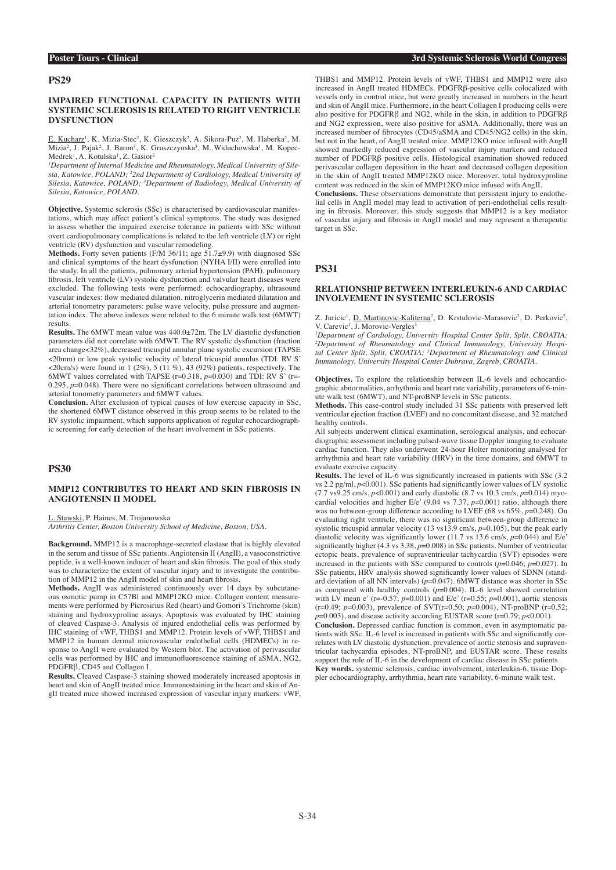### **IMPAIRED FUNCTIONAL CAPACITY IN PATIENTS WITH SYSTEMIC SCLEROSIS IS RELATED TO RIGHT VENTRICLE DYSFUNCTION**

E. Kucharz<sup>1</sup>, K. Mizia-Stec<sup>2</sup>, K. Gieszczyk<sup>2</sup>, A. Sikora-Puz<sup>2</sup>, M. Haberka<sup>2</sup>, M. Mizia<sup>2</sup>, J. Pajak<sup>2</sup>, J. Baron<sup>3</sup>, K. Gruszczynska<sup>3</sup>, M. Widuchowska<sup>1</sup>, M. Kopec-Medrek<sup>1</sup>, A. Kotulska<sup>1</sup>, Z. Gasior<sup>2</sup>

*1 Department of Internal Medicine and Rheumatology, Medical University of Silesia, Katowice, POLAND; 2 2nd Department of Cardiology, Medical University of Silesia, Katowice, POLAND; 3 Department of Radiology, Medical University of Silesia, Katowice, POLAND.*

**Objective.** Systemic sclerosis (SSc) is characterised by cardiovascular manifestations, which may affect patient's clinical symptoms. The study was designed to assess whether the impaired exercise tolerance in patients with SSc without overt cardiopulmonary complications is related to the left ventricle (LV) or right ventricle (RV) dysfunction and vascular remodeling.

**Methods.** Forty seven patients (F/M 36/11; age 51.7±9.9) with diagnosed SSc and clinical symptoms of the heart dysfunction (NYHA I/II) were enrolled into the study. In all the patients, pulmonary arterial hypertension (PAH), pulmonary fibrosis, left ventricle (LV) systolic dysfunction and valvular heart diseases were excluded. The following tests were performed: echocardiography, ultrasound vascular indexes: flow mediated dilatation, nitroglycerin mediated dilatation and arterial tonometry parameters: pulse wave velocity, pulse pressure and augmentation index. The above indexes were related to the 6 minute walk test (6MWT) results.

**Results.** The 6MWT mean value was 440.0±72m. The LV diastolic dysfunction parameters did not correlate with 6MWT. The RV systolic dysfunction (fraction area change<32%), decreased tricuspid annular plane systolic excursion (TAPSE <20mm) or low peak systolic velocity of lateral tricuspid annulus (TDI: RV S' <20cm/s) were found in 1 (2%), 5 (11 %), 43 (92%) patients, respectively. The 6MWT values correlated with TAPSE ( $r=0.318$ ,  $p=0.030$ ) and TDI: RV S' ( $r=$ 0.295, *p*=0.048). There were no significant correlations between ultrasound and arterial tonometry parameters and 6MWT values.

**Conclusion.** After exclusion of typical causes of low exercise capacity in SSc, the shortened 6MWT distance observed in this group seems to be related to the RV systolic impairment, which supports application of regular echocardiographic screening for early detection of the heart involvement in SSc patients.

# **PS30**

### **MMP12 CONTRIBUTES TO HEART AND SKIN FIBROSIS IN ANGIOTENSIN II MODEL**

. Stawski, P. Haines, M. Trojanowska

*Arthritis Center, Boston University School of Medicine, Boston, USA.*

**Background.** MMP12 is a macrophage-secreted elastase that is highly elevated in the serum and tissue of SSc patients. Angiotensin II (AngII), a vasoconstrictive peptide, is a well-known inducer of heart and skin fibrosis. The goal of this study was to characterize the extent of vascular injury and to investigate the contribution of MMP12 in the AngII model of skin and heart fibrosis.

**Methods.** AngII was administered continuously over 14 days by subcutaneous osmotic pump in C57Bl and MMP12KO mice. Collagen content measurements were performed by Picrosirius Red (heart) and Gomori's Trichrome (skin) staining and hydroxyproline assays. Apoptosis was evaluated by IHC staining of cleaved Caspase-3. Analysis of injured endothelial cells was performed by IHC staining of vWF, THBS1 and MMP12. Protein levels of vWF, THBS1 and MMP12 in human dermal microvascular endothelial cells (HDMECs) in response to AngII were evaluated by Western blot. The activation of perivascular cells was performed by IHC and immunofluorescence staining of aSMA, NG2, PDGFRβ, CD45 and Collagen I.

**Results.** Cleaved Caspase-3 staining showed moderately increased apoptosis in heart and skin of Ang $\hat{\Pi}$  treated mice. Immunostaining in the heart and skin of AngII treated mice showed increased expression of vascular injury markers: vWF, THBS1 and MMP12. Protein levels of vWF, THBS1 and MMP12 were also increased in AngII treated HDMECs. PDGFRβ-positive cells colocalized with vessels only in control mice, but were greatly increased in numbers in the heart and skin of AngII mice. Furthermore, in the heart Collagen I producing cells were also positive for PDGFRβ and NG2, while in the skin, in addition to PDGFRβ and NG2 expression, were also positive for aSMA. Additionally, there was an increased number of fibrocytes (CD45/aSMA and CD45/NG2 cells) in the skin, but not in the heart, of AngII treated mice. MMP12KO mice infused with AngII showed markedly reduced expression of vascular injury markers and reduced number of PDGFRβ positive cells. Histological examination showed reduced perivascular collagen deposition in the heart and decreased collagen deposition in the skin of AngII treated MMP12KO mice. Moreover, total hydroxyproline content was reduced in the skin of MMP12KO mice infused with AngII.

**Conclusions.** These observations demonstrate that persistent injury to endothelial cells in AngII model may lead to activation of peri-endothelial cells resulting in fibrosis. Moreover, this study suggests that MMP12 is a key mediator of vascular injury and fibrosis in AngII model and may represent a therapeutic target in SSc.

**PS31**

### **RELATIONSHIP BETWEEN INTERLEUKIN-6 AND CARDIAC INVOLVEMENT IN SYSTEMIC SCLEROSIS**

| Z. Juricic <sup>1</sup> , D. Martinovic-Kaliterna <sup>2</sup> , D. Krstulovic-Marasovic <sup>2</sup> , D. Perkovic <sup>2</sup> , |  |  |  |  |  |  |
|------------------------------------------------------------------------------------------------------------------------------------|--|--|--|--|--|--|
| V. Carevic <sup>1</sup> , J. Morovic-Vergles <sup>3</sup>                                                                          |  |  |  |  |  |  |

V. Carevic<sup>1</sup>, J. Morovic-Vergles<sup>3</sup><br><sup>*1</sup>Department of Cardiology, University Hospital Center Split, Split, CROATIA;*</sup> *2 Department of Rheumatology and Clinical Immunology, University Hospital Center Split, Split, CROATIA; 3 Department of Rheumatology and Clinical Immunology, University Hospital Center Dubrava, Zagreb, CROATIA.*

**Objectives.** To explore the relationship between IL-6 levels and echocardiographic abnormalities, arrhythmia and heart rate variability, parameters of 6-minute walk test (6MWT), and NT-proBNP levels in SSc patients.

**Methods.** This case-control study included 31 SSc patients with preserved left ventricular ejection fraction (LVEF) and no concomitant disease, and 32 matched healthy controls.

All subjects underwent clinical examination, serological analysis, and echocardiographic assessment including pulsed-wave tissue Doppler imaging to evaluate cardiac function. They also underwent 24-hour Holter monitoring analysed for arrhythmia and heart rate variability (HRV) in the time domains, and 6MWT to evaluate exercise capacity.

**Results.** The level of IL-6 was significantly increased in patients with SSc (3.2) vs 2.2 pg/ml, *p*<0.001). SSc patients had significantly lower values of LV systolic  $(7.7 \text{ vs } 9.25 \text{ cm/s}, p < 0.001)$  and early diastolic  $(8.7 \text{ vs } 10.3 \text{ cm/s}, p = 0.014)$  myocardial velocities and higher E/e'  $(9.04 \text{ vs } 7.37, p=0.001)$  ratio, although there was no between-group difference according to LVEF (68 vs 65%, *p*=0.248). On evaluating right ventricle, there was no significant between-group difference in systolic tricuspid annular velocity (13 vs13.9 cm/s, *p*=0.105), but the peak early diastolic velocity was significantly lower (11.7 vs 13.6 cm/s,  $p=0.044$ ) and E/e<sup>'</sup> significantly higher (4.3 vs 3.38, *p*=0.008) in SSc patients. Number of ventricular ectopic beats, prevalence of supraventricular tachycardia (SVT) episodes were increased in the patients with SSc compared to controls (*p*=0.046; *p*=0.027). In SSc patients, HRV analysis showed significantly lower values of SDNN (standard deviation of all NN intervals)  $(p=0.047)$ . 6MWT distance was shorter in SSc as compared with healthy controls (*p*=0.004). IL-6 level showed correlation with LV mean e' (r=-0.57;  $p=0.001$ ) and E/e' (r=0.55;  $p=0.001$ ), aortic stenosis (r=0.49; *p*=0.003), prevalence of SVT(r=0.50; *p*=0.004), NT-proBNP (r=0.52;  $p=0.003$ ), and disease activity according EUSTAR score (r=0.79;  $p<0.001$ ).

**Conclusion.** Depressed cardiac function is common, even in asymptomatic patients with SSc. IL-6 level is increased in patients with SSc and significantly correlates with LV diastolic dysfunction, prevalence of aortic stenosis and supraventricular tachycardia episodes, NT-proBNP, and EUSTAR score. These results support the role of IL-6 in the development of cardiac disease in SSc patients. **Key words.** systemic sclerosis, cardiac involvement, interleukin-6, tissue Doppler echocardiography, arrhythmia, heart rate variability, 6-minute walk test.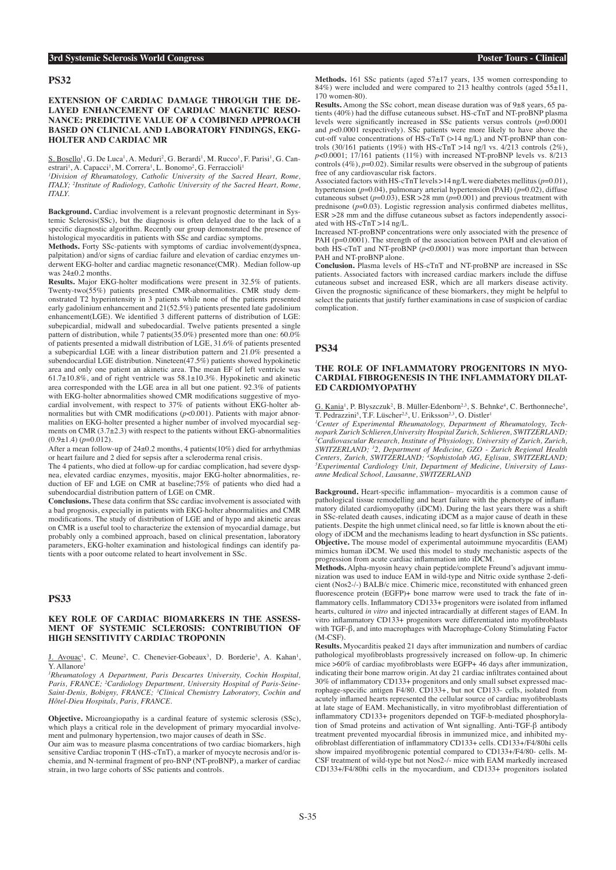### **EXTENSION OF CARDIAC DAMAGE THROUGH THE DE-LAYED ENHANCEMENT OF CARDIAC MAGNETIC RESO-NANCE: PREDICTIVE VALUE OF A COMBINED APPROACH BASED ON CLINICAL AND LABORATORY FINDINGS, EKG-HOLTER AND CARDIAC MR**

 $S.$  Bosello<sup>1</sup>, G. De Luca<sup>1</sup>, A. Meduri<sup>2</sup>, G. Berardi<sup>1</sup>, M. Rucco<sup>1</sup>, F. Parisi<sup>1</sup>, G. Canestrari<sup>1</sup>, A. Capacci<sup>1</sup>, M. Correra<sup>1</sup>, L. Bonomo<sup>2</sup>, G. Ferraccioli<sup>1</sup>

*1 Division of Rheumatology, Catholic University of the Sacred Heart, Rome, ITALY; 2 Institute of Radiology, Catholic University of the Sacred Heart, Rome, ITALY.*

**Background.** Cardiac involvement is a relevant prognostic determinant in Systemic Sclerosis(SSc), but the diagnosis is often delayed due to the lack of a specific diagnostic algorithm. Recently our group demonstrated the presence of histological myocarditis in patients with SSc and cardiac symptoms.

**Methods.** Forty SSc-patients with symptoms of cardiac involvement(dyspnea, palpitation) and/or signs of cardiac failure and elevation of cardiac enzymes underwent EKG-holter and cardiac magnetic resonance(CMR). Median follow-up was 24±0.2 months.

**Results.** Major EKG-holter modifications were present in 32.5% of patients. Twenty-two(55%) patients presented CMR-abnormalities. CMR study demonstrated T2 hyperintensity in 3 patients while none of the patients presented early gadolinium enhancement and 21(52.5%) patients presented late gadolinium enhancement(LGE). We identified 3 different patterns of distribution of LGE: subepicardial, midwall and subedocardial. Twelve patients presented a single pattern of distribution, while 7 patients( $35.0\%$ ) presented more than one:  $60.0\%$ of patients presented a midwall distribution of LGE, 31.6% of patients presented a subepicardial LGE with a linear distribution pattern and 21.0% presented a subendocardial LGE distribution. Nineteen(47.5%) patients showed hypokinetic area and only one patient an akinetic area. The mean EF of left ventricle was 61.7±10.8%, and of right ventricle was 58.1±10.3%. Hypokinetic and akinetic area corresponded with the LGE area in all but one patient. 92.3% of patients with EKG-holter abnormalities showed CMR modifications suggestive of myocardial involvement, with respect to 37% of patients without EKG-holter abnormalities but with CMR modifications  $(p<0.001)$ . Patients with major abnormalities on EKG-holter presented a higher number of involved myocardial segments on CMR  $(3.7\pm2.3)$  with respect to the patients without EKG-abnormalities (0.9±1.4) (*p*=0.012).

After a mean follow-up of 24±0.2 months, 4 patients(10%) died for arrhythmias or heart failure and 2 died for sepsis after a scleroderma renal crisis.

The 4 patients, who died at follow-up for cardiac complication, had severe dyspnea, elevated cardiac enzymes, myositis, major EKG-holter abnormalities, reduction of EF and LGE on CMR at baseline;75% of patients who died had a subendocardial distribution pattern of LGE on CMR.

**Conclusions.** These data confirm that SSc cardiac involvement is associated with a bad prognosis, expecially in patients with EKG-holter abnormalities and CMR modifications. The study of distribution of LGE and of hypo and akinetic areas on CMR is a useful tool to characterize the extension of myocardial damage, but probably only a combined approach, based on clinical presentation, laboratory parameters, EKG-holter examination and histological findings can identify patients with a poor outcome related to heart involvement in SSc.

# **PS33**

### **KEY ROLE OF CARDIAC BIOMARKERS IN THE ASSESS-MENT OF SYSTEMIC SCLEROSIS: CONTRIBUTION OF HIGH SENSITIVITY CARDIAC TROPONIN**

J. Avouac<sup>1</sup>, C. Meune<sup>2</sup>, C. Chenevier-Gobeaux<sup>3</sup>, D. Borderie<sup>3</sup>, A. Kahan<sup>1</sup>, Y. Allanore1

*1 Rheumatology A Department, Paris Descartes University, Cochin Hospital, Paris, FRANCE; 2 Cardiology Department, University Hospital of Paris-Seine-Saint-Denis, Bobigny, FRANCE; 3 Clinical Chemistry Laboratory, Cochin and Hôtel-Dieu Hospitals, Paris, FRANCE.*

**Objective.** Microangiopathy is a cardinal feature of systemic sclerosis (SSc), which plays a critical role in the development of primary myocardial involvement and pulmonary hypertension, two major causes of death in SSc.

Our aim was to measure plasma concentrations of two cardiac biomarkers, high sensitive Cardiac troponin T (HS-cTnT), a marker of myocyte necrosis and/or ischemia, and N-terminal fragment of pro-BNP (NT-proBNP), a marker of cardiac strain, in two large cohorts of SSc patients and controls.

**Methods.** 161 SSc patients (aged 57±17 years, 135 women corresponding to 84%) were included and were compared to 213 healthy controls (aged  $55±11$ , 170 women-80).

**Results.** Among the SSc cohort, mean disease duration was of 9±8 years, 65 patients (40%) had the diffuse cutaneous subset. HS-cTnT and NT-proBNP plasma levels were significantly increased in SSc patients versus controls (*p*=0.0001 and  $p$ <0.0001 respectively). SSc patients were more likely to have above the cut-off value concentrations of HS-cTnT (>14 ng/L) and NT-proBNP than controls (30/161 patients (19%) with HS-cTnT >14 ng/l vs. 4/213 controls (2%),  $p$ <0.0001; 17/161 patients (11%) with increased NT-proBNP levels vs. 8/213 controls (4%), *p*=0.02). Similar results were observed in the subgroup of patients free of any cardiovascular risk factors.

Associated factors with HS-cTnT levels >14 ng/L were diabetes mellitus (*p*=0.01), hypertension (*p*=0.04), pulmonary arterial hypertension (PAH) (*p*=0.02), diffuse cutaneous subset (*p*=0.03), ESR >28 mm (*p*=0.001) and previous treatment with prednisone  $(p=0.03)$ . Logistic regression analysis confirmed diabetes mellitus, ESR >28 mm and the diffuse cutaneous subset as factors independently associated with HS-cTnT >14 ng/L.

Increased NT-proBNP concentrations were only associated with the presence of PAH (p=0.0001). The strength of the association between PAH and elevation of both  $\hat{H}S-\hat{c}TnT$  and NT-pro $\hat{B}NP$  ( $p<0.0001$ ) was more important than between PAH and NT-proBNP alone.

**Conclusion.** Plasma levels of HS-cTnT and NT-proBNP are increased in SSc patients. Associated factors with increased cardiac markers include the diffuse cutaneous subset and increased ESR, which are all markers disease activity. Given the prognostic significance of these biomarkers, they might be helpful to select the patients that justify further examinations in case of suspicion of cardiac complication.

### **PS34**

### **THE ROLE OF INFLAMMATORY PROGENITORS IN MYO-CARDIAL FIBROGENESIS IN THE INFLAMMATORY DILAT-ED CARDIOMYOPATHY**

 $G.$  Kania<sup>1</sup>, P. Blyszczuk<sup>2</sup>, B. Müller-Edenborn<sup>2,3</sup>, S. Behnke<sup>4</sup>, C. Berthonneche<sup>5</sup>, T. Pedrazzini<sup>5</sup>, T.F. Lüscher<sup>2,5</sup>, U. Eriksson<sup>2,3</sup>, O. Distler<sup>1</sup>

*1 Center of Experimental Rheumatology, Department of Rheumatology, Technopark Zurich Schlieren,University Hospital Zurich, Schlieren, SWITZERLAND; 2 Cardiovascular Research, Institute of Physiology, University of Zurich, Zurich, SWITZERLAND; <sup>3</sup>2, Department of Medicine, GZO - Zurich Regional Health*<br>*Centers, Zurich, SWITZERLAND; 4Sophistolab AG, Eglisau, SWITZERLAND;*<br><sup>5 Fenerimental Cardiolagy Unit, Department of Medicine, University of Laus.</sup> *Experimental Cardiology Unit, Department of Medicine, University of Lausanne Medical School, Lausanne, SWITZERLAND*

**Background.** Heart-specific inflammation– myocarditis is a common cause of pathological tissue remodelling and heart failure with the phenotype of inflammatory dilated cardiomyopathy (iDCM). During the last years there was a shift in SSc-related death causes, indicating iDCM as a major cause of death in these patients. Despite the high unmet clinical need, so far little is known about the etiology of iDCM and the mechanisms leading to heart dysfunction in SSc patients. **Objective.** The mouse model of experimental autoimmune myocarditis (EAM) mimics human iDCM. We used this model to study mechanistic aspects of the progression from acute cardiac inflammation into iDCM.

**Methods.** Alpha-myosin heavy chain peptide/complete Freund's adjuvant immunization was used to induce EAM in wild-type and Nitric oxide synthase 2-deficient (Nos2-/-) BALB/c mice. Chimeric mice, reconstituted with enhanced green fluorescence protein (EGFP)+ bone marrow were used to track the fate of inflammatory cells. Inflammatory CD133+ progenitors were isolated from inflamed hearts, cultured *in vitro* and injected intracardially at different stages of EAM. In vitro inflammatory CD133+ progenitors were differentiated into myofibroblasts with TGF-β, and into macrophages with Macrophage-Colony Stimulating Factor (M-CSF).

**Results.** Myocarditis peaked 21 days after immunization and numbers of cardiac pathological myofibroblasts progressively increased on follow-up. In chimeric mice  $>60\%$  of cardiac myofibroblasts were EGFP+ 46 days after immunization. indicating their bone marrow origin. At day 21 cardiac infiltrates contained about 30% of inflammatory CD133+ progenitors and only small subset expressed macrophage-specific antigen F4/80. CD133+, but not CD133- cells, isolated from acutely inflamed hearts represented the cellular source of cardiac myofibroblasts at late stage of EAM. Mechanistically, in vitro myofibroblast differentiation of inflammatory CD133+ progenitors depended on TGF-b-mediated phosphorylation of Smad proteins and activation of Wnt signalling. Anti-TGF-β antibody treatment prevented myocardial fibrosis in immunized mice, and inhibited myofibroblast differentiation of inflammatory CD133+ cells. CD133+/F4/80hi cells show impaired myofibrogenic potential compared to CD133+/F4/80- cells. M-CSF treatment of wild-type but not Nos2-/- mice with EAM markedly increased CD133+/F4/80hi cells in the myocardium, and CD133+ progenitors isolated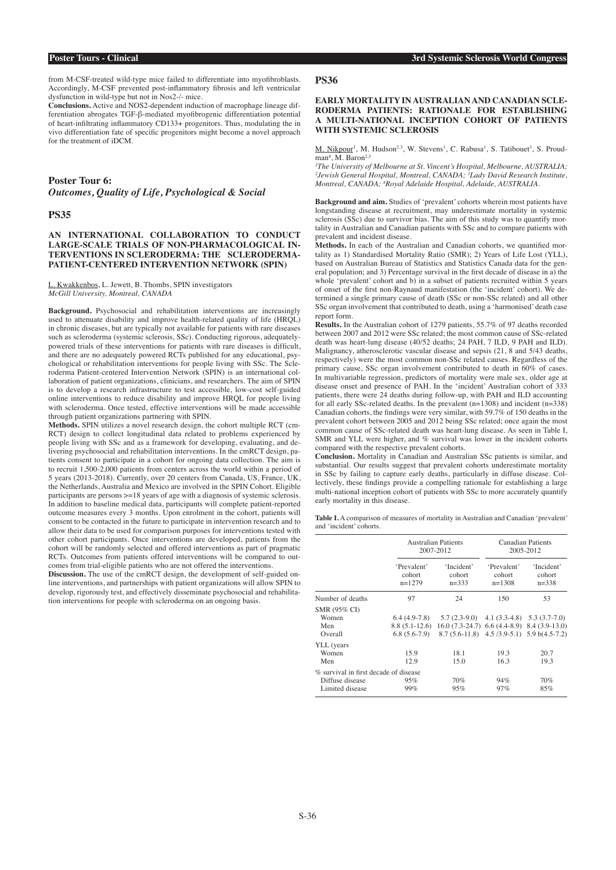from M-CSF-treated wild-type mice failed to differentiate into myofibroblasts. Accordingly, M-CSF prevented post-inflammatory fibrosis and left ventricular dysfunction in wild-type but not in Nos2-/- mice.

**Conclusions.** Active and NOS2-dependent induction of macrophage lineage differentiation abrogates TGF-β-mediated myofibrogenic differentiation potential of heart-infiltrating inflammatory CD133+ progenitors. Thus, modulating the in vivo differentiation fate of specific progenitors might become a novel approach for the treatment of iDCM.

### **Poster Tour 6:**

*Outcomes, Quality of Life, Psychological & Social*

### **PS35**

### **AN INTERNATIONAL COLLABORATION TO CONDUCT LARGE-SCALE TRIALS OF NON-PHARMACOLOGICAL IN-TERVENTIONS IN SCLERODERMA: THE SCLERODERMA-PATIENT-CENTERED INTERVENTION NETWORK (SPIN)**

L. Kwakkenbos, L. Jewett, B. Thombs, SPIN investigators *McGill University, Montreal, CANADA*

**Background.** Psychosocial and rehabilitation interventions are increasingly used to attenuate disability and improve health-related quality of life (HRQL) in chronic diseases, but are typically not available for patients with rare diseases such as scleroderma (systemic sclerosis, SSc). Conducting rigorous, adequatelypowered trials of these interventions for patients with rare diseases is difficult, and there are no adequately powered RCTs published for any educational, psychological or rehabilitation interventions for people living with SSc. The Scleroderma Patient-centered Intervention Network (SPIN) is an international collaboration of patient organizations, clinicians, and researchers. The aim of SPIN is to develop a research infrastructure to test accessible, low-cost self-guided online interventions to reduce disability and improve HRQL for people living with scleroderma. Once tested, effective interventions will be made accessible through patient organizations partnering with SPIN.

**Methods.** SPIN utilizes a novel research design, the cohort multiple RCT (cm-RCT) design to collect longitudinal data related to problems experienced by people living with SSc and as a framework for developing, evaluating, and delivering psychosocial and rehabilitation interventions. In the cmRCT design, patients consent to participate in a cohort for ongoing data collection. The aim is to recruit 1,500-2,000 patients from centers across the world within a period of 5 years (2013-2018). Currently, over 20 centers from Canada, US, France, UK, the Netherlands, Australia and Mexico are involved in the SPIN Cohort. Eligible participants are persons >=18 years of age with a diagnosis of systemic sclerosis. In addition to baseline medical data, participants will complete patient-reported outcome measures every 3 months. Upon enrolment in the cohort, patients will consent to be contacted in the future to participate in intervention research and to allow their data to be used for comparison purposes for interventions tested with other cohort participants. Once interventions are developed, patients from the cohort will be randomly selected and offered interventions as part of pragmatic RCTs. Outcomes from patients offered interventions will be compared to outcomes from trial-eligible patients who are not offered the interventions.

**Discussion.** The use of the cmRCT design, the development of self-guided online interventions, and partnerships with patient organizations will allow SPIN to develop, rigorously test, and effectively disseminate psychosocial and rehabilitation interventions for people with scleroderma on an ongoing basis.

#### **PS36**

### **EARLY MORTALITY IN AUSTRALIAN AND CANADIAN SCLE-RODERMA PATIENTS: RATIONALE FOR ESTABLISHING A MULTI-NATIONAL INCEPTION COHORT OF PATIENTS WITH SYSTEMIC SCLEROSIS**

M. Nikpour<sup>1</sup>, M. Hudson<sup>2,3</sup>, W. Stevens<sup>1</sup>, C. Rabusa<sup>1</sup>, S. Tatibouet<sup>3</sup>, S. Proudman<sup>4</sup>, M. Baron<sup>2,3</sup>

*1 The University of Melbourne at St. Vincent's Hospital, Melbourne, AUSTRALIA; 2 Jewish General Hospital, Montreal, CANADA; 3 Lady David Research Institute, Montreal, CANADA; 4 Royal Adelaide Hospital, Adelaide, AUSTRALIA.*

**Background and aim.** Studies of 'prevalent' cohorts wherein most patients have longstanding disease at recruitment, may underestimate mortality in systemic sclerosis (SSc) due to survivor bias. The aim of this study was to quantify mortality in Australian and Canadian patients with SSc and to compare patients with prevalent and incident disease.

**Methods.** In each of the Australian and Canadian cohorts, we quantified mortality as 1) Standardised Mortality Ratio (SMR); 2) Years of Life Lost (YLL), based on Australian Bureau of Statistics and Statistics Canada data for the general population; and 3) Percentage survival in the first decade of disease in a) the whole 'prevalent' cohort and b) in a subset of patients recruited within 5 years of onset of the first non-Raynaud manifestation (the 'incident' cohort). We determined a single primary cause of death (SSc or non-SSc related) and all other SSc organ involvement that contributed to death, using a 'harmonised' death case report form.

**Results.** In the Australian cohort of 1279 patients, 55.7% of 97 deaths recorded between 2007 and 2012 were SSc related; the most common cause of SSc-related death was heart-lung disease (40/52 deaths; 24 PAH, 7 ILD, 9 PAH and ILD). Malignancy, atherosclerotic vascular disease and sepsis (21, 8 and 5/43 deaths, respectively) were the most common non-SSc related causes. Regardless of the primary cause, SSc organ involvement contributed to death in 60% of cases. In multivariable regression, predictors of mortality were male sex, older age at disease onset and presence of PAH. In the 'incident' Australian cohort of 333 patients, there were 24 deaths during follow-up, with PAH and ILD accounting for all early SSc-related deaths. In the prevalent (n=1308) and incident (n=338) Canadian cohorts, the findings were very similar, with 59.7% of 150 deaths in the prevalent cohort between 2005 and 2012 being SSc related; once again the most common cause of SSc-related death was heart-lung disease. As seen in Table I, SMR and YLL were higher, and % survival was lower in the incident cohorts compared with the respective prevalent cohorts.

**Conclusion.** Mortality in Canadian and Australian SSc patients is similar, and substantial. Our results suggest that prevalent cohorts underestimate mortality in SSc by failing to capture early deaths, particularly in diffuse disease. Collectively, these findings provide a compelling rationale for establishing a large multi-national inception cohort of patients with SSc to more accurately quantify early mortality in this disease.

**Table I.** A comparison of measures of mortality in Australian and Canadian 'prevalent' and 'incident' cohorts.

|                                       |                                   | <b>Australian Patients</b><br>2007-2012           | Canadian Patients<br>2005-2012    |                                   |  |
|---------------------------------------|-----------------------------------|---------------------------------------------------|-----------------------------------|-----------------------------------|--|
|                                       | 'Prevalent'<br>cohort<br>$n=1279$ | 'Incident'<br>cohort<br>$n=333$                   | 'Prevalent'<br>cohort<br>$n=1308$ | 'Incident'<br>cohort<br>$n = 338$ |  |
| Number of deaths                      | 97                                | 24                                                | 150                               | 53                                |  |
| SMR (95% CI)                          |                                   |                                                   |                                   |                                   |  |
| Women                                 | $6.4(4.9-7.8)$                    | $5.7(2.3-9.0)$ $4.1(3.3-4.8)$ $5.3(3.7-7.0)$      |                                   |                                   |  |
| Men                                   | $8.8(5.1-12.6)$                   | $16.0(7.3-24.7)$ 6.6 $(4.4-8.9)$ 8.4 $(3.9-13.0)$ |                                   |                                   |  |
| Overall                               | $6.8(5.6-7.9)$                    | $8.7(5.6-11.8)$ $4.5(3.9-5.1)$ $5.9b(4.5-7.2)$    |                                   |                                   |  |
| YLL (years)                           |                                   |                                                   |                                   |                                   |  |
| Women                                 | 15.9                              | 18.1                                              | 19.3                              | 20.7                              |  |
| Men                                   | 12.9                              | 15.0                                              | 16.3                              | 19.3                              |  |
| % survival in first decade of disease |                                   |                                                   |                                   |                                   |  |
| Diffuse disease                       | 95%                               | 70%                                               | 94%                               | 70%                               |  |
| Limited disease                       | 99%                               | 95%                                               | 97%                               | 85%                               |  |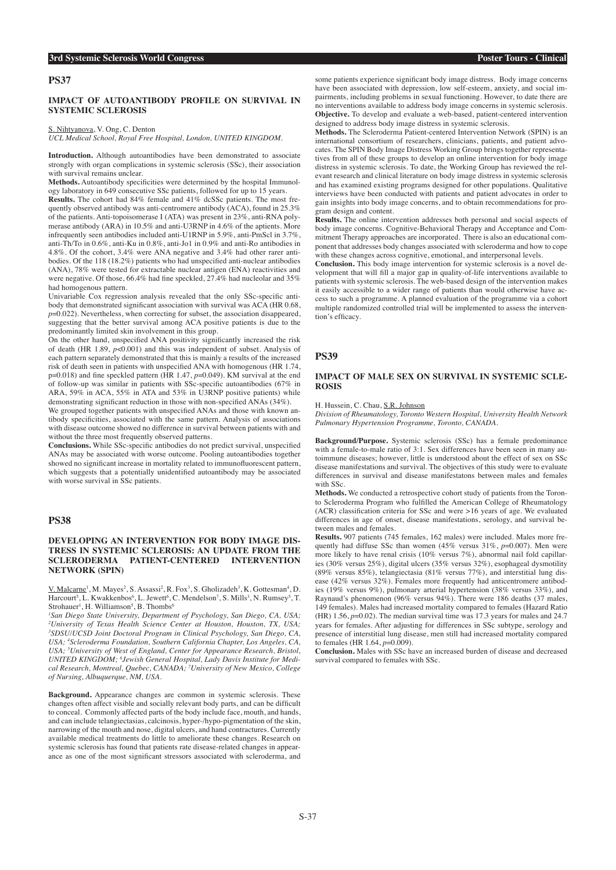### **IMPACT OF AUTOANTIBODY PROFILE ON SURVIVAL IN SYSTEMIC SCLEROSIS**

S. Nihtyanova, V. Ong, C. Denton

*UCL Medical School, Royal Free Hospital, London, UNITED KINGDOM.*

**Introduction.** Although autoantibodies have been demonstrated to associate strongly with organ complications in systemic sclerosis (SSc), their association with survival remains unclear.

**Methods.** Autoantibody specificities were determined by the hospital Immunology laboratory in 649 consecutive SSc patients, followed for up to 15 years.

**Results.** The cohort had 84% female and 41% dcSSc patients. The most frequently observed antibody was anti-centromere antibody  $(ACA)$ , found in 25.3% of the patients. Anti-topoisomerase I (ATA) was present in 23%, anti-RNA polymerase antibody (ARA) in 10.5% and anti-U3RNP in 4.6% of the aptients. More infrequently seen antibodies included anti-U1RNP in 5.9%, anti-PmScl in 3.7%. anti-Th/To in 0.6%, anti-Ku in 0.8%, anti-Jo1 in 0.9% and anti-Ro antibodies in 4.8%. Of the cohort, 3.4% were ANA negative and 3.4% had other rarer antibodies. Of the 118 (18.2%) patients who had unspecified anti-nuclear antibodies (ANA), 78% were tested for extractable nuclear antigen (ENA) reactivities and were negative. Of those, 66.4% had fine speckled, 27.4% had nucleolar and 35% had homogenous pattern.

Univariable Cox regression analysis revealed that the only SSc-specific antibody that demonstrated significant association with survival was ACA (HR 0.68,  $p=0.022$ ). Nevertheless, when correcting for subset, the association disappeared, suggesting that the better survival among ACA positive patients is due to the predominantly limited skin involvement in this group.

On the other hand, unspecified ANA positivity significantly increased the risk of death (HR 1.89,  $p < 0.001$ ) and this was independent of subset. Analysis of each pattern separately demonstrated that this is mainly a results of the increased risk of death seen in patients with unspecified ANA with homogenous (HR 1.74, p=0.018) and fine speckled pattern (HR 1.47, *p*=0.049). KM survival at the end of follow-up was similar in patients with SSc-specific autoantibodies (67% in ARA, 59% in ACA, 55% in ATA and 53% in U3RNP positive patients) while demonstrating significant reduction in those with non-specified ANAs (34%).

We grouped together patients with unspecified ANAs and those with known antibody specificities, associated with the same pattern. Analysis of associations with disease outcome showed no difference in survival between patients with and without the three most frequently observed patterns.

**Conclusions.** While SSc-specific antibodies do not predict survival, unspecified ANAs may be associated with worse outcome. Pooling autoantibodies together showed no significant increase in mortality related to immunofluorescent pattern, which suggests that a potentially unidentified autoantibody may be associated with worse survival in SSc patients.

### **PS38**

### **DEVELOPING AN INTERVENTION FOR BODY IMAGE DIS-TRESS IN SYSTEMIC SCLEROSIS: AN UPDATE FROM THE SCLERODERMA PATIENT-CENTERED INTERVENTION NETWORK (SPIN)**

V. Malcarne<sup>1</sup>, M. Mayes<sup>2</sup>, S. Assassi<sup>2</sup>, R. Fox<sup>3</sup>, S. Gholizadeh<sup>3</sup>, K. Gottesman<sup>4</sup>, D. Harcourt<sup>5</sup>, L. Kwakkenbos<sup>6</sup>, L. Jewett<sup>6</sup>, C. Mendelson<sup>7</sup>, S. Mills<sup>3</sup>, N. Rumsey<sup>5</sup>, T. Strohauer<sup>1</sup>, H. Williamson<sup>5</sup>, B. Thombs<sup>6</sup>

*1 San Diego State University, Department of Psychology, San Diego, CA, USA; 2 University of Texas Health Science Center at Houston, Houston, TX, USA; 3 SDSU/UCSD Joint Doctoral Program in Clinical Psychology, San Diego, CA, USA; 4 Scleroderma Foundation, Southern California Chapter, Los Angeles, CA, USA; 5 University of West of England, Center for Appearance Research, Bristol, UNITED KINGDOM; 6 Jewish General Hospital, Lady Davis Institute for Medical Research, Montreal, Quebec, CANADA; 7 University of New Mexico, College of Nursing, Albuquerque, NM, USA.*

**Background.** Appearance changes are common in systemic sclerosis. These changes often affect visible and socially relevant body parts, and can be difficult to conceal. Commonly affected parts of the body include face, mouth, and hands, and can include telangiectasias, calcinosis, hyper-/hypo-pigmentation of the skin, narrowing of the mouth and nose, digital ulcers, and hand contractures. Currently available medical treatments do little to ameliorate these changes. Research on systemic sclerosis has found that patients rate disease-related changes in appearance as one of the most significant stressors associated with scleroderma, and

some patients experience significant body image distress. Body image concerns have been associated with depression, low self-esteem, anxiety, and social impairments, including problems in sexual functioning. However, to date there are no interventions available to address body image concerns in systemic sclerosis. **Objective.** To develop and evaluate a web-based, patient-centered intervention designed to address body image distress in systemic sclerosis.

**Methods.** The Scleroderma Patient-centered Intervention Network (SPIN) is an international consortium of researchers, clinicians, patients, and patient advocates. The SPIN Body Image Distress Working Group brings together representatives from all of these groups to develop an online intervention for body image distress in systemic sclerosis. To date, the Working Group has reviewed the relevant research and clinical literature on body image distress in systemic sclerosis and has examined existing programs designed for other populations. Qualitative interviews have been conducted with patients and patient advocates in order to gain insights into body image concerns, and to obtain recommendations for program design and content.

**Results.** The online intervention addresses both personal and social aspects of body image concerns. Cognitive-Behavioral Therapy and Acceptance and Commitment Therapy approaches are incorporated. There is also an educational component that addresses body changes associated with scleroderma and how to cope with these changes across cognitive, emotional, and interpersonal levels.

**Conclusion.** This body image intervention for systemic sclerosis is a novel development that will fill a major gap in quality-of-life interventions available to patients with systemic sclerosis. The web-based design of the intervention makes it easily accessible to a wider range of patients than would otherwise have access to such a programme. A planned evaluation of the programme via a cohort multiple randomized controlled trial will be implemented to assess the intervention's efficacy.

### **PS39**

### **IMPACT OF MALE SEX ON SURVIVAL IN SYSTEMIC SCLE-ROSIS**

H. Hussein, C. Chau, S.R. Johnson

*Division of Rheumatology, Toronto Western Hospital, University Health Network Pulmonary Hypertension Programme, Toronto, CANADA.*

**Background/Purpose.** Systemic sclerosis (SSc) has a female predominance with a female-to-male ratio of 3:1. Sex differences have been seen in many autoimmune diseases; however, little is understood about the effect of sex on SSc disease manifestations and survival. The objectives of this study were to evaluate differences in survival and disease manifestatons between males and females with SSc.

**Methods.** We conducted a retrospective cohort study of patients from the Toronto Scleroderma Program who fulfilled the American College of Rheumatology (ACR) classification criteria for SSc and were >16 years of age. We evaluated differences in age of onset, disease manifestations, serology, and survival between males and females.

**Results.** 907 patients (745 females, 162 males) were included. Males more frequently had diffuse SSc than women (45% versus 31%, *p*=0.007). Men were more likely to have renal crisis (10% versus 7%), abnormal nail fold capillaries (30% versus 25%), digital ulcers (35% versus 32%), esophageal dysmotility (89% versus 85%), telangiectasia (81% versus 77%), and interstitial lung disease (42% versus 32%). Females more frequently had anticentromere antibodies (19% versus 9%), pulmonary arterial hypertension (38% versus 33%), and Raynaud's phenomenon (96% versus 94%). There were 186 deaths (37 males, 149 females). Males had increased mortality compared to females (Hazard Ratio (HR) 1.56, *p*=0.02). The median survival time was 17.3 years for males and 24.7 years for females. After adjusting for differences in SSc subtype, serology and presence of interstitial lung disease, men still had increased mortality compared to females (HR 1.64, *p*=0.009).

**Conclusion.** Males with SSc have an increased burden of disease and decreased survival compared to females with SSc.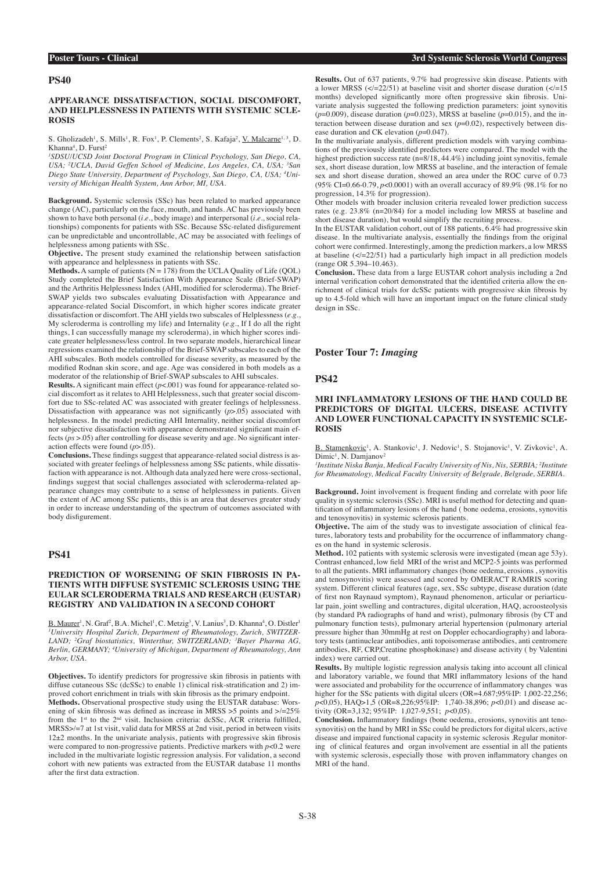### **APPEARANCE DISSATISFACTION, SOCIAL DISCOMFORT, AND HELPLESSNESS IN PATIENTS WITH SYSTEMIC SCLE-ROSIS**

S. Gholizadeh<sup>1</sup>, S. Mills<sup>1</sup>, R. Fox<sup>1</sup>, P. Clements<sup>2</sup>, S. Kafaja<sup>2</sup>, <u>V. Malcarne<sup>1, 3</sup>,</u> D. Khanna<sup>4</sup>, D. Furst<sup>2</sup>

*1 SDSU/UCSD Joint Doctoral Program in Clinical Psychology, San Diego, CA,*  USA; <sup>2</sup>UCLA, David Geffen School of Medicine, Los Angeles, CA, USA; <sup>3</sup>San *Diego State University, Department of Psychology, San Diego, CA, USA; 4 University of Michigan Health System, Ann Arbor, MI, USA.*

**Background.** Systemic sclerosis (SSc) has been related to marked appearance change (AC), particularly on the face, mouth, and hands. AC has previously been shown to have both personal (*i.e*., body image) and interpersonal (*i.e.*, social relationships) components for patients with SSc. Because SSc-related disfigurement can be unpredictable and uncontrollable, AC may be associated with feelings of helplessness among patients with SSc.

**Objective.** The present study examined the relationship between satisfaction with appearance and helplessness in patients with SSc.

**Methods.** A sample of patients  $(N = 178)$  from the UCLA Quality of Life (QOL) Study completed the Brief Satisfaction With Appearance Scale (Brief-SWAP) and the Arthritis Helplessness Index (AHI, modified for scleroderma). The Brief-SWAP yields two subscales evaluating Dissatisfaction with Appearance and appearance-related Social Discomfort, in which higher scores indicate greater dissatisfaction or discomfort. The AHI yields two subscales of Helplessness (*e.g.*, My scleroderma is controlling my life) and Internality (*e.g.*, If I do all the right things, I can successfully manage my scleroderma), in which higher scores indicate greater helplessness/less control. In two separate models, hierarchical linear regressions examined the relationship of the Brief-SWAP subscales to each of the AHI subscales. Both models controlled for disease severity, as measured by the modified Rodnan skin score, and age. Age was considered in both models as a moderator of the relationship of Brief-SWAP subscales to AHI subscales.

**Results.** A significant main effect  $(p<.001)$  was found for appearance-related social discomfort as it relates to AHI Helplessness, such that greater social discomfort due to SSc-related AC was associated with greater feelings of helplessness. Dissatisfaction with appearance was not significantly  $(p>0.05)$  associated with helplessness. In the model predicting AHI Internality, neither social discomfort nor subjective dissatisfaction with appearance demonstrated significant main effects (*ps* >.05) after controlling for disease severity and age. No significant interaction effects were found (*p*>.05).

**Conclusions.** These findings suggest that appearance-related social distress is associated with greater feelings of helplessness among SSc patients, while dissatisfaction with appearance is not. Although data analyzed here were cross-sectional, findings suggest that social challenges associated with scleroderma-related appearance changes may contribute to a sense of helplessness in patients. Given the extent of AC among SSc patients, this is an area that deserves greater study in order to increase understanding of the spectrum of outcomes associated with body disfigurement.

### **PS41**

### **PREDICTION OF WORSENING OF SKIN FIBROSIS IN PA-TIENTS WITH DIFFUSE SYSTEMIC SCLEROSIS USING THE EULAR SCLERODERMA TRIALS AND RESEARCH (EUSTAR) REGISTRY AND VALIDATION IN A SECOND COHORT**

B. Maurer<sup>1</sup>, N. Graf<sup>2</sup>, B.A. Michel<sup>1</sup>, C. Metzig<sup>3</sup>, V. Lanius<sup>3</sup>, D. Khanna<sup>4</sup>, O. Distler<sup>1</sup> *1 University Hospital Zurich, Department of Rheumatology, Zurich, SWITZER-LAND; 2 Graf biostatistics, Winterthur, SWITZERLAND; 3 Bayer Pharma AG, Berlin, GERMANY; 4 University of Michigan, Department of Rheumatology, Ann Arbor, USA.*

**Objectives.** To identify predictors for progressive skin fibrosis in patients with diffuse cutaneous SSc (dcSSc) to enable 1) clinical risk-stratification and 2) improved cohort enrichment in trials with skin fibrosis as the primary endpoint.

**Methods.** Observational prospective study using the EUSTAR database: Worsening of skin fibrosis was defined as increase in MRSS  $>$  5 points and  $>$ /=25% from the  $1<sup>st</sup>$  to the  $2<sup>nd</sup>$  visit. Inclusion criteria: dcSSc, ACR criteria fulfilled, MRSS>/=7 at 1st visit, valid data for MRSS at 2nd visit, period in between visits  $12±2$  months. In the univariate analysis, patients with progressive skin fibrosis were compared to non-progressive patients. Predictive markers with *p*<0.2 were included in the multivariate logistic regression analysis. For validation, a second cohort with new patients was extracted from the EUSTAR database 11 months after the first data extraction.

**Results.** Out of 637 patients, 9.7% had progressive skin disease. Patients with a lower MRSS ( $\lt/=22/51$ ) at baseline visit and shorter disease duration ( $\lt/=15$ months) developed significantly more often progressive skin fibrosis. Univariate analysis suggested the following prediction parameters: joint synovitis ( $p=0.009$ ), disease duration ( $p=0.023$ ), MRSS at baseline ( $p=0.015$ ), and the interaction between disease duration and sex  $(p=0.02)$ , respectively between disease duration and CK elevation (*p*=0.047).

In the multivariate analysis, different prediction models with varying combinations of the previously identified predictors were compared. The model with the highest prediction success rate (n=8/18, 44.4%) including joint synovitis, female sex, short disease duration, low MRSS at baseline, and the interaction of female sex and short disease duration, showed an area under the ROC curve of 0.73 (95% CI=0.66-0.79, *p*<0.0001) with an overall accuracy of 89.9% (98.1% for no progression, 14.3% for progression).

Other models with broader inclusion criteria revealed lower prediction success rates (e.g. 23.8% (n=20/84) for a model including low MRSS at baseline and short disease duration), but would simplify the recruiting process.

In the EUSTAR validation cohort, out of 188 patients, 6.4% had progressive skin disease. In the multivariate analysis, essentially the findings from the original cohort were confirmed. Interestingly, among the prediction markers, a low MRSS at baseline  $(\langle 22/51 \rangle)$  had a particularly high impact in all prediction models (range OR 5.394–10.463).

**Conclusion.** These data from a large EUSTAR cohort analysis including a 2nd internal verification cohort demonstrated that the identified criteria allow the enrichment of clinical trials for dcSSc patients with progressive skin fibrosis by up to 4.5-fold which will have an important impact on the future clinical study design in SSc.

### **Poster Tour 7:** *Imaging*

#### **PS42**

### **MRI INFLAMMATORY LESIONS OF THE HAND COULD BE PREDICTORS OF DIGITAL ULCERS, DISEASE ACTIVITY AND LOWER FUNCTIONAL CAPACITY IN SYSTEMIC SCLE-ROSIS**

B. Stamenkovic<sup>1</sup>, A. Stankovic<sup>1</sup>, J. Nedovic<sup>1</sup>, S. Stojanovic<sup>1</sup>, V. Zivkovic<sup>1</sup>, A. Dimic<sup>1</sup>, N. Damjanov<sup>2</sup>

*1 Institute Niska Banja, Medical Faculty University of Nis, Nis, SERBIA; 2 Institute for Rheumatology, Medical Faculty University of Belgrade, Belgrade, SERBIA.*

**Background.** Joint involvement is frequent finding and correlate with poor life quality in systemic sclerosis (SSc). MRI is useful method for detecting and quantification of inflammatory lesions of the hand ( bone oedema, erosions, synovitis and tenosynovitis) in systemic sclerosis patients.

**Objective.** The aim of the study was to investigate association of clinical features, laboratory tests and probability for the occurrence of inflammatory changes on the hand in systemic sclerosis.

**Method.** 102 patients with systemic sclerosis were investigated (mean age 53y). Contrast enhanced, low field MRI of the wrist and MCP2-5 joints was performed to all the patients. MRI inflammatory changes (bone oedema, erosions , synovitis and tenosynovitis) were assessed and scored by OMERACT RAMRIS scoring system. Different clinical features (age, sex, SSc subtype, disease duration (date of first non Raynaud symptom), Raynaud phenomenon, articular or periarticular pain, joint swelling and contractures, digital ulceration, HAQ, acroosteolysis (by standard PA radiographs of hand and wrist), pulmonary fibrosis (by CT and pulmonary function tests), pulmonary arterial hypertension (pulmonary arterial pressure higher than 30mmHg at rest on Doppler echocardiography) and laboratory tests (antinuclear antibodies, anti topoisomerase antibodies, anti centromere antibodies, RF, CRP,Creatine phosphokinase) and disease activity ( by Valentini index) were carried out.

**Results.** By multiple logistic regression analysis taking into account all clinical and laboratory variable, we found that MRI inflammatory lesions of the hand were associated and probability for the occurrence of inflammatory changes was higher for the SSc patients with digital ulcers (OR=4.687;95%IP: 1,002-22.256; *p*<0,05), HAQ>1,5 (OR=8,226;95%IP: 1,740-38,896; *p*<0,01) and disease activity (OR=3,132; 95%IP: 1,027-9,551; *p*<0,05).

**Conclusion.** Inflammatory findings (bone oedema, erosions, synovitis ant tenosynovitis) on the hand by MRI in SSc could be predictors for digital ulcers, active disease and impaired functional capacity in systemic sclerosis .Regular monitoring of clinical features and organ involvement are essential in all the patients with systemic sclerosis, especially those with proven inflammatory changes on MRI of the hand.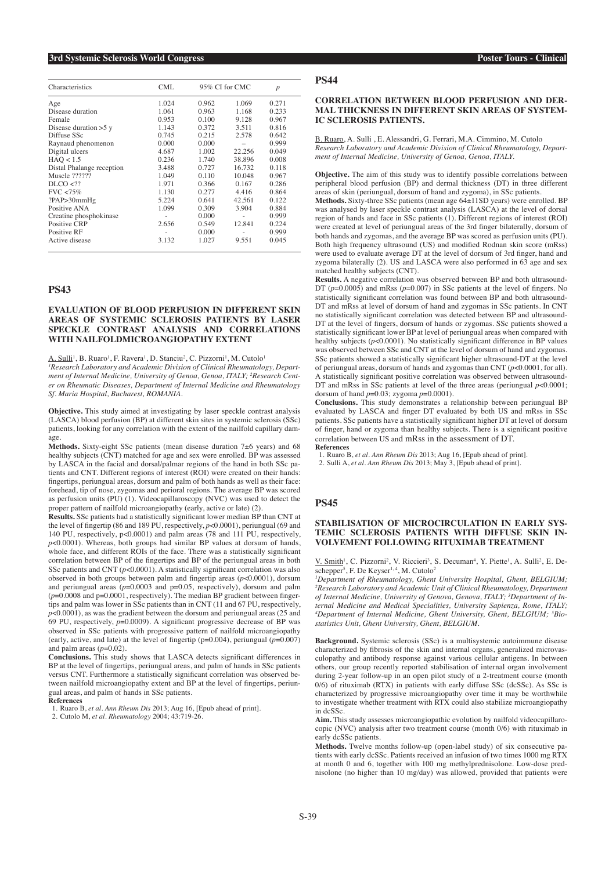#### **3rd Systemic Sclerosis World Congress Poster Tours - Clinical**

| Characteristics           | CML   |       | $95\%$ CI for CMC. | $\boldsymbol{p}$ |
|---------------------------|-------|-------|--------------------|------------------|
| Age                       | 1.024 | 0.962 | 1.069              | 0.271            |
| Disease duration          | 1.061 | 0.963 | 1.168              | 0.233            |
| Female                    | 0.953 | 0.100 | 9.128              | 0.967            |
| Disease duration $>5$ y   | 1.143 | 0.372 | 3.511              | 0.816            |
| Diffuse SSc               | 0.745 | 0.215 | 2.578              | 0.642            |
| Raynaud phenomenon        | 0.000 | 0.000 |                    | 0.999            |
| Digital ulcers            | 4.687 | 1.002 | 22.256             | 0.049            |
| HAO < 1.5                 | 0.236 | 1.740 | 38.896             | 0.008            |
| Distal Phalange reception | 3.488 | 0.727 | 16.732             | 0.118            |
| Muscle ??????             | 1.049 | 0.110 | 10.048             | 0.967            |
| D <sub>CCO</sub> < ??     | 1.971 | 0.366 | 0.167              | 0.286            |
| FVC < 75%                 | 1.130 | 0.277 | 4.416              | 0.864            |
| ?PAP>30mmHg               | 5.224 | 0.641 | 42.561             | 0.122            |
| Positive ANA              | 1.099 | 0.309 | 3.904              | 0.884            |
| Creatine phosphokinase    |       | 0.000 |                    | 0.999            |
| Positive CRP              | 2.656 | 0.549 | 12.841             | 0.224            |
| Positive RF               |       | 0.000 |                    | 0.999            |
| Active disease            | 3.132 | 1.027 | 9.551              | 0.045            |

### **PS43**

### **EVALUATION OF BLOOD PERFUSION IN DIFFERENT SKIN AREAS OF SYSTEMIC SCLEROSIS PATIENTS BY LASER SPECKLE CONTRAST ANALYSIS AND CORRELATIONS WITH NAILFOLDMICROANGIOPATHY EXTENT**

#### A. Sulli<sup>1</sup>, B. Ruaro<sup>1</sup>, F. Ravera<sup>1</sup>, D. Stanciu<sup>2</sup>, C. Pizzorni<sup>1</sup>, M. Cutolo<sup>1</sup>

*1 Research Laboratory and Academic Division of Clinical Rheumatology, Department of Internal Medicine, University of Genoa, Genoa, ITALY; 2 Research Center on Rheumatic Diseases, Department of Internal Medicine and Rheumatology Sf. Maria Hospital, Bucharest, ROMANIA.*

**Objective.** This study aimed at investigating by laser speckle contrast analysis (LASCA) blood perfusion (BP) at different skin sites in systemic sclerosis (SSc) patients, looking for any correlation with the extent of the nailfold capillary damage.

**Methods.** Sixty-eight SSc patients (mean disease duration 7±6 years) and 68 healthy subjects (CNT) matched for age and sex were enrolled. BP was assessed by LASCA in the facial and dorsal/palmar regions of the hand in both SSc patients and CNT. Different regions of interest (ROI) were created on their hands: fingertips, periungual areas, dorsum and palm of both hands as well as their face: forehead, tip of nose, zygomas and perioral regions. The average BP was scored as perfusion units (PU) (1). Videocapillaroscopy (NVC) was used to detect the proper pattern of nailfold microangiopathy (early, active or late) (2).

**Results.** SSc patients had a statistically significant lower median BP than CNT at the level of fingertip (86 and 189 PU, respectively, *p*<0.0001), periungual (69 and 140 PU, respectively, p<0.0001) and palm areas (78 and 111 PU, respectively,  $p$ <0.0001). Whereas, both groups had similar BP values at dorsum of hands, whole face, and different ROIs of the face. There was a statistically significant correlation between BP of the fingertips and BP of the periungual areas in both SSc patients and CNT  $(p<0.0001)$ . A statistically significant correlation was also observed in both groups between palm and fingertip areas (*p*<0.0001), dorsum and periungual areas (*p*=0.0003 and p=0.05, respectively), dorsum and palm (*p*=0.0008 and p=0.0001, respectively). The median BP gradient between fingertips and palm was lower in SSc patients than in CNT (11 and 67 PU, respectively, *p*<0.0001), as was the gradient between the dorsum and periungual areas (25 and 69 PU, respectively, *p*=0.0009). A significant progressive decrease of BP was observed in SSc patients with progressive pattern of nailfold microangiopathy (early, active, and late) at the level of fingertip (p=0.004), periungual (*p*=0.007) and palm areas  $(p=0.02)$ .

**Conclusions.** This study shows that LASCA detects significant differences in BP at the level of fingertips, periungual areas, and palm of hands in SSc patients versus CNT. Furthermore a statistically significant correlation was observed between nailfold microangiopathy extent and BP at the level of fingertips, periungual areas, and palm of hands in SSc patients.

#### **References**

1. Ruaro B, *et al. Ann Rheum Dis* 2013; Aug 16, [Epub ahead of print]. 2. Cutolo M, *et al. Rheumatology* 2004; 43:719-26.

# **PS44**

### **CORRELATION BETWEEN BLOOD PERFUSION AND DER-MAL THICKNESS IN DIFFERENT SKIN AREAS OF SYSTEM-IC SCLEROSIS PATIENTS.**

B. Ruaro, A. Sulli , E. Alessandri, G. Ferrari, M.A. Cimmino, M. Cutolo *Research Laboratory and Academic Division of Clinical Rheumatology, Department of Internal Medicine, University of Genoa, Genoa, ITALY.*

**Objective.** The aim of this study was to identify possible correlations between peripheral blood perfusion (BP) and dermal thickness (DT) in three different areas of skin (periungual, dorsum of hand and zygoma), in SSc patients.

**Methods.** Sixty-three SSc patients (mean age 64±11SD years) were enrolled. BP was analysed by laser speckle contrast analysis (LASCA) at the level of dorsal region of hands and face in SSc patients (1). Different regions of interest (ROI) were created at level of periungual areas of the 3rd finger bilaterally, dorsum of both hands and zygomas, and the average BP was scored as perfusion units (PU). Both high frequency ultrasound (US) and modified Rodnan skin score (mRss) were used to evaluate average DT at the level of dorsum of 3rd finger, hand and zygoma bilaterally (2). US and LASCA were also performed in 63 age and sex matched healthy subjects (CNT).

**Results.** A negative correlation was observed between BP and both ultrasound-DT ( $p=0.0005$ ) and mRss ( $p=0.007$ ) in SSc patients at the level of fingers. No statistically significant correlation was found between BP and both ultrasound-DT and mRss at level of dorsum of hand and zygomas in SSc patients. In CNT no statistically significant correlation was detected between BP and ultrasound-DT at the level of fingers, dorsum of hands or zygomas. SSc patients showed a statistically significant lower BP at level of periungual areas when compared with healthy subjects ( $p$ <0.0001). No statistically significant difference in BP values was observed between SSc and CNT at the level of dorsum of hand and zygomas. SSc patients showed a statistically significant higher ultrasound-DT at the level of periungual areas, dorsum of hands and zygomas than CNT (*p*<0.0001, for all). A statistically significant positive correlation was observed between ultrasound-DT and mRss in SSc patients at level of the three areas (periungual  $p<0.0001$ ; dorsum of hand *p*=0.03; zygoma *p*=0.0001).

**Conclusions.** This study demonstrates a relationship between periungual BP evaluated by LASCA and finger DT evaluated by both US and mRss in SSc patients. SSc patients have a statistically significant higher DT at level of dorsum of finger, hand or zygoma than healthy subjects. There is a significant positive correlation between US and mRss in the assessment of DT. **References** 

1. Ruaro B, *et al. Ann Rheum Dis* 2013; Aug 16, [Epub ahead of print].

2. Sulli A, *et al. Ann Rheum Dis* 2013; May 3, [Epub ahead of print].

### **PS45**

### **STABILISATION OF MICROCIRCULATION IN EARLY SYS-TEMIC SCLEROSIS PATIENTS WITH DIFFUSE SKIN IN-VOLVEMENT FOLLOWING RITUXIMAB TREATMENT**

 $V. Smith<sup>1</sup>$ , C. Pizzorni<sup>2</sup>, V. Riccieri<sup>3</sup>, S. Decuman<sup>4</sup>, Y. Piette<sup>1</sup>, A. Sulli<sup>2</sup>, E. Deschepper<sup>5</sup>, F. De Keyser<sup>1, 4</sup>, M. Cutolo<sup>2</sup>

*1 Department of Rheumatology, Ghent University Hospital, Ghent, BELGIUM;*  <sup>2</sup> Research Laboratory and Academic Unit of Clinical Rheumatology, Department *of Internal Medicine, University of Genova, Genova, ITALY; 3 Department of Internal Medicine and Medical Specialities, University Sapienza, Rome, ITALY;*  <sup>4</sup>Department of Internal Medicine, Ghent University, Ghent, BELGIUM; <sup>5</sup>Bio*statistics Unit, Ghent University, Ghent, BELGIUM.*

**Background.** Systemic sclerosis (SSc) is a multisystemic autoimmune disease characterized by fibrosis of the skin and internal organs, generalized microvasculopathy and antibody response against various cellular antigens. In between others, our group recently reported stabilisation of internal organ involvement during 2-year follow-up in an open pilot study of a 2-treatment course (month  $0/6$ ) of rituximab (RTX) in patients with early diffuse SSc (dcSSc). As SSc is characterized by progressive microangiopathy over time it may be worthwhile to investigate whether treatment with RTX could also stabilize microangiopathy in dcSSc.

**Aim.** This study assesses microangiopathic evolution by nailfold videocapillarocopic (NVC) analysis after two treatment course (month 0/6) with rituximab in early dcSSc patients.

**Methods.** Twelve months follow-up (open-label study) of six consecutive patients with early dcSSc. Patients received an infusion of two times 1000 mg RTX at month 0 and 6, together with 100 mg methylprednisolone. Low-dose prednisolone (no higher than 10 mg/day) was allowed, provided that patients were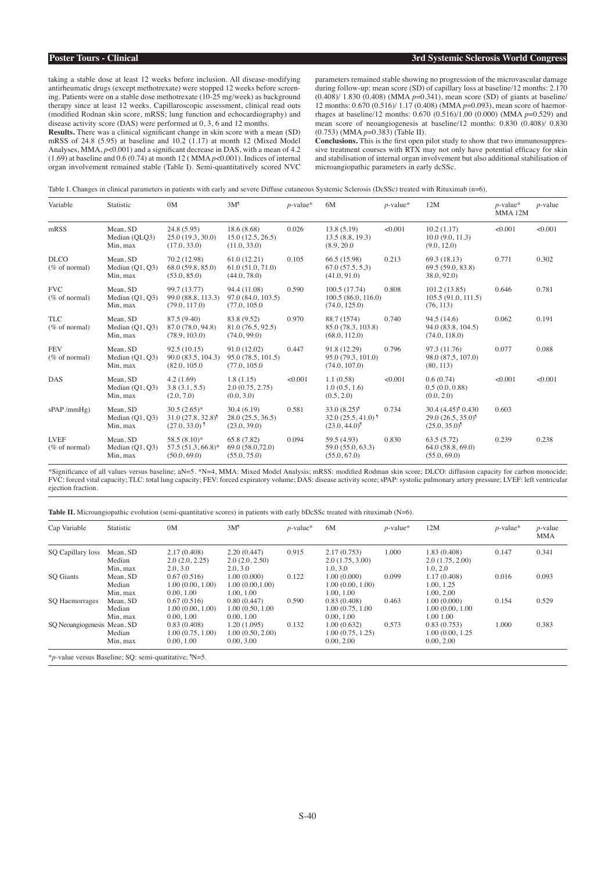taking a stable dose at least 12 weeks before inclusion. All disease-modifying antirheumatic drugs (except methotrexate) were stopped 12 weeks before screening. Patients were on a stable dose methotrexate (10-25 mg/week) as background therapy since at least 12 weeks. Capillaroscopic assessment, clinical read outs (modified Rodnan skin score, mRSS; lung function and echocardiography) and disease activity score (DAS) were performed at 0, 3, 6 and 12 months.

**Results.** There was a clinical significant change in skin score with a mean (SD) mRSS of 24.8 (5.95) at baseline and 10.2 (1.17) at month 12 (Mixed Model Analyses, MMA,  $p$ <0.001) and a significant decrease in DAS, with a mean of 4.2 (1.69) at baseline and 0.6 (0.74) at month 12 ( MMA *p*<0.001). Indices of internal organ involvement remained stable (Table I). Semi-quantitatively scored NVC parameters remained stable showing no progression of the microvascular damage during follow-up: mean score (SD) of capillary loss at baseline/12 months: 2.170 (0.408)/ 1.830 (0.408) (MMA *p*=0.341), mean score (SD) of giants at baseline/ 12 months: 0.670 (0.516)/ 1.17 (0.408) (MMA *p*=0.093), mean score of haemorrhages at baseline/12 months: 0.670 (0.516)/1.00 (0.000) (MMA *p*=0.529) and mean score of neoangiogenesis at baseline/12 months: 0.830 (0.408)/ 0.830 (0.753) (MMA *p*=0.383) (Table II).

**Conclusions.** This is the first open pilot study to show that two immunosuppressive treatment courses with RTX may not only have potential efficacy for skin and stabilisation of internal organ involvement but also additional stabilisation of microangiopathic parameters in early dcSSc.

| Table I. Changes in clinical parameters in patients with early and severe Diffuse cutaneous Systemic Sclerosis (DcSSc) treated with Rituximab (n=6). |  |  |  |
|------------------------------------------------------------------------------------------------------------------------------------------------------|--|--|--|
|                                                                                                                                                      |  |  |  |

| Variable                                | Statistic                                 | 0 <sub>M</sub>                                                        | 3M <sup>9</sup>                                     | $p$ -value* | 6M                                                                     | $p$ -value* | 12M                                                                 | $p$ -value*<br>MMA <sub>12M</sub> | $p$ -value |
|-----------------------------------------|-------------------------------------------|-----------------------------------------------------------------------|-----------------------------------------------------|-------------|------------------------------------------------------------------------|-------------|---------------------------------------------------------------------|-----------------------------------|------------|
| mRSS                                    | Mean, SD<br>Median (QLQ3)<br>Min, max     | 24.8(5.95)<br>25.0(19.3, 30.0)<br>(17.0, 33.0)                        | 18.6(8.68)<br>15.0(12.5, 26.5)<br>(11.0, 33.0)      | 0.026       | 13.8(5.19)<br>13.5(8.8, 19.3)<br>(8.9, 20.0)                           | < 0.001     | 10.2(1.17)<br>10.0(9.0, 11.3)<br>(9.0, 12.0)                        | < 0.001                           | < 0.001    |
| <b>DLCO</b><br>(% of normal)            | Mean, SD<br>Median $(01, 03)$<br>Min, max | 70.2 (12.98)<br>68.0(59.8, 85.0)<br>(53.0, 85.0)                      | 61.0(12.21)<br>61.0(51.0, 71.0)<br>(44.0, 78.0)     | 0.105       | 66.5 (15.98)<br>67.0(57.5, 5.3)<br>(41.0, 91.0)                        | 0.213       | 69.3 (18.13)<br>69.5(59.0, 83.8)<br>38.0, 92.0                      | 0.771                             | 0.302      |
| <b>FVC</b><br>$(\% \text{ of normal})$  | Mean, SD<br>Median $(Q1, Q3)$<br>Min, max | 99.7 (13.77)<br>99.0 (88.8, 113.3)<br>(79.0, 117.0)                   | 94.4 (11.08)<br>97.0 (84.0, 103.5)<br>(77.0, 105.0) | 0.590       | 100.5(17.74)<br>100.5(86.0, 116.0)<br>(74.0, 125.0)                    | 0.808       | 101.2(13.85)<br>105.5(91.0, 111.5)<br>(76, 113)                     | 0.646                             | 0.781      |
| <b>TLC</b><br>$(\% \text{ of normal})$  | Mean, SD<br>Median $(Q1, Q3)$<br>Min. max | $87.5(9-40)$<br>87.0 (78.0, 94.8)<br>(78.9, 103.0)                    | 83.8 (9.52)<br>81.0 (76.5, 92.5)<br>(74.0, 99.0)    | 0.970       | 88.7 (1574)<br>85.0 (78.3, 103.8)<br>(68.0, 112.0)                     | 0.740       | 94.5 (14.6)<br>94.0 (83.8, 104.5)<br>(74.0, 118.0)                  | 0.062                             | 0.191      |
| <b>FEV</b><br>$(\% \text{ of normal})$  | Mean, SD<br>Median $(Q1, Q3)$<br>Min, max | 92.5 (10.15)<br>90.0 (83.5, 104.3)<br>(82.0, 105.0)                   | 91.0 (12.02)<br>95.0 (78.5, 101.5)<br>(77.0, 105.0) | 0.447       | 91.8 (12.29)<br>95.0 (79.3, 101.0)<br>(74.0, 107.0)                    | 0.796       | 97.3 (11.76)<br>98.0 (87.5, 107.0)<br>(80, 113)                     | 0.077                             | 0.088      |
| <b>DAS</b>                              | Mean, SD<br>Median $(Q1, Q3)$<br>Min, max | 4.2(1.69)<br>3.8(3.1, 5.5)<br>(2.0, 7.0)                              | 1.8(1.15)<br>2.0(0.75, 2.75)<br>(0.0, 3.0)          | < 0.001     | 1.1(0.58)<br>1.0(0.5, 1.6)<br>(0.5, 2.0)                               | < 0.001     | 0.6(0.74)<br>0.5(0.0, 0.88)<br>(0.0, 2.0)                           | < 0.001                           | < 0.001    |
| $s$ PAP /mm $Hg$ )                      | Mean, SD<br>Median $(01, 03)$<br>Min, max | $30.5(2.65)*$<br>$31.0 (27.8, 32.8)^9$<br>$(27.0, 33.0)$ <sup>9</sup> | 30.4(6.19)<br>28.0 (25.5, 36.5)<br>(23.0, 39.0)     | 0.581       | $33.0 (8.25)^9$<br>$32.0(25.5, 41.0)$ <sup>9</sup><br>$(23.0, 44.0)^9$ | 0.734       | $30.4 (4.45)^{9} 0.430$<br>$29.0(26.5, 35.0)^9$<br>$(25.0, 35.0)^9$ | 0.603                             |            |
| <b>LVEF</b><br>$(\% \text{ of normal})$ | Mean, SD<br>Median $(Q1, Q3)$<br>Min, max | $58.5(8.10)*$<br>57.5 (51.3, 66.8)*<br>(50.0, 69.0)                   | 65.8 (7.82)<br>69.0 (58.0,72.0)<br>(55.0, 75.0)     | 0.094       | 59.5 (4.93)<br>59.0 (55.0, 63.3)<br>(55.0, 67.0)                       | 0.830       | 63.5(5.72)<br>64.0 (58.8, 69.0)<br>(55.0, 69.0)                     | 0.239                             | 0.238      |

\*Significance of all values versus baseline; aN=5. \*N=4, MMA: Mixed Model Analysis; mRSS: modified Rodman skin score; DLCO: diffusion capacity for carbon monocide; FVC: forced vital capacity; TLC: total lung capacity; FEV: forced expiratory volume; DAS: disease activity score; sPAP: systolic pulmonary artery pressure; LVEF: left ventricular ejection fraction.

|  |  |  | Table II. Microangiopathic evolution (semi-quantitative scores) in patients with early bDcSSc treated with rituximab $(N=6)$ . |
|--|--|--|--------------------------------------------------------------------------------------------------------------------------------|
|--|--|--|--------------------------------------------------------------------------------------------------------------------------------|

| Cap Variable                                                                                                    | Statistic                      | 0 <sub>M</sub>                                | 3M <sup>5</sup>                               | $p$ -value* | 6M                                            | $p$ -value* | 12M                                            | $p$ -value* | $p$ -value<br><b>MMA</b> |
|-----------------------------------------------------------------------------------------------------------------|--------------------------------|-----------------------------------------------|-----------------------------------------------|-------------|-----------------------------------------------|-------------|------------------------------------------------|-------------|--------------------------|
| SO Capillary loss                                                                                               | Mean, SD<br>Median<br>Min, max | 2.17(0.408)<br>2.0(2.0, 2.25)<br>2.0, 3.0     | 2.20(0.447)<br>2.0(2.0, 2.50)<br>2.0, 3.0     | 0.915       | 2.17(0.753)<br>2.0(1.75, 3.00)<br>1.0, 3.0    | 1.000       | 1.83 (0.408)<br>2.0(1.75, 2.00)<br>1.0, 2.0    | 0.147       | 0.341                    |
| SO Giants                                                                                                       | Mean, SD<br>Median<br>Min. max | 0.67(0.516)<br>1.00(0.00, 1.00)<br>0.00, 1.00 | 1.00(0.000)<br>1.00(0.00, 1.00)<br>1.00, 1.00 | 0.122       | 1.00(0.000)<br>1.00(0.00, 1.00)<br>1.00, 1.00 | 0.099       | 1.17(0.408)<br>1.00, 1.25<br>1.00, 2.00        | 0.016       | 0.093                    |
| SO Haemorrages                                                                                                  | Mean, SD<br>Median             | 0.67(0.516)<br>1.00(0.00, 1.00)               | 0.80(0.447)<br>1.00(0.50, 1.00)               | 0.590       | 0.83(0.408)<br>1.00(0.75, 1.00)               | 0.463       | 1.00(0.000)<br>1.00 (0.00, 1.00)               | 0.154       | 0.529                    |
|                                                                                                                 | Median<br>Min. max             | 0.83(0.408)<br>1.00(0.75, 1.00)<br>0.00, 1.00 | 1.20(1.095)<br>1.00(0.50, 2.00)<br>0.00, 3.00 | 0.132       | 1.00(0.632)<br>1.00(0.75, 1.25)<br>0.00, 2.00 | 0.573       | 0.83(0.753)<br>1.00 (0.00, 1.25)<br>0.00, 2.00 | 1.000       | 0.383                    |
| SO Neoangiogenesis Mean, SD<br>* <i>p</i> -value versus Baseline; SQ: semi-quatitative; <sup><i>IN=5</i>.</sup> | Min. max                       | 0.00, 1.00                                    | 0.00, 1.00                                    |             | 0.00, 1.00                                    |             | 1.00 1.00                                      |             |                          |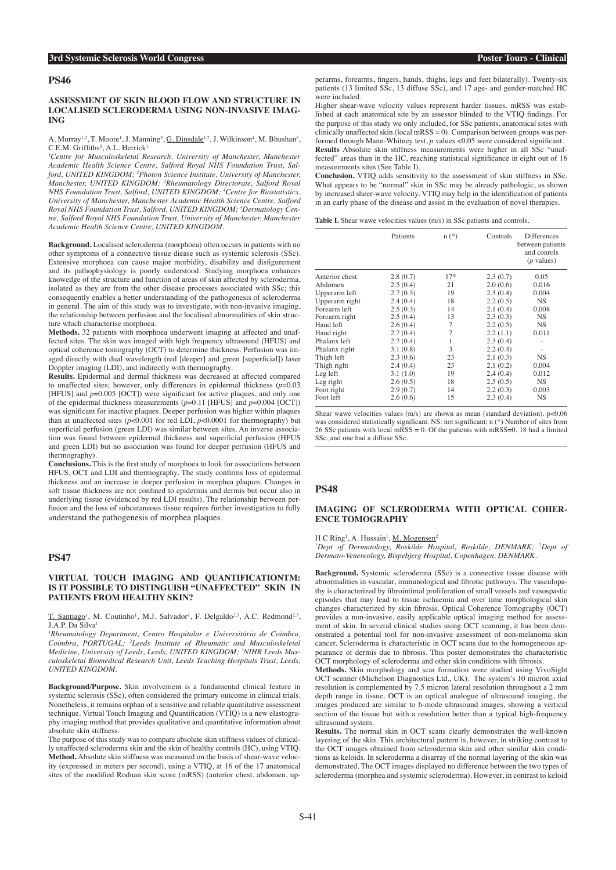#### **ASSESSMENT OF SKIN BLOOD FLOW AND STRUCTURE IN LOCALISED SCLERODERMA USING NON-INVASIVE IMAG-ING**

A. Murray<sup>1,2</sup>, T. Moore<sup>1</sup>, J. Manning<sup>3</sup>, G. Dinsdale<sup>1,2</sup>, J. Wilkinson<sup>4</sup>, M. Bhushan<sup>5</sup>,  $C.E.M.$  Griffiths<sup>5</sup>, A.L. Herrick<sup>1</sup>

<sup>1</sup> Centre for Musculoskeletal Research, University of Manchester, Manchester *Academic Health Science Centre, Salford Royal NHS Foundation Trust, Salford, UNITED KINGDOM; 2 Photon Science Institute, University of Manchester, Manchester, UNITED KINGDOM; 3 Rheumatology Directorate, Salford Royal NHS Foundation Trust, Salford, UNITED KINGDOM; 4 Centre for Biostatistics, University of Manchester, Manchester Academic Health Science Centre, Salford Royal NHS Foundation Trust, Salford, UNITED KINGDOM; 5 Dermatology Centre, Salford Royal NHS Foundation Trust, University of Manchester, Manchester Academic Health Science Centre, UNITED KINGDOM.*

**Background.** Localised scleroderma (morphoea) often occurs in patients with no other symptoms of a connective tissue diease such as systemic sclerosis (SSc). Extensive morphoea can cause major morbidity, disability and disfigurement and its pathophysiology is poorly understood. Studying morphoea enhances knowedge of the structure and function of areas of skin affected by scleroderma, isolated as they are from the other disease processes associated with SSc; this consequently enables a better understanding of the pathogenesis of scleroderma in general. The aim of this study was to investigate, with non-invasive imaging, the relationship between perfusion and the localised abnormalities of skin structure which characterise morphoea.

**Methods.** 32 patients with morphoea underwent imaging at affected and unaffected sites. The skin was imaged with high frequency ultrasound (HFUS) and optical coherence tomography (OCT) to determine thickness. Perfusion was imaged directly with dual wavelength (red [deeper] and green [superficial]) laser Doppler imaging (LDI), and indirectly with thermography.

**Results.** Epidermal and dermal thickness was decreased at affected compared to unaffected sites; however, only differences in epidermal thickness  $(p=0.03$ [HFUS] and *p*=0.005 [OCT]) were significant for active plaques, and only one of the epidermal thickness measurements  $(p=0.11$  [HFUS] and  $p=0.004$  [OCT]) was significant for inactive plaques. Deeper perfusion was higher within plaques than at unaffected sites  $(p<0.001$  for red LDI,  $p<0.0001$  for thermography) but superficial perfusion (green LDI) was similar between sites. An inverse association was found between epidermal thickness and superficial perfusion (HFUS and green LDI) but no association was found for deeper perfusion (HFUS and thermography).

**Conclusions.** This is the first study of morphoea to look for associations between HFUS, OCT and LDI and thermography. The study confirms loss of epidermal thickness and an increase in deeper perfusion in morphea plaques. Changes in soft tissue thickness are not confined to epidermis and dermis but occur also in underlying tissue (evidenced by red LDI results). The relationship between perfusion and the loss of subcutaneous tissue requires further investigation to fully understand the pathogenesis of morphea plaques.

# **PS47**

### **VIRTUAL TOUCH IMAGING AND QUANTIFICATIONTM: IS IT POSSIBLE TO DISTINGUISH "UNAFFECTED" SKIN IN PATIENTS FROM HEALTHY SKIN?**

T. Santiago<sup>1</sup>, M. Coutinho<sup>1</sup>, M.J. Salvador<sup>1</sup>, F. Delgaldo<sup>2,3</sup>, A.C. Redmond<sup>2,3</sup>, J.A.P. Da Silva1

<sup>1</sup>Rheumatology Department, Centro Hospitalar e Universitário de Coimbra, *Coimbra, PORTUGAL; 2 Leeds Institute of Rheumatic and Musculoskeletal Medicine, University of Leeds, Leeds, UNITED KINGDOM; 3 NIHR Leeds Musculoskeletal Biomedical Research Unit, Leeds Teaching Hospitals Trust, Leeds, UNITED KINGDOM.*

**Background/Purpose.** Skin involvement is a fundamental clinical feature in systemic sclerosis (SSc), often considered the primary outcome in clinical trials. Nonetheless, it remains orphan of a sensitive and reliable quantitative assessment technique. Virtual Touch Imaging and Quantification (VTIQ) is a new elastography imaging method that provides qualitative and quantitative information about absolute skin stiffness.

The purpose of this study was to compare absolute skin stiffness values of clinically unaffected scleroderma skin and the skin of healthy controls (HC), using VTIQ. **Method.** Absolute skin stiffness was measured on the basis of shear-wave velocity (expressed in meters per second), using a VTIQ, at 16 of the 17 anatomical sites of the modified Rodnan skin score (mRSS) (anterior chest, abdomen, upperarms, forearms, fingers, hands, thighs, legs and feet bilaterally). Twenty-six patients (13 limited SSc, 13 diffuse SSc), and 17 age- and gender-matched HC were included.

Higher shear-wave velocity values represent harder tissues. mRSS was established at each anatomical site by an assessor blinded to the VTIQ findings. For the purpose of this study we only included, for SSc patients, anatomical sites with clinically unaffected skin (local mRSS = 0). Comparison between groups was performed through Mann-Whitney test, *p* values <0.05 were considered significant. **Results** Absolute skin stiffness measurements were higher in all SSc "unaffected" areas than in the HC, reaching statistical significance in eight out of 16 measurements sites (See Table I).

**Conclusion.** VTIQ adds sensitivity to the assessment of skin stiffness in SSc. What appears to be "normal" skin in SSc may be already pathologic, as shown by increased sheer-wave velocity. VTIQ may help in the identification of patients in an early phase of the disease and assist in the evaluation of novel therapies.

Table I. Shear wawe velocities values (m/s) in SSc patients and controls.

|                | Patients | $n(*)$ | Controls | <b>Differences</b><br>between patients<br>and conrols<br>$(p$ values) |
|----------------|----------|--------|----------|-----------------------------------------------------------------------|
| Anterior chest | 2.8(0.7) | $17*$  | 2.3(0.7) | 0.05                                                                  |
| Abdomen        | 2.5(0.4) | 21     | 2.0(0.6) | 0.016                                                                 |
| Upperarm left  | 2.7(0.5) | 19     | 2.3(0.4) | 0.004                                                                 |
| Upperarm right | 2.4(0.4) | 18     | 2.2(0.5) | NS.                                                                   |
| Forearm left   | 2.5(0.3) | 14     | 2.1(0.4) | 0.008                                                                 |
| Forearm right  | 2.5(0.4) | 13     | 2.3(0.3) | NS.                                                                   |
| Hand left      | 2.6(0.4) | 7      | 2.2(0.5) | NS.                                                                   |
| Hand right     | 2.7(0.4) | 7      | 2.2(1.1) | 0.011                                                                 |
| Phalanx left   | 2.7(0.4) | 1      | 2.3(0.4) |                                                                       |
| Phalanx right  | 3.1(0.8) | 3      | 2.2(0.4) |                                                                       |
| Thigh left     | 2.3(0.6) | 23     | 2.1(0.3) | <b>NS</b>                                                             |
| Thigh right    | 2.4(0.4) | 23     | 2.1(0.2) | 0.004                                                                 |
| Leg left       | 3.1(1.0) | 19     | 2.4(0.4) | 0.012                                                                 |
| Leg right      | 2.6(0.5) | 18     | 2.5(0.5) | NS.                                                                   |
| Foot right     | 2.9(0.7) | 14     | 2.2(0.3) | 0.003                                                                 |
| Foot left      | 2.6(0.6) | 15     | 2.3(0.4) | NS                                                                    |

Shear wawe velocities values (m/s) are shown as mean (standard deviation). p<0.06 was considered statistically significant. NS: not significant; n (\*) Number of sites from 26 SSc patients with local  $\overline{m}$ SS = 0. Of the patients with  $\overline{m}$ SS=0, 18 had a limited SSc, and one had a diffuse SSc.

#### **PS48**

### **IMAGING OF SCLERODERMA WITH OPTICAL COHER-ENCE TOMOGRAPHY**

#### H.C Ring<sup>1</sup>, A. Hussain<sup>1</sup>, M. Mogensen<sup>2</sup>

<sup>1</sup>Dept of Dermatology, Roskilde Hospital, Roskilde, DENMARK; <sup>2</sup>Dept of *Dermato-Venereology, Bispebjerg Hospital, Copenhagen, DENMARK.*

**Background.** Systemic scleroderma (SSc) is a connective tissue disease with abnormalities in vascular, immunological and fibrotic pathways. The vasculopathy is characterized by fibrointimal proliferation of small vessels and vasospastic episodes that may lead to tissue ischaemia and over time morphological skin changes characterized by skin fibrosis. Optical Coherence Tomography (OCT) provides a non-invasive, easily applicable optical imaging method for assessment of skin. In several clinical studies using OCT scanning, it has been demonstrated a potential tool for non-invasive assessment of non-melanoma skin cancer. Scleroderma is characteristic in OCT scans due to the homogeneous appearance of dermis due to fibrosis. This poster demonstrates the characteristic OCT morphology of scleroderma and other skin conditions with fibrosis.

**Methods.** Skin morphology and scar formation were studied using VivoSight OCT scanner (Michelson Diagnostics Ltd., UK). The system's 10 micron axial resolution is complemented by 7.5 micron lateral resolution throughout a 2 mm depth range in tissue. OCT is an optical analogue of ultrasound imaging, the images produced are similar to b-mode ultrasound images, showing a vertical section of the tissue but with a resolution better than a typical high-frequency ultrasound system.

**Results.** The normal skin in OCT scans clearly demonstrates the well-known layering of the skin. This architectural pattern is, however, in striking contrast to the OCT images obtained from scleroderma skin and other similar skin conditions as keloids. In scleroderma a disarray of the normal layering of the skin was demonstrated. The OCT images displayed no difference between the two types of scleroderma (morphea and systemic scleroderma). However, in contrast to keloid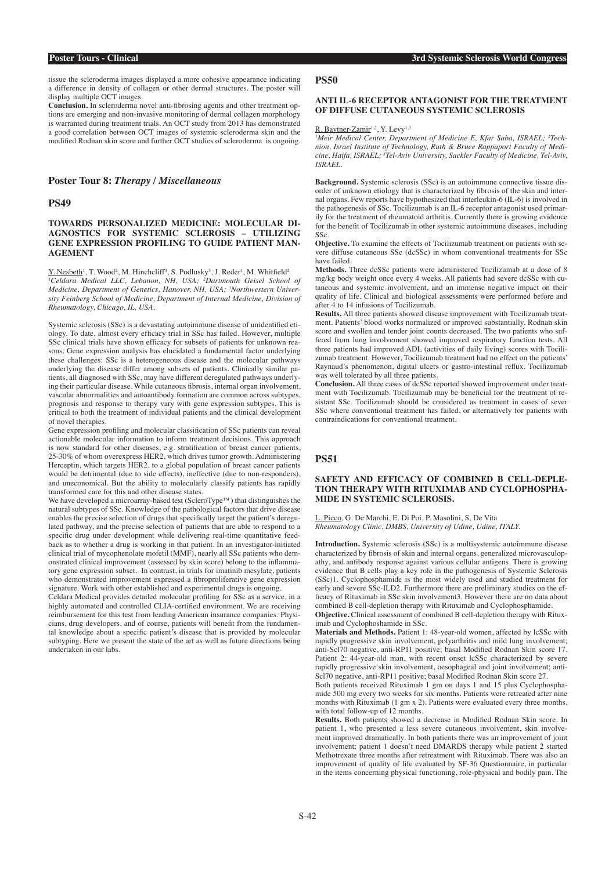tissue the scleroderma images displayed a more cohesive appearance indicating a difference in density of collagen or other dermal structures. The poster will display multiple OCT images.

Conclusion. In scleroderma novel anti-fibrosing agents and other treatment options are emerging and non-invasive monitoring of dermal collagen morphology is warranted during treatment trials. An OCT study from 2013 has demonstrated a good correlation between OCT images of systemic scleroderma skin and the modified Rodnan skin score and further OCT studies of scleroderma is ongoing.

## **Poster Tour 8:** *Therapy / Miscellaneous*

#### **PS49**

### **TOWARDS PERSONALIZED MEDICINE: MOLECULAR DI-AGNOSTICS FOR SYSTEMIC SCLEROSIS – UTILIZING GENE EXPRESSION PROFILING TO GUIDE PATIENT MAN-AGEMENT**

Y. Nesbeth<sup>1</sup>, T. Wood<sup>2</sup>, M. Hinchcliff<sup>3</sup>, S. Podlusky<sup>3</sup>, J. Reder<sup>1</sup>, M. Whitfield<sup>2</sup> *1 Celdara Medical LLC, Lebanon, NH, USA; 2 Dartmouth Geisel School of Medicine, Department of Genetics, Hanover, NH, USA; 3 Northwestern University Feinberg School of Medicine, Department of Internal Medicine, Division of Rheumatology, Chicago, IL, USA.*

Systemic sclerosis (SSc) is a devastating autoimmune disease of unidentified etiology. To date, almost every efficacy trial in SSc has failed. However, multiple SSc clinical trials have shown efficacy for subsets of patients for unknown reasons. Gene expression analysis has elucidated a fundamental factor underlying these challenges: SSc is a heterogeneous disease and the molecular pathways underlying the disease differ among subsets of patients. Clinically similar patients, all diagnosed with SSc, may have different deregulated pathways underlying their particular disease. While cutaneous fibrosis, internal organ involvement, vascular abnormalities and autoantibody formation are common across subtypes, prognosis and response to therapy vary with gene expression subtypes. This is critical to both the treatment of individual patients and the clinical development of novel therapies.

Gene expression profiling and molecular classification of SSc patients can reveal actionable molecular information to inform treatment decisions. This approach is now standard for other diseases, e.g. stratification of breast cancer patients, 25-30% of whom overexpress HER2, which drives tumor growth. Administering Herceptin, which targets HER2, to a global population of breast cancer patients would be detrimental (due to side effects), ineffective (due to non-responders) and uneconomical. But the ability to molecularly classify patients has rapidly transformed care for this and other disease states.

We have developed a microarray-based test (ScleroType™) that distinguishes the natural subtypes of SSc. Knowledge of the pathological factors that drive disease enables the precise selection of drugs that specifically target the patient's deregulated pathway, and the precise selection of patients that are able to respond to a specific drug under development while delivering real-time quantitative feedback as to whether a drug is working in that patient. In an investigator-initiated clinical trial of mycophenolate mofetil (MMF), nearly all SSc patients who demonstrated clinical improvement (assessed by skin score) belong to the inflammatory gene expression subset. In contrast, in trials for imatinib mesylate, patients who demonstrated improvement expressed a fibroproliferative gene expression signature. Work with other established and experimental drugs is ongoing.

Celdara Medical provides detailed molecular profiling for SSc as a service, in a highly automated and controlled CLIA-certified environment. We are receiving reimbursement for this test from leading American insurance companies. Physicians, drug developers, and of course, patients will benefit from the fundamental knowledge about a specific patient's disease that is provided by molecular subtyping. Here we present the state of the art as well as future directions being undertaken in our labs.

#### **PS50**

### **ANTI IL-6 RECEPTOR ANTAGONIST FOR THE TREATMENT OF DIFFUSE CUTANEOUS SYSTEMIC SCLEROSIS**

# R. Baytner-Zamir<sup>1,2</sup>, Y. Levy<sup>1,3</sup>

<sup>1</sup>Meir Medical Center, Department of Medicine E, Kfar Saba, ISRAEL; <sup>2</sup>Tech*nion, Israel Institute of Technology, Ruth & Bruce Rappaport Faculty of Medi*cine, Haifa, ISRAEL; <sup>3</sup>Tel-Aviv University, Sackler Faculty of Medicine, Tel-Aviv, *ISRAEL.*

**Background.** Systemic sclerosis (SSc) is an autoimmune connective tissue disorder of unknown etiology that is characterized by fibrosis of the skin and internal organs. Few reports have hypothesized that interleukin-6 (IL-6) is involved in the pathogenesis of SSc. Tocilizumab is an IL-6 receptor antagonist used primarily for the treatment of rheumatoid arthritis. Currently there is growing evidence for the benefit of Tocilizumab in other systemic autoimmune diseases, including SSc.

**Objective.** To examine the effects of Tocilizumab treatment on patients with severe diffuse cutaneous SSc (dcSSc) in whom conventional treatments for SSc have failed.

**Methods.** Three dcSSc patients were administered Tocilizumab at a dose of 8 mg/kg body weight once every 4 weeks. All patients had severe dcSSc with cutaneous and systemic involvement, and an immense negative impact on their quality of life. Clinical and biological assessments were performed before and after 4 to 14 infusions of Tocilizumab.

**Results.** All three patients showed disease improvement with Tocilizumab treatment. Patients' blood works normalized or improved substantially. Rodnan skin score and swollen and tender joint counts decreased. The two patients who suffered from lung involvement showed improved respiratory function tests. All three patients had improved ADL (activities of daily living) scores with Tocilizumab treatment. However, Tocilizumab treatment had no effect on the patients' Raynaud's phenomenon, digital ulcers or gastro-intestinal reflux. Tocilizumab was well tolerated by all three patients.

**Conclusion.** All three cases of dcSSc reported showed improvement under treatment with Tocilizumab. Tocilizumab may be beneficial for the treatment of resistant SSc. Tocilizumab should be considered as treatment in cases of sever SSc where conventional treatment has failed, or alternatively for patients with contraindications for conventional treatment.

# **PS51**

### **SAFETY AND EFFICACY OF COMBINED B CELL-DEPLE-TION THERAPY WITH RITUXIMAB AND CYCLOPHOSPHA-MIDE IN SYSTEMIC SCLEROSIS.**

L. Picco, G. De Marchi, E. Di Poi, P. Masolini, S. De Vita *Rheumatology Clinic, DMBS, University of Udine, Udine, ITALY.*

**Introduction.** Systemic sclerosis (SSc) is a multisystemic autoimmune disease characterized by fibrosis of skin and internal organs, generalized microvasculopathy, and antibody response against various cellular antigens. There is growing evidence that B cells play a key role in the pathogenesis of Systemic Sclerosis (SSc)1. Cyclophosphamide is the most widely used and studied treatment for early and severe SSc-ILD2. Furthermore there are preliminary studies on the efficacy of Rituximab in SSc skin involvement3. However there are no data about combined B cell-depletion therapy with Rituximab and Cyclophosphamide.

**Objective.** Clinical assessment of combined B cell-depletion therapy with Rituximab and Cyclophoshamide in SSc.

**Materials and Methods.** Patient 1: 48-year-old women, affected by lcSSc with rapidly progressive skin involvement, polyarthritis and mild lung involvement; anti-Scl70 negative, anti-RP11 positive; basal Modified Rodnan Skin score 17. Patient 2: 44-year-old man, with recent onset lcSSc characterized by severe rapidly progressive skin involvement, oesophageal and joint involvement; anti-Scl70 negative, anti-RP11 positive; basal Modified Rodnan Skin score 27.

Both patients received Rituximab 1 gm on days 1 and 15 plus Cyclophosphamide 500 mg every two weeks for six months. Patients were retreated after nine months with Rituximab (1 gm x 2). Patients were evaluated every three months, with total follow-up of 12 months.

**Results.** Both patients showed a decrease in Modified Rodnan Skin score. In patient 1, who presented a less severe cutaneous involvement, skin involvement improved dramatically. In both patients there was an improvement of joint involvement; patient 1 doesn't need DMARDS therapy while patient 2 started Methotrexate three months after retreatment with Rituximab. There was also an improvement of quality of life evaluated by SF-36 Questionnaire, in particular in the items concerning physical functioning, role-physical and bodily pain. The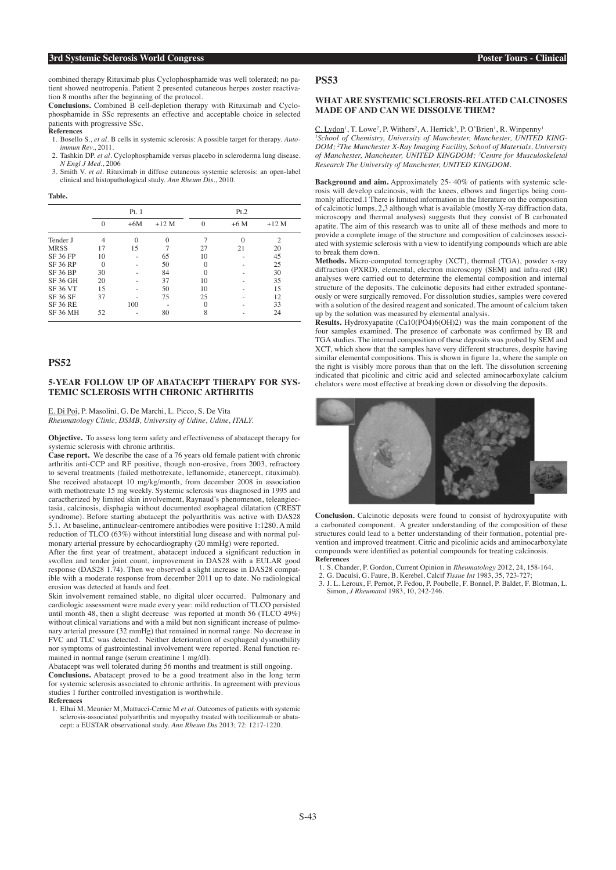# **3rd Systemic Sclerosis World Congress Poster Tours - Clinical**

combined therapy Rituximab plus Cyclophosphamide was well tolerated; no patient showed neutropenia. Patient 2 presented cutaneous herpes zoster reactivation 8 months after the beginning of the protocol.

**Conclusions.** Combined B cell-depletion therapy with Rituximab and Cyclophosphamide in SSc represents an effective and acceptable choice in selected patients with progressive SSc.

### **References**

- 1. Bosello S., *et al.* B cells in systemic sclerosis: A possible target for therapy. *Autoimmun Rev.*, 2011.
- 2. Tashkin DP. *et al.* Cyclophosphamide versus placebo in scleroderma lung disease.

*N Engl J Med*., 2006 3. Smith V. *et al.* Rituximab in diffuse cutaneous systemic sclerosis: an open-label clinical and histopathological study. *Ann Rheum Dis*., 2010.

**Table.**

|                 | Pt.1           |          |          |          |          |                |
|-----------------|----------------|----------|----------|----------|----------|----------------|
|                 | $\theta$       | $+6M$    | $+12M$   | $\Omega$ | $+6M$    | $+12M$         |
| Tender J        | $\overline{4}$ | $\theta$ | $\Omega$ |          | $\Omega$ | $\mathfrak{D}$ |
| <b>MRSS</b>     | 17             | 15       |          | 27       | 21       | 20             |
| <b>SF 36 FP</b> | 10             |          | 65       | 10       |          | 45             |
| <b>SF 36 RP</b> | $\Omega$       |          | 50       | $\Omega$ |          | 25             |
| <b>SF 36 BP</b> | 30             |          | 84       | $\Omega$ |          | 30             |
| <b>SF 36 GH</b> | 20             |          | 37       | 10       |          | 35             |
| <b>SF 36 VT</b> | 15             |          | 50       | 10       |          | 15             |
| SF 36 SF        | 37             |          | 75       | 25       |          | 12             |
| <b>SF 36 RE</b> |                | 100      |          | $\Omega$ |          | 33             |
| <b>SF 36 MH</b> | 52             |          | 80       | 8        |          | 24             |

### **PS52**

# **5-YEAR FOLLOW UP OF ABATACEPT THERAPY FOR SYS-TEMIC SCLEROSIS WITH CHRONIC ARTHRITIS**

# E. Di Poi, P. Masolini, G. De Marchi, L. Picco, S. De Vita

*Rheumatology Clinic, DSMB, University of Udine, Udine, ITALY.*

**Objective.** To assess long term safety and effectiveness of abatacept therapy for systemic sclerosis with chronic arthritis.

**Case report.** We describe the case of a 76 years old female patient with chronic arthritis anti-CCP and RF positive, though non-erosive, from 2003, refractory to several treatments (failed methotrexate, leflunomide, etanercept, rituximab). She received abatacept 10 mg/kg/month, from december 2008 in association with methotrexate 15 mg weekly. Systemic sclerosis was diagnosed in 1995 and caractherized by limited skin involvement, Raynaud's phenomenon, teleangiectasia, calcinosis, disphagia without documented esophageal dilatation (CREST syndrome). Before starting abatacept the polyarthritis was active with DAS28 5.1. At baseline, antinuclear-centromere antibodies were positive 1:1280. A mild reduction of TLCO (63%) without interstitial lung disease and with normal pulmonary arterial pressure by echocardiography (20 mmHg) were reported.

After the first year of treatment, abatacept induced a significant reduction in swollen and tender joint count, improvement in DAS28 with a EULAR good response (DAS28 1.74). Then we observed a slight increase in DAS28 compatible with a moderate response from december 2011 up to date. No radiological erosion was detected at hands and feet.

Skin involvement remained stable, no digital ulcer occurred. Pulmonary and cardiologic assessment were made every year: mild reduction of TLCO persisted until month 48, then a slight decrease was reported at month 56 (TLCO 49%) without clinical variations and with a mild but non significant increase of pulmonary arterial pressure (32 mmHg) that remained in normal range. No decrease in FVC and TLC was detected. Neither deterioration of esophageal dysmothility nor symptoms of gastrointestinal involvement were reported. Renal function remained in normal range (serum creatinine 1 mg/dl).

Abatacept was well tolerated during 56 months and treatment is still ongoing. **Conclusions.** Abatacept proved to be a good treatment also in the long term for systemic sclerosis associated to chronic arthritis. In agreement with previous studies 1 further controlled investigation is worthwhile.

#### **References**

 1. Elhai M, Meunier M, Mattucci-Cernic M *et al.* Outcomes of patients with systemic sclerosis-associated polyarthritis and myopathy treated with tocilizumab or abatacept: a EUSTAR observational study. *Ann Rheum Dis* 2013; 72: 1217-1220.

## **PS53**

### **WHAT ARE SYSTEMIC SCLEROSIS-RELATED CALCINOSES MADE OF AND CAN WE DISSOLVE THEM?**

 $C. Lydon<sup>1</sup>, T. Lowe<sup>2</sup>, P. Withers<sup>2</sup>, A. Herrick<sup>3</sup>, P. O'Brien<sup>1</sup>, R. Winpenny<sup>1</sup>$ *1 School of Chemistry, University of Manchester, Manchester, UNITED KING-DOM; 2 The Manchester X-Ray Imaging Facility, School of Materials, University of Manchester, Manchester, UNITED KINGDOM; 3 Centre for Musculoskeletal Research The University of Manchester, UNITED KINGDOM.*

**Background and aim.** Approximately 25- 40% of patients with systemic sclerosis will develop calcinosis, with the knees, elbows and fingertips being commonly affected.1 There is limited information in the literature on the composition of calcinotic lumps, 2,3 although what is available (mostly X-ray diffraction data, microscopy and thermal analyses) suggests that they consist of B carbonated apatite. The aim of this research was to unite all of these methods and more to provide a complete image of the structure and composition of calcinoses associated with systemic sclerosis with a view to identifying compounds which are able to break them down.

**Methods.** Micro-computed tomography (XCT), thermal (TGA), powder x-ray diffraction (PXRD), elemental, electron microscopy (SEM) and infra-red (IR) analyses were carried out to determine the elemental composition and internal structure of the deposits. The calcinotic deposits had either extruded spontaneously or were surgically removed. For dissolution studies, samples were covered with a solution of the desired reagent and sonicated. The amount of calcium taken up by the solution was measured by elemental analysis.

**Results.** Hydroxyapatite (Ca10(PO4)6(OH)2) was the main component of the four samples examined. The presence of carbonate was confirmed by IR and TGA studies. The internal composition of these deposits was probed by SEM and XCT, which show that the samples have very different structures, despite having similar elemental compositions. This is shown in figure 1a, where the sample on the right is visibly more porous than that on the left. The dissolution screening indicated that picolinic and citric acid and selected aminocarboxylate calcium chelators were most effective at breaking down or dissolving the deposits.



**Conclusion.** Calcinotic deposits were found to consist of hydroxyapatite with a carbonated component. A greater understanding of the composition of these structures could lead to a better understanding of their formation, potential prevention and improved treatment. Citric and picolinic acids and aminocarboxylate compounds were identified as potential compounds for treating calcinosis. **References**

1. S. Chander, P. Gordon, Current Opinion in *Rheumatology* 2012, 24, 158-164.

- 2. G. Daculsi, G. Faure, B. Kerebel, Calcif *Tissue Int* 1983, 35, 723-727;
- 3. J. L. Leroux, F. Pernot, P. Fedou, P. Poubelle, F. Bonnel, P. Baldet, F. Blotman, L. Simon, *J Rheumatol* 1983, 10, 242-246.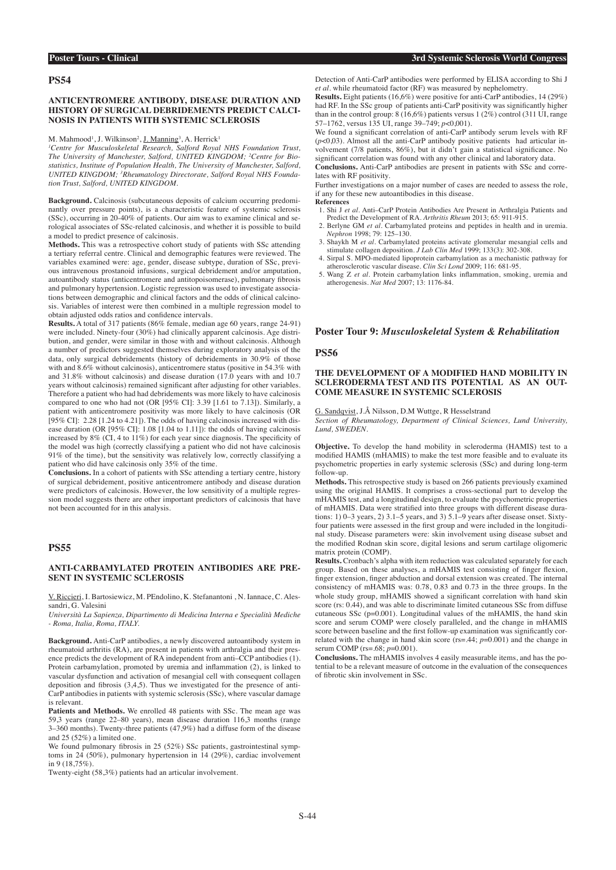### **ANTICENTROMERE ANTIBODY, DISEASE DURATION AND HISTORY OF SURGICAL DEBRIDEMENTS PREDICT CALCI-NOSIS IN PATIENTS WITH SYSTEMIC SCLEROSIS**

#### M. Mahmood<sup>1</sup>, J. Wilkinson<sup>2</sup>, <u>J. Mannin</u>g<sup>3</sup>, A. Herrick<sup>1</sup>

*1 Centre for Musculoskeletal Research, Salford Royal NHS Foundation Trust, The University of Manchester, Salford, UNITED KINGDOM; 2 Centre for Biostatistics, Institute of Population Health, The University of Manchester, Salford, UNITED KINGDOM; 3 Rheumatology Directorate, Salford Royal NHS Foundation Trust, Salford, UNITED KINGDOM.*

**Background.** Calcinosis (subcutaneous deposits of calcium occurring predominantly over pressure points), is a characteristic feature of systemic sclerosis (SSc), occurring in 20-40% of patients. Our aim was to examine clinical and serological associates of SSc-related calcinosis, and whether it is possible to build a model to predict presence of calcinosis.

**Methods.** This was a retrospective cohort study of patients with SSc attending a tertiary referral centre. Clinical and demographic features were reviewed. The variables examined were: age, gender, disease subtype, duration of SSc, previous intravenous prostanoid infusions, surgical debridement and/or amputation, autoantibody status (anticentromere and antitopoisomerase), pulmonary fibrosis and pulmonary hypertension. Logistic regression was used to investigate associations between demographic and clinical factors and the odds of clinical calcinosis. Variables of interest were then combined in a multiple regression model to obtain adjusted odds ratios and confidence intervals.

**Results.** A total of 317 patients (86% female, median age 60 years, range 24-91) were included. Ninety-four (30%) had clinically apparent calcinosis. Age distribution, and gender, were similar in those with and without calcinosis. Although a number of predictors suggested themselves during exploratory analysis of the data, only surgical debridements (history of debridements in 30.9% of those with and 8.6% without calcinosis), anticentromere status (positive in 54.3% with and 31.8% without calcinosis) and disease duration (17.0 years with and 10.7 years without calcinosis) remained significant after adjusting for other variables. Therefore a patient who had had debridements was more likely to have calcinosis compared to one who had not (OR [95% CI]: 3.39 [1.61 to 7.13]). Similarly, a patient with anticentromere positivity was more likely to have calcinosis (OR  $[95\% \text{ CI}]$ : 2.28 [1.24 to 4.21]). The odds of having calcinosis increased with disease duration (OR [95% CI]: 1.08 [1.04 to 1.11]): the odds of having calcinosis increased by 8% (CI, 4 to 11%) for each year since diagnosis. The specificity of the model was high (correctly classifying a patient who did not have calcinosis 91% of the time), but the sensitivity was relatively low, correctly classifying a patient who did have calcinosis only 35% of the time.

**Conclusions.** In a cohort of patients with SSc attending a tertiary centre, history of surgical debridement, positive anticentromere antibody and disease duration were predictors of calcinosis. However, the low sensitivity of a multiple regression model suggests there are other important predictors of calcinosis that have not been accounted for in this analysis.

# **PS55**

### **ANTI-CARBAMYLATED PROTEIN ANTIBODIES ARE PRE-SENT IN SYSTEMIC SCLEROSIS**

V. Riccieri, I. Bartosiewicz, M. PEndolino, K. Stefanantoni , N. Iannace, C. Alessandri, G. Valesini

*Università La Sapienza, Dipartimento di Medicina Interna e Specialità Mediche - Roma, Italia, Roma, ITALY.*

**Background.** Anti-CarP antibodies, a newly discovered autoantibody system in rheumatoid arthritis (RA), are present in patients with arthralgia and their presence predicts the development of RA independent from anti–CCP antibodies (1). Protein carbamylation, promoted by uremia and inflammation (2), is linked to vascular dysfunction and activation of mesangial cell with consequent collagen deposition and fibrosis (3,4,5). Thus we investigated for the presence of anti-CarP antibodies in patients with systemic sclerosis (SSc), where vascular damage is relevant.

**Patients and Methods.** We enrolled 48 patients with SSc. The mean age was 59,3 years (range 22–80 years), mean disease duration 116,3 months (range 3–360 months). Twenty-three patients (47,9%) had a diffuse form of the disease and 25 (52%) a limited one.

We found pulmonary fibrosis in 25 (52%) SSc patients, gastrointestinal symptoms in 24 (50%), pulmonary hypertension in 14 (29%), cardiac involvement in 9  $(18,75\%)$ .

Twenty-eight (58,3%) patients had an articular involvement.

Detection of Anti-CarP antibodies were performed by ELISA according to Shi J *et al.* while rheumatoid factor (RF) was measured by nephelometry.

**Results.** Eight patients (16,6%) were positive for anti-CarP antibodies, 14 (29%) had RF. In the SSc group of patients anti-CarP positivity was significantly higher than in the control group:  $8(16,6\%)$  patients versus  $1(2\%)$  control (311 UI, range 57–1762, versus 135 UI, range 39–749; *p*<0,001).

We found a significant correlation of anti-CarP antibody serum levels with RF (*p*<0,03). Almost all the anti-CarP antibody positive patients had articular involvement (7/8 patients, 86%), but it didn't gain a statistical significance. No significant correlation was found with any other clinical and laboratory data.

**Conclusions.** Anti-CarP antibodies are present in patients with SSc and correlates with RF positivity.

Further investigations on a major number of cases are needed to assess the role, if any for these new autoantibodies in this disease. **References**

 1. Shi J *et al.* Anti–CarP Protein Antibodies Are Present in Arthralgia Patients and Predict the Development of RA. *Arthritis Rheum* 2013; 65: 911-915.

- 2. Berlyne GM *et al.* Carbamylated proteins and peptides in health and in uremia. *Nephron* 1998; 79: 125–130.
- 3. Shaykh M *et al.* Carbamylated proteins activate glomerular mesangial cells and stimulate collagen deposition. *J Lab Clin Med* 1999; 133(3): 302-308.
- 4. Sirpal S. MPO-mediated lipoprotein carbamylation as a mechanistic pathway for atherosclerotic vascular disease. *Clin Sci Lond* 2009; 116: 681-95.
- 5. Wang Z *et al.* Protein carbamylation links inflammation, smoking, uremia and atherogenesis. *Nat Med* 2007; 13: 1176-84.

#### **Poster Tour 9:** *Musculoskeletal System & Rehabilitation*

#### **PS56**

### **THE DEVELOPMENT OF A MODIFIED HAND MOBILITY IN SCLERODERMA TEST AND ITS POTENTIAL AS AN OUT-COME MEASURE IN SYSTEMIC SCLEROSIS**

G. Sandqvist, J.Å Nilsson, D.M Wuttge, R Hesselstrand

*Section of Rheumatology, Department of Clinical Sciences, Lund University, Lund, SWEDEN.*

**Objective.** To develop the hand mobility in scleroderma (HAMIS) test to a modified HAMIS (mHAMIS) to make the test more feasible and to evaluate its psychometric properties in early systemic sclerosis (SSc) and during long-term follow-up.

**Methods.** This retrospective study is based on 266 patients previously examined using the original HAMIS. It comprises a cross-sectional part to develop the mHAMIS test, and a longitudinal design, to evaluate the psychometric properties of mHAMIS. Data were stratified into three groups with different disease durations: 1) 0–3 years, 2) 3.1–5 years, and 3) 5.1–9 years after disease onset. Sixtyfour patients were assessed in the first group and were included in the longitudinal study. Disease parameters were: skin involvement using disease subset and the modified Rodnan skin score, digital lesions and serum cartilage oligomeric matrix protein (COMP).

**Results.** Cronbach's alpha with item reduction was calculated separately for each group. Based on these analyses, a mHAMIS test consisting of finger flexion, finger extension, finger abduction and dorsal extension was created. The internal consistency of mHAMIS was: 0.78, 0.83 and 0.73 in the three groups. In the whole study group, mHAMIS showed a significant correlation with hand skin score (rs: 0.44), and was able to discriminate limited cutaneous SSc from diffuse cutaneous SSc (p=0.001). Longitudinal values of the mHAMIS, the hand skin score and serum COMP were closely paralleled, and the change in mHAMIS score between baseline and the first follow-up examination was significantly correlated with the change in hand skin score ( $rs = .44$ ;  $p = 0.001$ ) and the change in serum COMP (rs=.68; *p*=0.001).

**Conclusions.** The mHAMIS involves 4 easily measurable items, and has the potential to be a relevant measure of outcome in the evaluation of the consequences of fibrotic skin involvement in SSc.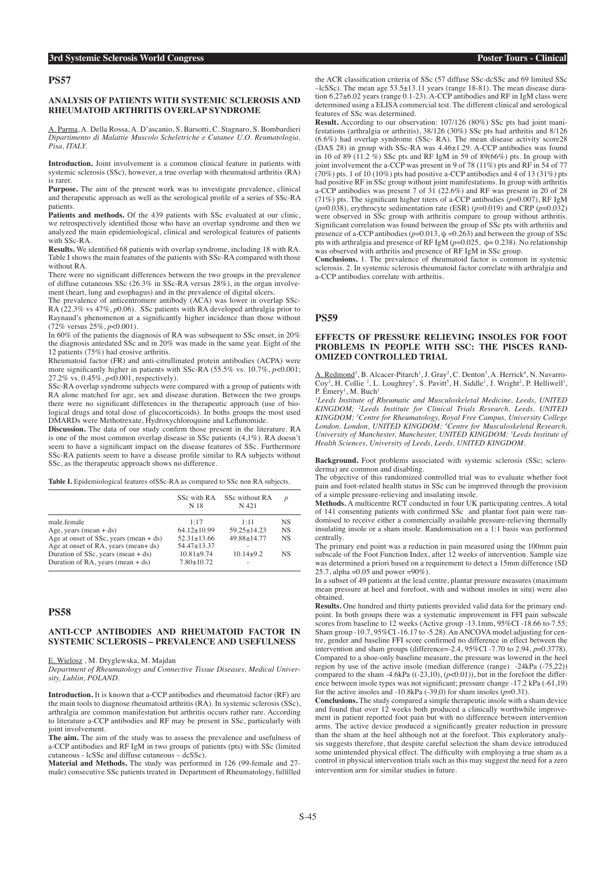### **ANALYSIS OF PATIENTS WITH SYSTEMIC SCLEROSIS AND RHEUMATOID ARTHRITIS OVERLAP SYNDROME**

A. Parma, A. Della Rossa, A. D'ascanio, S. Barsotti, C. Stagnaro, S. Bombardieri *Dipartimento di Malattie Muscolo Scheletriche e Cutanee U.O. Reumatologia, Pisa, ITALY.*

**Introduction.** Joint involvement is a common clinical feature in patients with systemic sclerosis (SSc), however, a true overlap with rheumatoid arthritis (RA) is rarer.

**Purpose.** The aim of the present work was to investigate prevalence, clinical and therapeutic approach as well as the serological profile of a series of SSc-RA patients.

**Patients and methods.** Of the 439 patients with SSc evaluated at our clinic, we retrospectively identified those who have an overlap syndrome and then we analyzed the main epidemiological, clinical and serological features of patients with SSc-RA.

**Results.** We identified 68 patients with overlap syndrome, including 18 with RA. Table I shows the main features of the patients with SSc-RA compared with those without RA.

There were no significant differences between the two groups in the prevalence of diffuse cutaneous SSc (26.3% in SSc-RA versus 28%), in the organ involvement (heart, lung and esophagus) and in the prevalence of digital ulcers.

The prevalence of anticentromere antibody (ACA) was lower in overlap SSc-RA (22.3% vs 47%, *p*0.06). SSc patients with RA developed arthralgia prior to Raynaud's phenomenon at a significantly higher incidence than those without (72% versus 25%, *p*<0.001).

In 60% of the patients the diagnosis of RA was subsequent to SSc onset, in 20% the diagnosis antedated SSc and in 20% was made in the same year. Eight of the 12 patients (75%) had erosive arthritis.

Rheumatoid factor (FR) and anti-citrullinated protein antibodies (ACPA) were more significantly higher in patients with SSc-RA (55.5% vs. 10.7%, *p*<0.001; 27.2% vs. 0.45%, *p*<0.001, respectively).

SSc-RA overlap syndrome subjects were compared with a group of patients with RA alone matched for age, sex and disease duration. Between the two groups there were no significant differences in the therapeutic approach (use of biological drugs and total dose of glucocorticoids). In boths groups the most used DMARDs were Methotrexate, Hydroxychloroquine and Leflunomide.

**Discussion.** The data of our study confirm those present in the literature. RA is one of the most common overlap disease in SSc patients (4,1%). RA doesn't seem to have a significant impact on the disease features of SSc. Furthermore SSc-RA patients seem to have a disease profile similar to RA subjects without SSc, as the therapeutic approach shows no difference.

**Table I.** Epidemiological features ofSSc-RA as compared to SSc non RA subjects.

|                                           | N 18            | SSc with RA SSc without RA<br>N 421 | $\boldsymbol{p}$ |
|-------------------------------------------|-----------------|-------------------------------------|------------------|
| male.female                               | 1.17            | $1 - 11$                            | <b>NS</b>        |
| Age, years (mean $+$ ds)                  | $64.12 + 10.99$ | $59.25 + 14.23$                     | <b>NS</b>        |
| Age at onset of $SSc$ , years (mean + ds) | $52.31 + 13.66$ | 49.88+14.77                         | <b>NS</b>        |
| Age at onset of RA, years (mean+ ds)      | $54.47 + 13.37$ |                                     |                  |
| Duration of $SSc$ , years (mean $+ ds$ )  | $10.81 + 9.74$  | $10.14 + 9.2$                       | NS               |
| Duration of RA, years (mean $+$ ds)       | $7.80 + 10.72$  | ÷                                   |                  |

#### **PS58**

### **ANTI-CCP ANTIBODIES AND RHEUMATOID FACTOR IN SYSTEMIC SCLEROSIS – PREVALENCE AND USEFULNESS**

E. Wielosz , M. Dryglewska, M. Majdan

*Department of Rheumatology and Connective Tissue Diseases, Medical University, Lublin, POLAND.*

**Introduction.** It is known that a-CCP antibodies and rheumatoid factor (RF) are the main tools to diagnose rheumatoid arthritis (RA). In systemic sclerosis (SSc), arthralgia are common manifestation but arthritis occurs rather rare. According to literature a-CCP antibodies and RF may be present in SSc, particularly with joint involvement.

**The aim.** The aim of the study was to assess the prevalence and usefulness of a-CCP antibodies and RF IgM in two groups of patients (pts) with SSc (limited cutaneous - lcSSc and diffuse cutaneous – dcSSc).

**Material and Methods.** The study was performed in 126 (99-female and 27 male) consecutive SSc patients treated in Department of Rheumatology, fulfilled the ACR classification criteria of SSc (57 diffuse SSc-dcSSc and 69 limited SSc –lcSSc). The mean age 53.5±13.11 years (range 18-81). The mean disease duration 6.27±6.02 years (range 0.1-23). A-CCP antibodies and RF in IgM class were determined using a ELISA commercial test. The different clinical and serological features of SSc was determined.

**Result.** According to our observation: 107/126 (80%) SSc pts had joint manifestations (arthralgia or arthritis), 38/126 (30%) SSc pts had arthritis and 8/126 (6.6%) had overlap syndrome (SSc- RA). The mean disease activity score28 (DAS 28) in group with SSc-RA was 4.46±1.29. A-CCP antibodies was found in 10 of 89 (11.2  $\frac{6}{9}$ ) SSc pts and RF IgM in 59 of 89(66%) pts. In group with joint involvement the a-CCP was present in 9 of 78 (11%) pts and RF in  $54$  of 77 (70%) pts. 1 of 10 (10%) pts had positive a-CCP antibodies and 4 of 13 (31%) pts had positive RF in SSc group without joint manifestations. In group with arthritis a-CCP antibodies was present 7 of 31 (22.6%) and RF was present in 20 of 28 (71%) pts. The significant higher titers of a-CCP antibodies  $(p=0.007)$ , RF IgM  $(p=0.038)$ , erythrocyte sedimentation rate (ESR)  $(p=0.019)$  and CRP  $(p=0.032)$ were observed in SSc group with arthritis compare to group without arthritis. Significant correlation was found between the group of SSc pts with arthritis and presence of a-CCP antibodies  $(p=0.013, \phi=0.263)$  and between the group of SSc pts with arthralgia and presence of RF IgM ( $p=0.025$ ,  $\phi=0.238$ ). No relationship was observed with arthritis and presence of RF IgM in SSc group.

**Conclusions.** 1. The prevalence of rheumatoid factor is common in systemic sclerosis. 2. In systemic sclerosis rheumatoid factor correlate with arthralgia and a-CCP antibodies correlate with arthritis.

#### **PS59**

### **EFFECTS OF PRESSURE RELIEVING INSOLES FOR FOOT PROBLEMS IN PEOPLE WITH SSC: THE PISCES RAND-OMIZED CONTROLLED TRIAL**

A. Redmond<sup>1</sup>, B. Alcacer-Pitarch<sup>1</sup>, J. Gray<sup>2</sup>, C. Denton<sup>3</sup>, A. Herrick<sup>4</sup>, N. Navarro-Coy<sup>2</sup>, H. Collie <sup>2</sup>, L. Loughrey<sup>1</sup>, S. Pavitt<sup>5</sup>, H. Siddle<sup>1</sup>, J. Wright<sup>2</sup>, P. Helliwell<sup>1</sup>, P. Emery<sup>1</sup>, M. Buch<sup>1</sup>

*1 Leeds Institute of Rheumatic and Musculoskeletal Medicine, Leeds, UNITED KINGDOM; 2 Leeds Institute for Clinical Trials Research, Leeds, UNITED KINGDOM; 3 Centre for Rheumatology, Royal Free Campus, University College London, London, UNITED KINGDOM; 4 Centre for Musculoskeletal Research, University of Manchester, Manchester, UNITED KINGDOM; 5 Leeds Institute of Health Sciences, University of Leeds, Leeds, UNITED KINGDOM.*

**Background.** Foot problems associated with systemic sclerosis (SSc; scleroderma) are common and disabling.

The objective of this randomized controlled trial was to evaluate whether foot pain and foot-related health status in SSc can be improved through the provision of a simple pressure-relieving and insulating insole.

**Methods.** A multicentre RCT conducted in four UK participating centres. A total of 141 consenting patients with confirmed SSc and plantar foot pain were randomised to receive either a commercially available pressure-relieving thermally insulating insole or a sham insole. Randomisation on a 1:1 basis was performed centrally.

The primary end point was a reduction in pain measured using the 100mm pain subscale of the Foot Function Index, after 12 weeks of intervention. Sample size was determined a priori based on a requirement to detect a 15mm difference (SD 25.7, alpha =  $0.05$  and power =  $90\%$ ).

In a subset of 49 patients at the lead centre, plantar pressure measures (maximum mean pressure at heel and forefoot, with and without insoles in situ) were also obtained.

**Results.** One hundred and thirty patients provided valid data for the primary endpoint. In both groups there was a systematic improvement in FFI pain subscale scores from baseline to 12 weeks (Active group -13.1mm, 95%CI -18.66 to-7.55; Sham group -10.7, 95%CI -16.17 to -5.28). An ANCOVA model adjusting for centre, gender and baseline FFI score confirmed no difference in effect between the intervention and sham groups (difference=-2.4, 95%CI -7.70 to 2.94, *p*=0.3778). Compared to a shoe-only baseline measure, the pressure was lowered in the heel region by use of the active insole (median difference (range) -24kPa (-75,22)) compared to the sham  $-4.6kPa$  ( $(-23,10)$ ,  $(p<0.01)$ ), but in the forefoot the difference between insole types was not significant; pressure change -17.2 kPa (-61,19) for the active insoles and  $-10.8$ kPa  $(-39,0)$  for sham insoles  $(p=0.31)$ .

**Conclusions.** The study compared a simple therapeutic insole with a sham device and found that over 12 weeks both produced a clinically worthwhile improvement in patient reported foot pain but with no difference between intervention arms. The active device produced a significantly greater reduction in pressure than the sham at the heel although not at the forefoot. This exploratory analysis suggests therefore, that despite careful selection the sham device introduced some unintended physical effect. The difficulty with employing a true sham as a control in physical intervention trials such as this may suggest the need for a zero intervention arm for similar studies in future.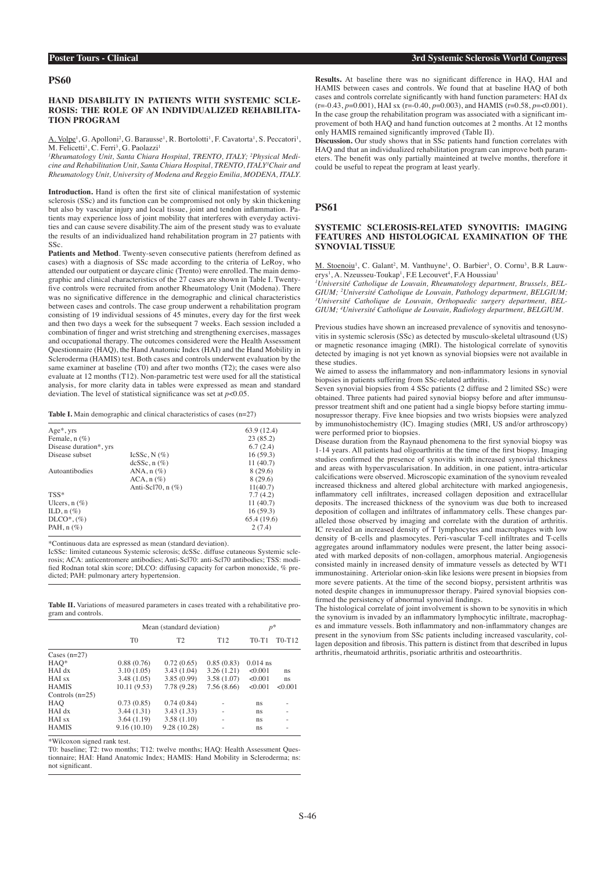### **HAND DISABILITY IN PATIENTS WITH SYSTEMIC SCLE-ROSIS: THE ROLE OF AN INDIVIDUALIZED REHABILITA-TION PROGRAM**

A. Volpe<sup>1</sup>, G. Apolloni<sup>2</sup>, G. Barausse<sup>1</sup>, R. Bortolotti<sup>1</sup>, F. Cavatorta<sup>1</sup>, S. Peccatori<sup>1</sup>, M. Felicetti<sup>1</sup>, C. Ferri<sup>3</sup>, G. Paolazzi<sup>1</sup>

*1 Rheumatology Unit, Santa Chiara Hospital, TRENTO, ITALY; 2 Physical Medicine and Rehabilitation Unit, Santa Chiara Hospital, TRENTO, ITALY3 Chair and Rheumatology Unit, University of Modena and Reggio Emilia, MODENA, ITALY.*

**Introduction.** Hand is often the first site of clinical manifestation of systemic sclerosis (SSc) and its function can be compromised not only by skin thickening but also by vascular injury and local tissue, joint and tendon inflammation. Patients may experience loss of joint mobility that interferes with everyday activities and can cause severe disability.The aim of the present study was to evaluate the results of an individualized hand rehabilitation program in 27 patients with SSc.

**Patients and Method**. Twenty-seven consecutive patients (herefrom defined as cases) with a diagnosis of SSc made according to the criteria of LeRoy, who attended our outpatient or daycare clinic (Trento) were enrolled. The main demographic and clinical characteristics of the 27 cases are shown in Table I. Twentyfive controls were recruited from another Rheumatology Unit (Modena). There was no significative difference in the demographic and clinical characteristics between cases and controls. The case group underwent a rehabilitation program consisting of 19 individual sessions of 45 minutes, every day for the first week and then two days a week for the subsequent 7 weeks. Each session included a combination of finger and wrist stretching and strengthening exercises, massages and occupational therapy. The outcomes considered were the Health Assessment Questionnaire (HAQ), the Hand Anatomic Index (HAI) and the Hand Mobility in Scleroderma (HAMIS) test. Both cases and controls underwent evaluation by the same examiner at baseline (T0) and after two months (T2); the cases were also evaluate at 12 months (T12). Non-parametric test were used for all the statistical analysis, for more clarity data in tables were expressed as mean and standard deviation. The level of statistical significance was set at *p*<0.05.

**Table I.** Main demographic and clinical characteristics of cases (n=27)

| $Age*, yrs$            |                          | 63.9 (12.4) |
|------------------------|--------------------------|-------------|
| Female, $n$ $(\%)$     |                          | 23(85.2)    |
| Disease duration*, yrs |                          | 6.7(2.4)    |
| Disease subset         | IcSSc. N $(\%)$          | 16(59.3)    |
|                        | $dcSSc, n(\%)$           | 11(40.7)    |
| Autoantibodies         | ANA, $n$ $(\%)$          | 8(29.6)     |
|                        | $ACA$ , n $(\%)$         | 8(29.6)     |
|                        | Anti-Scl $70$ , n $(\%)$ | 11(40.7)    |
| $TSS*$                 |                          | 7.7(4.2)    |
| Ulcers, $n$ (%)        |                          | 11(40.7)    |
| ILD, $n$ (%)           |                          | 16(59.3)    |
| $DLCO*, (%)$           |                          | 65.4 (19.6) |
| PAH, $n$ $(\%)$        |                          | 2(7.4)      |

\*Continuous data are espressed as mean (standard deviation).

IcSSc: limited cutaneous Systemic sclerosis; dcSSc. diffuse cutaneous Systemic sclerosis; ACA: anticentromere antibodies; Anti-Scl70: anti-Scl70 antibodies; TSS: modified Rodnan total skin score; DLCO: diffusing capacity for carbon monoxide, % predicted; PAH: pulmonary artery hypertension.

**Table II.** Variations of measured parameters in cases treated with a rehabilitative program and controls.

|                | Mean (standard deviation) |                 |            |                                 |  |
|----------------|---------------------------|-----------------|------------|---------------------------------|--|
| T <sub>0</sub> | T <sub>2</sub>            | T <sub>12</sub> | $T0-T1$    | T <sub>0</sub> -T <sub>12</sub> |  |
|                |                           |                 |            |                                 |  |
| 0.88(0.76)     | 0.72(0.65)                | 0.85(0.83)      | $0.014$ ns |                                 |  |
| 3.10(1.05)     | 3.43(1.04)                | 3.26(1.21)      | < 0.001    | ns                              |  |
| 3.48(1.05)     | 3.85(0.99)                | 3.58(1.07)      | < 0.001    | ns                              |  |
| 10.11(9.53)    | 7.78 (9.28)               | 7.56 (8.66)     | < 0.001    | < 0.001                         |  |
|                |                           |                 |            |                                 |  |
| 0.73(0.85)     | 0.74(0.84)                |                 | ns         | ٠                               |  |
| 3.44(1.31)     | 3.43(1.33)                |                 | ns         | ٠                               |  |
| 3.64(1.19)     | 3.58(1.10)                | ٠               | ns         | ٠                               |  |
| 9.16(10.10)    | 9.28 (10.28)              |                 | ns         |                                 |  |
|                |                           |                 |            | $p^*$                           |  |

\*Wilcoxon signed rank test.

T0: baseline; T2: two months; T12: twelve months; HAQ: Health Assessment Ques-tionnaire; HAI: Hand Anatomic Index; HAMIS: Hand Mobility in Scleroderma; ns: not significant.

**Results.** At baseline there was no significant difference in HAQ, HAI and HAMIS between cases and controls. We found that at baseline HAQ of both cases and controls correlate significantly with hand function parameters: HAI dx (r=-0.43, *p*=0.001), HAI sx (r=-0.40, *p*=0.003), and HAMIS (r=0.58, *p*=<0.001). In the case group the rehabilitation program was associated with a significant improvement of both HAQ and hand function outcomes at 2 months. At 12 months only HAMIS remained significantly improved (Table II).

Discussion. Our study shows that in SSc patients hand function correlates with HAQ and that an individualized rehabilitation program can improve both parameters. The benefit was only partially mainteined at twelve months, therefore it could be useful to repeat the program at least yearly.

#### **PS61**

### **SYSTEMIC SCLEROSIS-RELATED SYNOVITIS: IMAGING FEATURES AND HISTOLOGICAL EXAMINATION OF THE SYNOVIAL TISSUE**

M. Stoenoiu<sup>1</sup>, C. Galant<sup>2</sup>, M. Vanthuyne<sup>1</sup>, O. Barbier<sup>3</sup>, O. Cornu<sup>3</sup>, B.R Lauwerys<sup>1</sup>, A. Nzeusseu-Toukap<sup>1</sup>, F.E Lecouvet<sup>4</sup>, F.A Houssiau<sup>1</sup>

*1 Université Catholique de Louvain, Rheumatology department, Brussels, BEL-GIUM; 2 Université Catholique de Louvain, Pathology department, BELGIUM; 3 Université Catholique de Louvain, Orthopaedic surgery department, BEL-GIUM; 4 Université Catholique de Louvain, Radiology department, BELGIUM.*

Previous studies have shown an increased prevalence of synovitis and tenosynovitis in systemic sclerosis (SSc) as detected by musculo-skeletal ultrasound (US) or magnetic resonance imaging (MRI). The histological correlate of synovitis detected by imaging is not yet known as synovial biopsies were not available in these studies.

We aimed to assess the inflammatory and non-inflammatory lesions in synovial biopsies in patients suffering from SSc-related arthritis.

Seven synovial biopsies from 4 SSc patients (2 diffuse and 2 limited SSc) were obtained. Three patients had paired synovial biopsy before and after immunsupressor treatment shift and one patient had a single biopsy before starting immunosupressor therapy. Five knee biopsies and two wrists biopsies were analyzed by immunohistochemistry (IC). Imaging studies (MRI, US and/or arthroscopy) were performed prior to biopsies.

Disease duration from the Raynaud phenomena to the first synovial biopsy was 1-14 years. All patients had oligoarthritis at the time of the first biopsy. Imaging studies confirmed the presence of synovitis with increased synovial thickness and areas with hypervascularisation. In addition, in one patient, intra-articular calcifications were observed. Microscopic examination of the synovium revealed increased thickness and altered global architecture with marked angiogenesis, inflammatory cell infiltrates, increased collagen deposition and extracellular deposits. The increased thickness of the synovium was due both to increased deposition of collagen and infiltrates of inflammatory cells. These changes paralleled those observed by imaging and correlate with the duration of arthritis. IC revealed an increased density of T lymphocytes and macrophages with low density of B-cells and plasmocytes. Peri-vascular T-cell infiltrates and T-cells aggregates around inflammatory nodules were present, the latter being associated with marked deposits of non-collagen, amorphous material. Angiogenesis consisted mainly in increased density of immature vessels as detected by WT1 immunostaining. Arteriolar onion-skin like lesions were present in biopsies from more severe patients. At the time of the second biopsy, persistent arthritis was noted despite changes in immunupressor therapy. Paired synovial biopsies confirmed the persistency of abnormal synovial findings.

The histological correlate of joint involvement is shown to be synovitis in which the synovium is invaded by an inflammatory lymphocytic infiltrate, macrophages and immature vessels. Both inflammatory and non-inflammatory changes are present in the synovium from SSc patients including increased vascularity, collagen deposition and fibrosis. This pattern is distinct from that described in lupus arthritis, rheumatoid arthritis, psoriatic arthritis and osteoarthritis.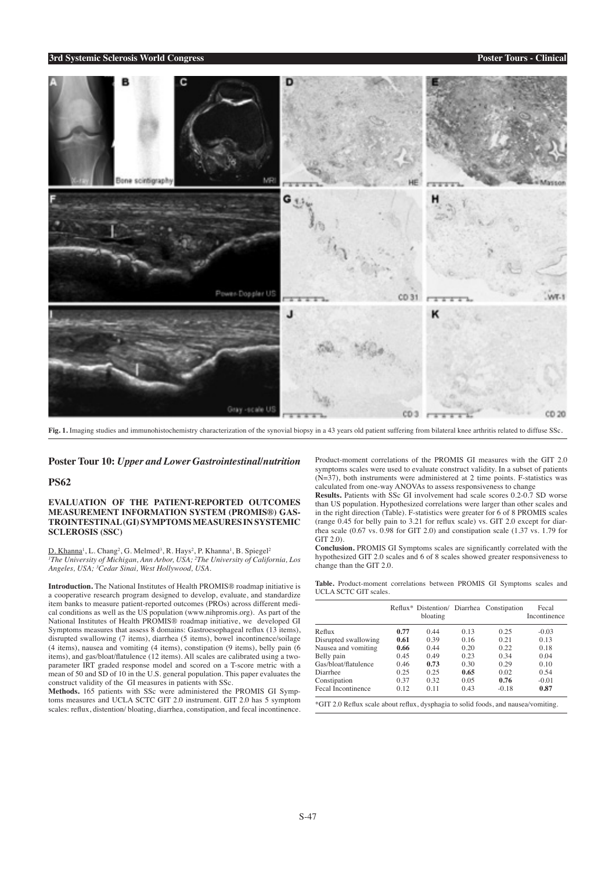### **3rd Systemic Sclerosis World Congress Poster Tours - Clinical**



**Fig. 1.** Imaging studies and immunohistochemistry characterization of the synovial biopsy in a 43 years old patient suffering from bilateral knee arthritis related to diffuse SSc.

#### **Poster Tour 10:** *Upper and Lower Gastrointestinal/nutrition*

# **PS62**

### **EVALUATION OF THE PATIENT-REPORTED OUTCOMES MEASUREMENT INFORMATION SYSTEM (PROMIS®) GAS-TROINTESTINAL (GI) SYMPTOMS MEASURES IN SYSTEMIC SCLEROSIS (SSC)**

D. Khanna<sup>1</sup>, L. Chang<sup>2</sup>, G. Melmed<sup>3</sup>, R. Hays<sup>2</sup>, P. Khanna<sup>1</sup>, B. Spiegel<sup>2</sup> *1 The University of Michigan, Ann Arbor, USA; 2 The University of California, Los Angeles, USA; 3 Cedar Sinai, West Hollywood, USA.*

**Introduction.** The National Institutes of Health PROMIS® roadmap initiative is a cooperative research program designed to develop, evaluate, and standardize item banks to measure patient-reported outcomes (PROs) across different medical conditions as well as the US population (www.nihpromis.org). As part of the National Institutes of Health PROMIS® roadmap initiative, we developed GI Symptoms measures that assess 8 domains: Gastroesophageal reflux (13 items), disrupted swallowing (7 items), diarrhea (5 items), bowel incontinence/soilage (4 items), nausea and vomiting (4 items), constipation (9 items), belly pain (6 items), and gas/bloat/flatulence (12 items). All scales are calibrated using a twoparameter IRT graded response model and scored on a T-score metric with a mean of 50 and SD of 10 in the U.S. general population. This paper evaluates the construct validity of the GI measures in patients with SSc.

**Methods.** 165 patients with SSc were administered the PROMIS GI Symptoms measures and UCLA SCTC GIT 2.0 instrument. GIT 2.0 has 5 symptom scales: reflux, distention/ bloating, diarrhea, constipation, and fecal incontinence.

Product-moment correlations of the PROMIS GI measures with the GIT 2.0 symptoms scales were used to evaluate construct validity. In a subset of patients (N=37), both instruments were administered at 2 time points. F-statistics was calculated from one-way ANOVAs to assess responsiveness to change

**Results.** Patients with SSc GI involvement had scale scores 0.2-0.7 SD worse than US population. Hypothesized correlations were larger than other scales and in the right direction (Table). F-statistics were greater for 6 of 8 PROMIS scales (range 0.45 for belly pain to 3.21 for reflux scale) vs. GIT 2.0 except for diarrhea scale (0.67 vs. 0.98 for GIT 2.0) and constipation scale (1.37 vs. 1.79 for GIT 2.0)

**Conclusion.** PROMIS GI Symptoms scales are significantly correlated with the hypothesized GIT 2.0 scales and 6 of 8 scales showed greater responsiveness to change than the GIT 2.0.

| Table. Product-moment correlations between PROMIS GI Symptoms scales and |  |  |  |  |
|--------------------------------------------------------------------------|--|--|--|--|
| UCLA SCTC GIT scales.                                                    |  |  |  |  |

|                      |      | bloating |      | Reflux* Distention/ Diarrhea Constipation | Fecal<br>Incontinence |
|----------------------|------|----------|------|-------------------------------------------|-----------------------|
| Reflux               | 0.77 | 0.44     | 0.13 | 0.25                                      | $-0.03$               |
| Disrupted swallowing | 0.61 | 0.39     | 0.16 | 0.21                                      | 0.13                  |
| Nausea and vomiting  | 0.66 | 0.44     | 0.20 | 0.22                                      | 0.18                  |
| Belly pain           | 0.45 | 0.49     | 0.23 | 0.34                                      | 0.04                  |
| Gas/bloat/flatulence | 0.46 | 0.73     | 0.30 | 0.29                                      | 0.10                  |
| Diarrhee             | 0.25 | 0.25     | 0.65 | 0.02                                      | 0.54                  |
| Constipation         | 0.37 | 0.32     | 0.05 | 0.76                                      | $-0.01$               |
| Fecal Incontinence   | 0.12 | 0.11     | 0.43 | $-0.18$                                   | 0.87                  |

\*GIT 2.0 Reflux scale about reflux, dysphagia to solid foods, and nausea/vomiting.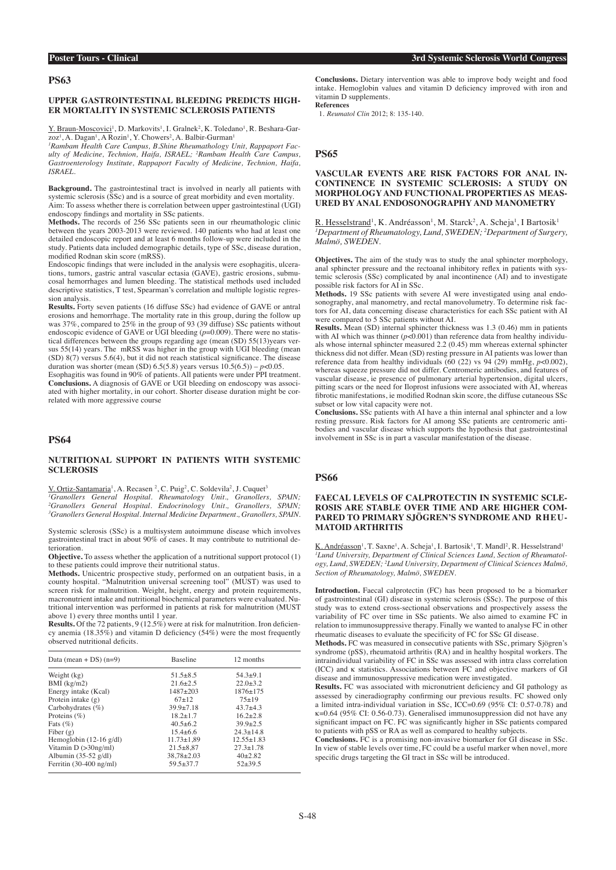### **UPPER GASTROINTESTINAL BLEEDING PREDICTS HIGH-ER MORTALITY IN SYSTEMIC SCLEROSIS PATIENTS**

Y. Braun-Moscovici<sup>1</sup>, D. Markovits<sup>1</sup>, I. Gralnek<sup>2</sup>, K. Toledano<sup>1</sup>, R. Beshara-Garzoz<sup>1</sup>, A. Dagan<sup>1</sup>, A Rozin<sup>1</sup>, Y. Chowers<sup>2</sup>, A. Balbir-Gurman<sup>1</sup>

*1 Rambam Health Care Campus, B.Shine Rheumathology Unit, Rappaport Faculty of Medicine, Technion, Haifa, ISRAEL; 2 Rambam Health Care Campus, Gastroenterology Institute, Rappaport Faculty of Medicine, Technion, Haifa, ISRAEL.*

**Background.** The gastrointestinal tract is involved in nearly all patients with systemic sclerosis  $(SSc)$  and is a source of great morbidity and even mortality. Aim: To assess whether there is correlation between upper gastrointestinal (UGI) endoscopy findings and mortality in SSc patients.

**Methods.** The records of 256 SSc patients seen in our rheumathologic clinic between the years 2003-2013 were reviewed. 140 patients who had at least one detailed endoscopic report and at least 6 months follow-up were included in the study. Patients data included demographic details, type of SSc, disease duration, modified Rodnan skin score (mRSS).

Endoscopic findings that were included in the analysis were esophagitis, ulcerations, tumors, gastric antral vascular ectasia (GAVE), gastric erosions, submucosal hemorrhages and lumen bleeding. The statistical methods used included descriptive statistics, T test, Spearman's correlation and multiple logistic regression analysis.

**Results.** Forty seven patients (16 diffuse SSc) had evidence of GAVE or antral erosions and hemorrhage. The mortality rate in this group, during the follow up was 37%, compared to 25% in the group of 93 (39 diffuse) SSc patients without endoscopic evidence of GAVE or UGI bleeding (*p*=0.009). There were no statistical differences between the groups regarding age (mean (SD) 55(13)years versus 55(14) years. The mRSS was higher in the group with UGI bleeding (mean (SD) 8(7) versus 5.6(4), but it did not reach statistical significance. The disease duration was shorter (mean (SD) 6.5(5.8) years versus 10.5(6.5)) – *p*<0.05.

Esophagitis was found in 90% of patients. All patients were under PPI treatment. **Conclusions.** A diagnosis of GAVE or UGI bleeding on endoscopy was associated with higher mortality, in our cohort. Shorter disease duration might be correlated with more aggressive course

### **PS64**

### **NUTRITIONAL SUPPORT IN PATIENTS WITH SYSTEMIC SCLEROSIS**

V. Ortiz-Santamaria<sup>1</sup>, A. Recasen <sup>2</sup>, C. Puig<sup>2</sup>, C. Soldevila<sup>2</sup>, J. Cuquet<sup>3</sup> *1 Granollers General Hospital. Rheumatology Unit., Granollers, SPAIN; 2 Granollers General Hospital. Endocrinology Unit., Granollers, SPAIN; 3 Granollers General Hospital. Internal Medicine Department., Granollers, SPAIN.*

Systemic sclerosis (SSc) is a multisystem autoimmune disease which involves gastrointestinal tract in about 90% of cases. It may contribute to nutritional deterioration.

**Objective.** To assess whether the application of a nutritional support protocol (1) to these patients could improve their nutritional status.

**Methods.** Unicentric prospective study, performed on an outpatient basis, in a county hospital. "Malnutrition universal screening tool" (MUST) was used to screen risk for malnutrition. Weight, height, energy and protein requirements, macronutrient intake and nutritional biochemical parameters were evaluated. Nutritional intervention was performed in patients at risk for malnutrition (MUST above 1) every three months until 1 year.

**Results.** Of the 72 patients, 9 (12.5%) were at risk for malnutrition. Iron deficiency anemia (18.35%) and vitamin D deficiency (54%) were the most frequently observed nutritional deficits.

| Data (mean + DS) $(n=9)$          | <b>Baseline</b>  | 12 months       |
|-----------------------------------|------------------|-----------------|
| Weight (kg)                       | $51.5 \pm 8.5$   | $54.3+9.1$      |
| $BMI$ (kg/m2)                     | $21.6 + 2.5$     | $22.0 \pm 3.2$  |
| Energy intake (Kcal)              | $1487 + 203$     | $1876 \pm 175$  |
| Protein intake $(g)$              | $67+12$          | $75+19$         |
| Carbohydrates $(\%)$              | $39.9 + 7.18$    | $43.7 + 4.3$    |
| Proteins $(\%)$                   | $18.2 \pm 1.7$   | $16.2 + 2.8$    |
| Fats $(\%)$                       | $40.5 + 6.2$     | $39.9 + 2.5$    |
| Fiber $(g)$                       | $15.4 \pm 6.6$   | $24.3 \pm 14.8$ |
| Hemoglobin $(12-16 \text{ g/dl})$ | $11.73 \pm 1.89$ | $12.55 + 1.83$  |
| Vitamin $D$ ( $>$ 30ng/ml)        | $21.5 \pm 8.87$  | $27.3 \pm 1.78$ |
| Albumin $(35-52 \text{ g/dl})$    | $38.78 \pm 2.03$ | $40 + 2.82$     |
| Ferritin $(30-400 \text{ ng/ml})$ | $59.5 + 37.7$    | $52 + 39.5$     |

**Conclusions.** Dietary intervention was able to improve body weight and food intake. Hemoglobin values and vitamin D deficiency improved with iron and vitamin D supplements. **References**

1. *Reumatol Clin* 2012; 8: 135-140.

# **PS65**

### **VASCULAR EVENTS ARE RISK FACTORS FOR ANAL IN-CONTINENCE IN SYSTEMIC SCLEROSIS: A STUDY ON MORPHOLOGY AND FUNCTIONAL PROPERTIES AS MEAS-URED BY ANAL ENDOSONOGRAPHY AND MANOMETRY**

R. Hesselstrand<sup>1</sup>, K. Andréasson<sup>1</sup>, M. Starck<sup>2</sup>, A. Scheja<sup>1</sup>, I Bartosik<sup>1</sup> *1 Department of Rheumatology, Lund, SWEDEN; 2 Department of Surgery, Malmö, SWEDEN.*

**Objectives.** The aim of the study was to study the anal sphincter morphology, anal sphincter pressure and the rectoanal inhibitory reflex in patients with systemic sclerosis (SSc) complicated by anal incontinence (AI) and to investigate possible risk factors for AI in SSc.

**Methods.** 19 SSc patients with severe AI were investigated using anal endosonography, anal manometry, and rectal manovolumetry. To determine risk factors for AI, data concerning disease characteristics for each SSc patient with AI were compared to 5 SSc patients without AI.

**Results.** Mean (SD) internal sphincter thickness was 1.3 (0.46) mm in patients with AI which was thinner ( $p < 0.001$ ) than reference data from healthy individuals whose internal sphincter measured 2.2 (0.45) mm whereas external sphincter thickness did not differ. Mean (SD) resting pressure in AI patients was lower than reference data from healthy individuals  $(60 (22)$  vs 94  $(29)$  mmHg,  $p<0.002$ ), whereas squeeze pressure did not differ. Centromeric antibodies, and features of vascular disease, ie presence of pulmonary arterial hypertension, digital ulcers, pitting scars or the need for Iloprost infusions were associated with AI, whereas fibrotic manifestations, ie modified Rodnan skin score, the diffuse cutaneous SSc subset or low vital capacity were not.

**Conclusions.** SSc patients with AI have a thin internal anal sphincter and a low resting pressure. Risk factors for AI among SSc patients are centromeric antibodies and vascular disease which supports the hypothesis that gastrointestinal involvement in SSc is in part a vascular manifestation of the disease.

### **PS66**

### **FAECAL LEVELS OF CALPROTECTIN IN SYSTEMIC SCLE-ROSIS ARE STABLE OVER TIME AND ARE HIGHER COM-PARED TO PRIMARY SJÖGREN'S SYNDROME AND RHEU-MATOID ARTHRITIS**

K. Andréasson<sup>1</sup>, T. Saxne<sup>1</sup>, A. Scheja<sup>1</sup>, I. Bartosik<sup>1</sup>, T. Mandl<sup>2</sup>, R. Hesselstrand<sup>1</sup> *1 Lund University, Department of Clinical Sciences Lund, Section of Rheumatol*ogy, Lund, SWEDEN; <sup>2</sup> Lund University, Department of Clinical Sciences Malmö, *Section of Rheumatology, Malmö, SWEDEN.*

**Introduction.** Faecal calprotectin (FC) has been proposed to be a biomarker of gastrointestinal (GI) disease in systemic sclerosis (SSc). The purpose of this study was to extend cross-sectional observations and prospectively assess the variability of FC over time in SSc patients. We also aimed to examine FC in relation to immunosuppressive therapy. Finally we wanted to analyse FC in other rheumatic diseases to evaluate the specificity of FC for SSc GI disease.

**Methods.** FC was measured in consecutive patients with SSc, primary Sjögren's syndrome (pSS), rheumatoid arthritis (RA) and in healthy hospital workers. The intraindividual variability of FC in SSc was assessed with intra class correlation (ICC) and κ statistics. Associations between FC and objective markers of GI disease and immunosuppressive medication were investigated.

**Results.** FC was associated with micronutrient deficiency and GI pathology as assessed by cineradiography confirming our previous results. FC showed only a limited intra-individual variation in SSc, ICC=0.69 (95% CI: 0.57-0.78) and κ=0.64 (95% CI: 0.56-0.73). Generalised immunosuppression did not have any significant impact on FC. FC was significantly higher in SSc patients compared to patients with pSS or RA as well as compared to healthy subjects.

**Conclusions.** FC is a promising non-invasive biomarker for GI disease in SSc. In view of stable levels over time, FC could be a useful marker when novel, more specific drugs targeting the GI tract in SSc will be introduced.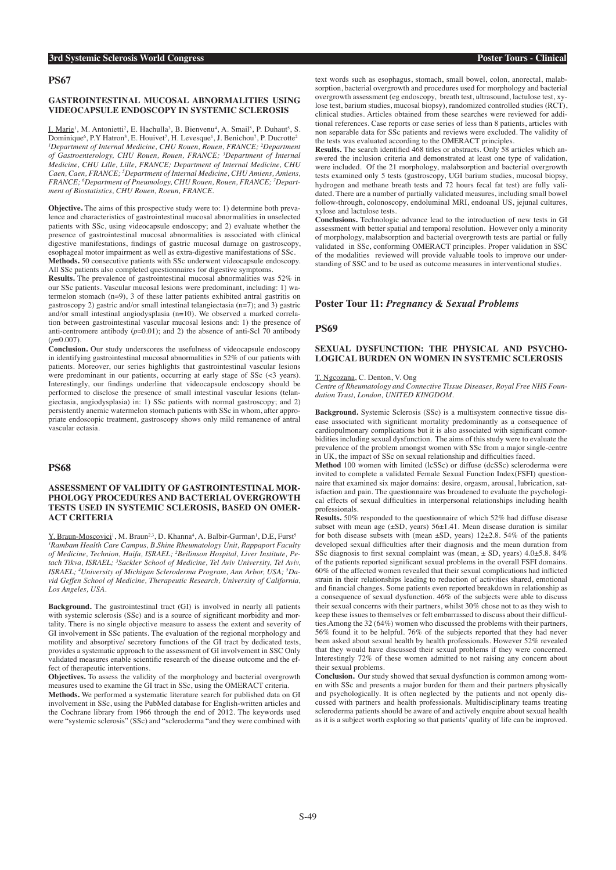### **GASTROINTESTINAL MUCOSAL ABNORMALITIES USING VIDEOCAPSULE ENDOSCOPY IN SYSTEMIC SCLEROSIS**

I. Marie<sup>1</sup>, M. Antonietti<sup>2</sup>, E. Hachulla<sup>3</sup>, B. Bienvenu<sup>4</sup>, A. Smail<sup>5</sup>, P. Duhaut<sup>5</sup>, S. Dominique<sup>6</sup>, P.Y Hatron<sup>3</sup>, E. Houivet<sup>7</sup>, H. Levesque<sup>1</sup>, J. Benichou<sup>7</sup>, P. Ducrotte<sup>2</sup> <sup>1</sup>Department of Internal Medicine, CHU Rouen, Rouen, FRANCE; <sup>2</sup>Department *of Gastroenterology, CHU Rouen, Rouen, FRANCE; 3 Department of Internal Medicine, CHU Lille, Lille, FRANCE; Department of Internal Medicine, CHU Caen, Caen, FRANCE; 5 Department of Internal Medicine, CHU Amiens, Amiens, FRANCE; 6 Department of Pneumology, CHU Rouen, Rouen, FRANCE; 7 Department of Biostatistics, CHU Rouen, Roeun, FRANCE.*

**Objective.** The aims of this prospective study were to: 1) determine both prevalence and characteristics of gastrointestinal mucosal abnormalities in unselected patients with SSc, using videocapsule endoscopy; and 2) evaluate whether the presence of gastrointestinal mucosal abnormalities is associated with clinical digestive manifestations, findings of gastric mucosal damage on gastroscopy, esophageal motor impairment as well as extra-digestive manifestations of SSc. **Methods.** 50 consecutive patients with SSc underwent videocapsule endoscopy. All SSc patients also completed questionnaires for digestive symptoms.

**Results.** The prevalence of gastrointestinal mucosal abnormalities was 52% in our SSc patients. Vascular mucosal lesions were predominant, including: 1) watermelon stomach (n=9), 3 of these latter patients exhibited antral gastritis on gastroscopy 2) gastric and/or small intestinal telangiectasia (n=7); and 3) gastric and/or small intestinal angiodysplasia  $(n=10)$ . We observed a marked correlation between gastrointestinal vascular mucosal lesions and: 1) the presence of anti-centromere antibody  $(p=0.01)$ ; and 2) the absence of anti-Scl  $70$  antibody  $(n-0.007)$ 

**Conclusion.** Our study underscores the usefulness of videocapsule endoscopy in identifying gastrointestinal mucosal abnormalities in 52% of our patients with patients. Moreover, our series highlights that gastrointestinal vascular lesions were predominant in our patients, occurring at early stage of SSc (<3 years). Interestingly, our findings underline that videocapsule endoscopy should be performed to disclose the presence of small intestinal vascular lesions (telangiectasia, angiodysplasia) in: 1) SSc patients with normal gastroscopy; and 2) persistently anemic watermelon stomach patients with SSc in whom, after appropriate endoscopic treatment, gastroscopy shows only mild remanence of antral vascular ectasia.

# **PS68**

### **ASSESSMENT OF VALIDITY OF GASTROINTESTINAL MOR-PHOLOGY PROCEDURES AND BACTERIAL OVERGROWTH TESTS USED IN SYSTEMIC SCLEROSIS, BASED ON OMER-ACT CRITERIA**

Y. Braun-Moscovici<sup>1</sup>, M. Braun<sup>2,3</sup>, D. Khanna<sup>4</sup>, A. Balbir-Gurman<sup>1</sup>, D.E, Furst<sup>5</sup> *1 Rambam Health Care Campus, B.Shine Rheumatology Unit, Rappaport Faculty of Medicine, Technion, Haifa, ISRAEL; 2 Beilinson Hospital, Liver Institute, Petach Tikva, ISRAEL; 3 Sackler School of Medicine, Tel Aviv University, Tel Aviv, ISRAEL; 4 University of Michigan Scleroderma Program, Ann Arbor, USA; 5 David Geffen School of Medicine, Therapeutic Research, University of California, Los Angeles, USA.*

**Background.** The gastrointestinal tract (GI) is involved in nearly all patients with systemic sclerosis (SSc) and is a source of significant morbidity and mortality. There is no single objective measure to assess the extent and severity of GI involvement in SSc patients. The evaluation of the regional morphology and motility and absorptive/ secretory functions of the GI tract by dedicated tests, provides a systematic approach to the assessment of GI involvement in SSC Only validated measures enable scientific research of the disease outcome and the effect of therapeutic interventions.

**Objectives.** To assess the validity of the morphology and bacterial overgrowth measures used to examine the GI tract in SSc, using the OMERACT criteria.

**Methods.** We performed a systematic literature search for published data on GI involvement in SSc, using the PubMed database for English-written articles and the Cochrane library from 1966 through the end of 2012. The keywords used were "systemic sclerosis" (SSc) and "scleroderma "and they were combined with text words such as esophagus, stomach, small bowel, colon, anorectal, malabsorption, bacterial overgrowth and procedures used for morphology and bacterial overgrowth assessment (eg endoscopy, breath test, ultrasound, lactulose test, xylose test, barium studies, mucosal biopsy), randomized controlled studies (RCT), clinical studies. Articles obtained from these searches were reviewed for additional references. Case reports or case series of less than 8 patients, articles with non separable data for SSc patients and reviews were excluded. The validity of the tests was evaluated according to the OMERACT principles.

**Results.** The search identified 468 titles or abstracts. Only 58 articles which answered the inclusion criteria and demonstrated at least one type of validation, were included. Of the 21 morphology, malabsorption and bacterial overgrowth tests examined only 5 tests (gastroscopy, UGI barium studies, mucosal biopsy, hydrogen and methane breath tests and 72 hours fecal fat test) are fully validated. There are a number of partially validated measures, including small bowel follow-through, colonoscopy, endoluminal MRI, endoanal US, jejunal cultures, xylose and lactulose tests.

**Conclusions.** Technologic advance lead to the introduction of new tests in GI assessment with better spatial and temporal resolution. However only a minority of morphology, malabsorption and bacterial overgrowth tests are partial or fully validated in SSc, conforming OMERACT principles. Proper validation in SSC of the modalities reviewed will provide valuable tools to improve our understanding of SSC and to be used as outcome measures in interventional studies.

### **Poster Tour 11:** *Pregnancy & Sexual Problems*

#### **PS69**

### **SEXUAL DYSFUNCTION: THE PHYSICAL AND PSYCHO-LOGICAL BURDEN ON WOMEN IN SYSTEMIC SCLEROSIS**

T. Ngcozana, C. Denton, V. Ong

*Centre of Rheumatology and Connective Tissue Diseases, Royal Free NHS Foundation Trust, London, UNITED KINGDOM.*

**Background.** Systemic Sclerosis (SSc) is a multisystem connective tissue disease associated with significant mortality predominantly as a consequence of cardiopulmonary complications but it is also associated with significant comorbidities including sexual dysfunction. The aims of this study were to evaluate the prevalence of the problem amongst women with SSc from a major single-centre in UK, the impact of SSc on sexual relationship and difficulties faced.

**Method** 100 women with limited (lcSSc) or diffuse (dcSSc) scleroderma were invited to complete a validated Female Sexual Function Index(FSFI) questionnaire that examined six major domains: desire, orgasm, arousal, lubrication, satisfaction and pain. The questionnaire was broadened to evaluate the psychological effects of sexual difficulties in interpersonal relationships including health professionals.

**Results.** 50% responded to the questionnaire of which 52% had diffuse disease subset with mean age  $(\pm SD, \text{years})$  56 $\pm 1.41$ . Mean disease duration is similar for both disease subsets with (mean ±SD, years) 12±2.8. 54% of the patients developed sexual difficulties after their diagnosis and the mean duration from SSc diagnosis to first sexual complaint was (mean,  $\pm$  SD, years) 4.0 $\pm$ 5.8. 84% of the patients reported significant sexual problems in the overall FSFI domains. 60% of the affected women revealed that their sexual complications had inflicted strain in their relationships leading to reduction of activities shared, emotional and financial changes. Some patients even reported breakdown in relationship as a consequence of sexual dysfunction. 46% of the subjects were able to discuss their sexual concerns with their partners, whilst 30% chose not to as they wish to keep these issues to themselves or felt embarrassed to discuss about their difficulties.Among the 32 (64%) women who discussed the problems with their partners, 56% found it to be helpful. 76% of the subjects reported that they had never been asked about sexual health by health professionals. However 52% revealed that they would have discussed their sexual problems if they were concerned. Interestingly 72% of these women admitted to not raising any concern about their sexual problems.

**Conclusion.** Our study showed that sexual dysfunction is common among women with SSc and presents a major burden for them and their partners physically and psychologically. It is often neglected by the patients and not openly discussed with partners and health professionals. Multidisciplinary teams treating scleroderma patients should be aware of and actively enquire about sexual health as it is a subject worth exploring so that patients' quality of life can be improved.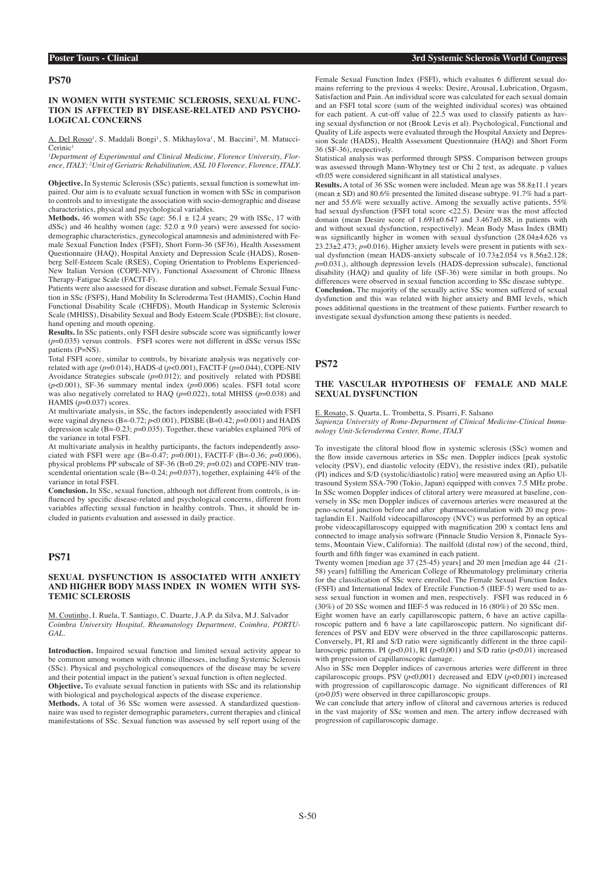### **IN WOMEN WITH SYSTEMIC SCLEROSIS, SEXUAL FUNC-TION IS AFFECTED BY DISEASE-RELATED AND PSYCHO-LOGICAL CONCERNS**

A. Del Rosso<sup>1</sup>, S. Maddali Bongi<sup>1</sup>, S. Mikhaylova<sup>1</sup>, M. Baccini<sup>2</sup>, M. Matucci- $Cerinic<sup>1</sup>$ 

*1 Department of Experimental and Clinical Medicine, Florence University, Florence, ITALY; 2 Unit of Geriatric Rehabilitation, ASL 10 Florence, Florence, ITALY.*

**Objective.** In Systemic Sclerosis (SSc) patients, sexual function is somewhat impaired. Our aim is to evaluate sexual function in women with SSc in comparison to controls and to investigate the association with socio-demographic and disease characteristics, physical and psychological variables.

**Methods.** 46 women with  $\hat{SSc}$  (age:  $\overline{56.1 \pm 12.4}$  years; 29 with ISSc, 17 with dSSc) and 46 healthy women (age:  $52.0 \pm 9.0$  years) were assessed for sociodemographic characteristics, gynecological anamnesis and administered with Female Sexual Function Index (FSFI), Short Form-36 (SF36), Health Assessment Questionnaire (HAQ), Hospital Anxiety and Depression Scale (HADS), Rosenberg Self-Esteem Scale (RSES), Coping Orientation to Problems Experienced-New Italian Version (COPE-NIV), Functional Assessment of Chronic Illness Therapy-Fatigue Scale (FACIT-F).

Patients were also assessed for disease duration and subset, Female Sexual Function in SSc (FSFS), Hand Mobility In Scleroderma Test (HAMIS), Cochin Hand Functional Disability Scale (CHFDS), Mouth Handicap in Systemic Sclerosis Scale (MHISS), Disability Sexual and Body Esteem Scale (PDSBE); fist closure, hand opening and mouth opening.

**Results.** In SSc patients, only FSFI desire subscale score was significantly lower (*p*=0.035) versus controls. FSFI scores were not different in dSSc versus lSSc patients (P=NS).

Total FSFI score, similar to controls, by bivariate analysis was negatively correlated with age (*p*=0.014), HADS-d (*p*<0.001), FACIT-F (*p*=0.044), COPE-NIV Avoidance Strategies subscale  $(p=0.012)$ ; and positively related with PDSBE  $(p<0.001)$ , SF-36 summary mental index  $(p=0.006)$  scales. FSFI total score was also negatively correlated to HAQ ( $p=0.022$ ), total MHISS ( $p=0.038$ ) and HAMIS  $(p=0.037)$  scores.

At multivariate analysis, in SSc, the factors independently associated with FSFI were vaginal dryness (B=-0.72; *p*<0.001), PDSBE (B=0.42; *p*=0.001) and HADS depression scale (B=-0.23; *p*=0.035). Together, these variables explained 70% of the variance in total FSFI.

At multivariate analysis in healthy participants, the factors independently associated with FSFI were age (B=-0.47; *p*=0.001), FACIT-F (B=-0.36; *p*=0.006), physical problems PP subscale of SF-36 (B=0.29; *p*=0.02) and COPE-NIV transcendental orientation scale (B=-0.24;  $p=0.037$ ), together, explaining 44% of the variance in total FSFI.

**Conclusion.** In SSc, sexual function, although not different from controls, is influenced by specific disease-related and psychological concerns, different from variables affecting sexual function in healthy controls. Thus, it should be included in patients evaluation and assessed in daily practice.

### **PS71**

### **SEXUAL DYSFUNCTION IS ASSOCIATED WITH ANXIETY AND HIGHER BODY MASS INDEX IN WOMEN WITH SYS-TEMIC SCLEROSIS**

M. Coutinho, I. Ruela, T. Santiago, C. Duarte, J.A.P. da Silva, M.J. Salvador *Coimbra University Hospital, Rheumatology Department, Coimbra, PORTU-GAL.*

**Introduction.** Impaired sexual function and limited sexual activity appear to be common among women with chronic illnesses, including Systemic Sclerosis (SSc). Physical and psychological consequences of the disease may be severe and their potential impact in the patient's sexual function is often neglected.

**Objective.** To evaluate sexual function in patients with SSc and its relationship with biological and psychological aspects of the disease experience.

**Methods.** A total of 36 SSc women were assessed. A standardized questionnaire was used to register demographic parameters, current therapies and clinical manifestations of SSc. Sexual function was assessed by self report using of the Female Sexual Function Index (FSFI), which evaluates 6 different sexual domains referring to the previous 4 weeks: Desire, Arousal, Lubrication, Orgasm, Satisfaction and Pain. An individual score was calculated for each sexual domain and an FSFI total score (sum of the weighted individual scores) was obtained for each patient. A cut-off value of 22.5 was used to classify patients as having sexual dysfunction or not (Brook Levis et al). Psychological, Functional and Quality of Life aspects were evaluated through the Hospital Anxiety and Depression Scale (HADS), Health Assessment Questionnaire (HAQ) and Short Form 36 (SF-36), respectively.

Statistical analysis was performed through SPSS. Comparison between groups was assessed through Mann-Whytney test or Chi 2 test, as adequate. p values <0.05 were considered significant in all statistical analyses.

**Results.** A total of 36 SSc women were included. Mean age was 58.8±11.1 years (mean  $\pm$  SD) and 80.6% presented the limited disease subtype. 91.7% had a partner and 55.6% were sexually active. Among the sexually active patients, 55% had sexual dysfunction (FSFI total score <22.5). Desire was the most affected domain (mean Desire score of 1.691±0.647 and 3.467±0.88, in patients with and without sexual dysfunction, respectively). Mean Body Mass Index (BMI) was significantly higher in women with sexual dysfunction (28.04±4.626 vs  $23.23\pm2.473$ ;  $p=0.016$ ). Higher anxiety levels were present in patients with sexual dysfunction (mean HADS-anxiety subscale of  $10.73 \pm 2.054$  vs  $8.56 \pm 2.128$ ; *p*=0.031,), although depression levels (HADS-depression subscale), functional disability (HAQ) and quality of life (SF-36) were similar in both groups. No differences were observed in sexual function according to SSc disease subtype. **Conclusion.** The majority of the sexually active SSc women suffered of sexual dysfunction and this was related with higher anxiety and BMI levels, which poses additional questions in the treatment of these patients. Further research to

#### **PS72**

### **THE VASCULAR HYPOTHESIS OF FEMALE AND MALE SEXUAL DYSFUNCTION**

E. Rosato, S. Quarta, L. Trombetta, S. Pisarri, F. Salsano *Sapienza University of Rome-Department of Clinical Medicine-Clinical Immu-*

*nology Unit-Scleroderma Center, Rome, ITALY*

investigate sexual dysfunction among these patients is needed.

To investigate the clitoral blood flow in systemic sclerosis (SSc) women and the flow inside cavernous arteries in SSc men. Doppler indices [peak systolic velocity (PSV), end diastolic velocity (EDV), the resistive index (RI), pulsatile (PI) indices and S/D (systolic/diastolic) ratio] were measured using an Aplio Ultrasound System SSA-790 (Tokio, Japan) equipped with convex 7.5 MHz probe. In SSc women Doppler indices of clitoral artery were measured at baseline, conversely in SSc men Doppler indices of cavernous arteries were measured at the peno-scrotal junction before and after pharmacostimulation with 20 mcg prostaglandin E1. Nailfold videocapillaroscopy (NVC) was performed by an optical probe videocapillaroscopy equipped with magnification 200 x contact lens and connected to image analysis software (Pinnacle Studio Version 8, Pinnacle Systems, Mountain View, California). The nailfold (distal row) of the second, third, fourth and fifth finger was examined in each patient.

Twenty women [median age 37 (25-45) years] and 20 men [median age 44 (21- 58) years] fulfilling the American College of Rheumatology preliminary criteria for the classification of SSc were enrolled. The Female Sexual Function Index (FSFI) and International Index of Erectile Function-5 (IIEF-5) were used to assess sexual function in women and men, respectively. FSFI was reduced in 6  $(30\%)$  of 20 SSc women and IIEF-5 was reduced in 16  $(80\%)$  of 20 SSc men.

Eight women have an early capillaroscopic pattern, 6 have an active capillaroscopic pattern and 6 have a late capillaroscopic pattern. No significant differences of PSV and EDV were observed in the three capillaroscopic patterns. Conversely, PI, RI and S/D ratio were significantly different in the three capillaroscopic patterns. PI ( $p$ <0,01), RI ( $p$ <0,001) and S/D ratio ( $p$ <0,01) increased with progression of capillaroscopic damage.

Also in SSc men Doppler indices of cavernous arteries were different in three capilaroscopic groups. PSV ( $p$ <0,001) decreased and EDV ( $p$ <0,001) increased with progression of capillaroscopic damage. No significant differences of RI  $(p>0.05)$  were observed in three capillaroscopic groups.

We can conclude that artery inflow of clitoral and cavernous arteries is reduced in the vast majority of SSc women and men. The artery inflow decreased with progression of capillaroscopic damage.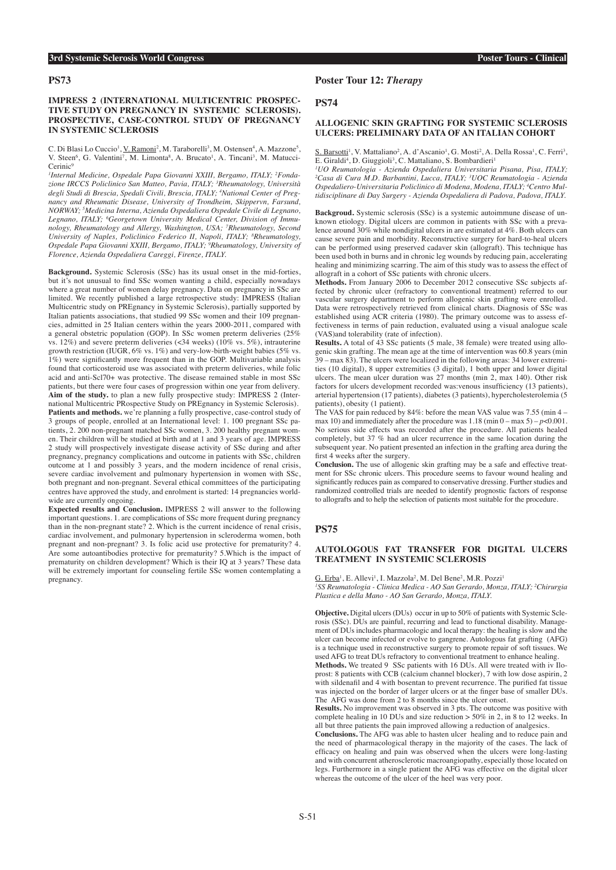### **IMPRESS 2 (INTERNATIONAL MULTICENTRIC PROSPEC-TIVE STUDY ON PREGNANCY IN SYSTEMIC SCLEROSIS). PROSPECTIVE, CASE-CONTROL STUDY OF PREGNANCY IN SYSTEMIC SCLEROSIS**

C. Di Blasi Lo Cuccio<sup>1</sup>, V. Ramoni<sup>2</sup>, M. Taraborelli<sup>3</sup>, M. Ostensen<sup>4</sup>, A. Mazzone<sup>5</sup>, V. Steen<sup>6</sup>, G. Valentini<sup>7</sup>, M. Limonta<sup>8</sup>, A. Brucato<sup>1</sup>, A. Tincani<sup>3</sup>, M. Matucci-Cerinic<sup>9</sup>

*1 Internal Medicine, Ospedale Papa Giovanni XXIII, Bergamo, ITALY; 2 Fondazione IRCCS Policlinico San Matteo, Pavia, ITALY; 3 Rheumatology, Università degli Studi di Brescia, Spedali Civili, Brescia, ITALY; 4 National Center of Pregnancy and Rheumatic Disease, University of Trondheim, Skippervn, Farsund, NORWAY; 5 Medicina Interna, Azienda Ospedaliera Ospedale Civile di Legnano, Legnano, ITALY; 6 Georgetown University Medical Center, Division of Immunology, Rheumatology and Allergy, Washington, USA; 7 Rheumatology, Second University of Naples, Policlinico Federico II, Napoli, ITALY; 8 Rheumatology, Ospedale Papa Giovanni XXIII, Bergamo, ITALY; 9 Rheumatology, University of Florence, Azienda Ospedaliera Careggi, Firenze, ITALY.*

**Background.** Systemic Sclerosis (SSc) has its usual onset in the mid-forties, but it's not unusual to find SSc women wanting a child, especially nowadays where a great number of women delay pregnancy. Data on pregnancy in SSc are limited. We recently published a large retrospective study: IMPRESS (Italian Multicentric study on PREgnancy in Systemic Sclerosis), partially supported by Italian patients associations, that studied 99 SSc women and their 109 pregnancies, admitted in 25 Italian centers within the years 2000-2011, compared with a general obstetric population (GOP). In SSc women preterm deliveries (25% vs. 12%) and severe preterm deliveries (<34 weeks) ( $10\%$  vs. 5%), intrauterine growth restriction (IUGR, 6% vs. 1%) and very-low-birth-weight babies (5% vs. 1%) were significantly more frequent than in the GOP. Multivariable analysis found that corticosteroid use was associated with preterm deliveries, while folic acid and anti-Scl70+ was protective. The disease remained stable in most SSc patients, but there were four cases of progression within one year from delivery. **Aim of the study.** to plan a new fully prospective study: IMPRESS 2 (International Multicentric PRospective Study on PREgnancy in Systemic Sclerosis). Patients and methods. we're planning a fully prospective, case-control study of 3 groups of people, enrolled at an International level: 1. 100 pregnant SSc patients, 2. 200 non-pregnant matched SSc women, 3. 200 healthy pregnant women. Their children will be studied at birth and at 1 and 3 years of age. IMPRESS 2 study will prospectively investigate disease activity of SSc during and after pregnancy, pregnancy complications and outcome in patients with SSc, children outcome at 1 and possibly 3 years, and the modern incidence of renal crisis, severe cardiac involvement and pulmonary hypertension in women with SSc, both pregnant and non-pregnant. Several ethical committees of the participating centres have approved the study, and enrolment is started: 14 pregnancies worldwide are currently ongoing.

**Expected results and Conclusion.** IMPRESS 2 will answer to the following important questions. 1. are complications of SSc more frequent during pregnancy than in the non-pregnant state? 2. Which is the current incidence of renal crisis, cardiac involvement, and pulmonary hypertension in scleroderma women, both pregnant and non-pregnant? 3. Is folic acid use protective for prematurity? 4. Are some autoantibodies protective for prematurity? 5.Which is the impact of prematurity on children development? Which is their IQ at 3 years? These data will be extremely important for counseling fertile SSc women contemplating a pregnancy.

# **Poster Tour 12:** *Therapy*

**PS74**

### **ALLOGENIC SKIN GRAFTING FOR SYSTEMIC SCLEROSIS ULCERS: PRELIMINARY DATA OF AN ITALIAN COHORT**

S. Barsotti<sup>1</sup>, V. Mattaliano<sup>2</sup>, A. d'Ascanio<sup>1</sup>, G. Mosti<sup>2</sup>, A. Della Rossa<sup>1</sup>, C. Ferri<sup>3</sup>, E. Giraldi<sup>4</sup>, D. Giuggioli<sup>3</sup>, C. Mattaliano, S. Bombardieri<sup>1</sup>

*1 UO Reumatologia - Azienda Ospedaliera Universitaria Pisana, Pisa, ITALY; 2 Casa di Cura M.D. Barbantini, Lucca, ITALY; 3 UOC Reumatologia - Azienda Ospedaliero-Universitaria Policlinico di Modena, Modena, ITALY; 4 Centro Multidisciplinare di Day Surgery - Azienda Ospedaliera di Padova, Padova, ITALY.*

**Backgroud.** Systemic sclerosis (SSc) is a systemic autoimmune disease of unknown etiology. Digital ulcers are common in patients with SSc with a prevalence around 30% while nondigital ulcers in are estimated at 4%. Both ulcers can cause severe pain and morbidity. Reconstructive surgery for hard-to-heal ulcers can be performed using preserved cadaver skin (allograft). This technique has been used both in burns and in chronic leg wounds by reducing pain, accelerating healing and minimizing scarring. The aim of this study was to assess the effect of allograft in a cohort of SSc patients with chronic ulcers.

Methods. From January 2006 to December 2012 consecutive SSc subjects affected by chronic ulcer (refractory to conventional treatment) referred to our vascular surgery department to perform allogenic skin grafting were enrolled. Data were retrospectively retrieved from clinical charts. Diagnosis of SSc was established using ACR criteria (1980). The primary outcome was to assess effectiveness in terms of pain reduction, evaluated using a visual analogue scale (VAS)and tolerability (rate of infection).

**Results.** A total of 43 SSc patients (5 male, 38 female) were treated using allogenic skin grafting. The mean age at the time of intervention was 60.8 years (min  $\tilde{39}$  – max  $\tilde{83}$ ). The ulcers were localized in the following areas: 34 lower extremities (10 digital), 8 upper extremities (3 digital), 1 both upper and lower digital ulcers. The mean ulcer duration was 27 months (min 2, max 140). Other risk factors for ulcers development recorded was:venous insufficiency (13 patients), arterial hypertension (17 patients), diabetes (3 patients), hypercholesterolemia (5 patients), obesity (1 patient).

The VAS for pain reduced by 84%: before the mean VAS value was 7.55 (min 4 – max 10) and immediately after the procedure was  $1.18$  (min 0 – max 5) –  $p < 0.001$ . No serious side effects was recorded after the procedure. All patients healed completely, but 37 % had an ulcer recurrence in the same location during the subsequent year. No patient presented an infection in the grafting area during the first 4 weeks after the surgery.

**Conclusion.** The use of allogenic skin grafting may be a safe and effective treatment for SSc chronic ulcers. This procedure seems to favour wound healing and significantly reduces pain as compared to conservative dressing. Further studies and randomized controlled trials are needed to identify prognostic factors of response to allografts and to help the selection of patients most suitable for the procedure.

# **PS75**

# **AUTOLOGOUS FAT TRANSFER FOR DIGITAL ULCERS TREATMENT IN SYSTEMIC SCLEROSIS**

G. Erba<sup>1</sup>, E. Allevi<sup>1</sup>, I. Mazzola<sup>2</sup>, M. Del Bene<sup>2</sup>, M.R. Pozzi<sup>1</sup>

*1 SS Reumatologia - Clinica Medica - AO San Gerardo, Monza, ITALY; 2 Chirurgia Plastica e della Mano - AO San Gerardo, Monza, ITALY.*

**Objective.** Digital ulcers (DUs) occur in up to 50% of patients with Systemic Sclerosis (SSc). DUs are painful, recurring and lead to functional disability. Management of DUs includes pharmacologic and local therapy: the healing is slow and the ulcer can become infected or evolve to gangrene. Autologous fat grafting (AFG) is a technique used in reconstructive surgery to promote repair of soft tissues. We used AFG to treat DUs refractory to conventional treatment to enhance healing.

**Methods.** We treated 9 SSc patients with 16 DUs. All were treated with iv Iloprost: 8 patients with CCB (calcium channel blocker), 7 with low dose aspirin, 2 with sildenafil and 4 with bosentan to prevent recurrence. The purified fat tissue was injected on the border of larger ulcers or at the finger base of smaller DUs. The AFG was done from 2 to 8 months since the ulcer onset.

**Results.** No improvement was observed in 3 pts. The outcome was positive with complete healing in 10 DUs and size reduction > 50% in 2, in 8 to 12 weeks. In all but three patients the pain improved allowing a reduction of analgesics.

**Conclusions.** The AFG was able to hasten ulcer healing and to reduce pain and the need of pharmacological therapy in the majority of the cases. The lack of efficacy on healing and pain was observed when the ulcers were long-lasting and with concurrent atherosclerotic macroangiopathy, especially those located on legs. Furthermore in a single patient the AFG was effective on the digital ulcer whereas the outcome of the ulcer of the heel was very poor.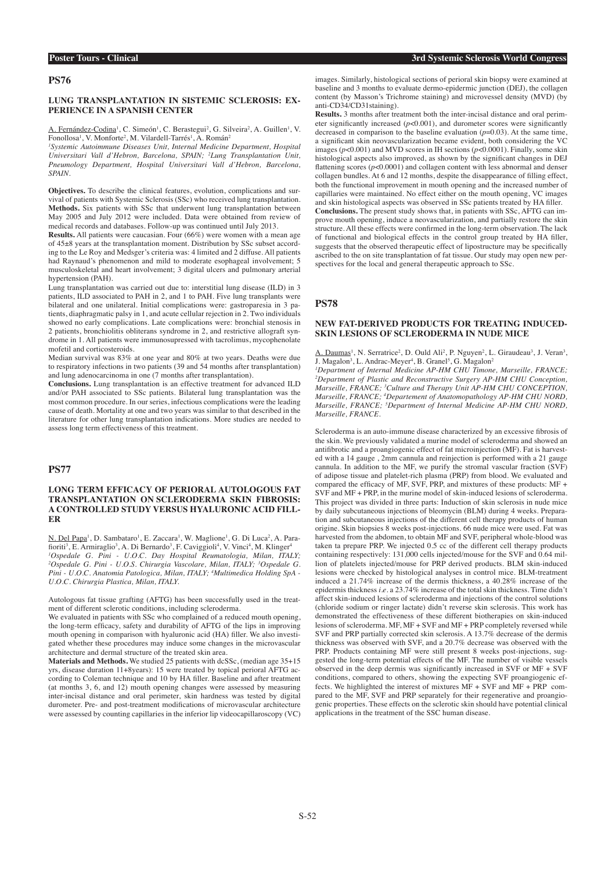### **LUNG TRANSPLANTATION IN SISTEMIC SCLEROSIS: EX-PERIENCE IN A SPANISH CENTER**

A. Fernández-Codina<sup>1</sup>, C. Simeón<sup>1</sup>, C. Berastegui<sup>2</sup>, G. Silveira<sup>2</sup>, A. Guillen<sup>1</sup>, V. Fonollosa<sup>1</sup>, V. Monforte<sup>2</sup>, M. Vilardell-Tarrés<sup>1</sup>, A. Román<sup>2</sup>

<sup>1</sup> Systemic Autoimmune Diseases Unit, Internal Medicine Department, Hospital *Universitari Vall d'Hebron, Barcelona, SPAIN; 2 Lung Transplantation Unit, Pneumology Department, Hospital Universitari Vall d'Hebron, Barcelona, SPAIN.*

**Objectives.** To describe the clinical features, evolution, complications and survival of patients with Systemic Sclerosis (SSc) who received lung transplantation. **Methods.** Six patients with SSc that underwent lung transplantation between May 2005 and July 2012 were included. Data were obtained from review of medical records and databases. Follow-up was continued until July 2013.

**Results.** All patients were caucasian. Four (66%) were women with a mean age of 45±8 years at the transplantation moment. Distribution by SSc subset according to the Le Roy and Medsger's criteria was: 4 limited and 2 diffuse. All patients had Raynaud's phenomenon and mild to moderate esophageal involvement; 5 musculoskeletal and heart involvement; 3 digital ulcers and pulmonary arterial hypertension (PAH).

Lung transplantation was carried out due to: interstitial lung disease (ILD) in 3 patients, ILD associated to PAH in 2, and 1 to PAH. Five lung transplants were bilateral and one unilateral. Initial complications were: gastroparesia in 3 patients, diaphragmatic palsy in 1, and acute cellular rejection in 2. Two individuals showed no early complications. Late complications were: bronchial stenosis in 2 patients, bronchiolitis obliterans syndrome in 2, and restrictive allograft syndrome in 1. All patients were immunosupressed with tacrolimus, mycophenolate mofetil and corticosteroids.

Median survival was 83% at one year and 80% at two years. Deaths were due to respiratory infections in two patients (39 and 54 months after transplantation) and lung adenocarcinoma in one (7 months after transplantation).

**Conclusions.** Lung transplantation is an effective treatment for advanced ILD and/or PAH associated to SSc patients. Bilateral lung transplantation was the most common procedure. In our series, infectious complications were the leading cause of death. Mortality at one and two years was similar to that described in the literature for other lung transplantation indications. More studies are needed to assess long term effectiveness of this treatment.

# **PS77**

### **LONG TERM EFFICACY OF PERIORAL AUTOLOGOUS FAT TRANSPLANTATION ON SCLERODERMA SKIN FIBROSIS: A CONTROLLED STUDY VERSUS HYALURONIC ACID FILL-ER**

N. Del Papa<sup>1</sup>, D. Sambataro<sup>1</sup>, E. Zaccara<sup>1</sup>, W. Maglione<sup>1</sup>, G. Di Luca<sup>2</sup>, A. Parafioriti<sup>3</sup>, E. Armiraglio<sup>3</sup>, A. Di Bernardo<sup>3</sup>, F. Caviggioli<sup>4</sup>, V. Vinci<sup>4</sup>, M. Klinger<sup>4</sup> *1 Ospedale G. Pini - U.O.C. Day Hospital Reumatologia, Milan, ITALY; 2 Ospedale G. Pini - U.O.S. Chirurgia Vascolare, Milan, ITALY; 3 Ospedale G. Pini - U.O.C. Anatomia Patologica, Milan, ITALY; 4 Multimedica Holding SpA -* 

*U.O.C. Chirurgia Plastica, Milan, ITALY.*

Autologous fat tissue grafting (AFTG) has been successfully used in the treatment of different sclerotic conditions, including scleroderma.

We evaluated in patients with SSc who complained of a reduced mouth opening, the long-term efficacy, safety and durability of AFTG of the lips in improving mouth opening in comparison with hyaluronic acid (HA) filler. We also investigated whether these procedures may induce some changes in the microvascular architecture and dermal structure of the treated skin area.

**Materials and Methods.** We studied 25 patients with dcSSc, (median age 35+15 yrs, disease duration 11+8years): 15 were treated by topical perioral AFTG according to Coleman technique and 10 by HA filler. Baseline and after treatment (at months 3, 6, and 12) mouth opening changes were assessed by measuring inter-incisal distance and oral perimeter, skin hardness was tested by digital durometer. Pre- and post-treatment modifications of microvascular architecture were assessed by counting capillaries in the inferior lip videocapillaroscopy (VC)

images. Similarly, histological sections of perioral skin biopsy were examined at baseline and 3 months to evaluate dermo-epidermic junction (DEJ), the collagen content (by Masson's Trichrome staining) and microvessel density (MVD) (by anti-CD34/CD31staining).

**Results.** 3 months after treatment both the inter-incisal distance and oral perimeter significantly increased (*p*<0.001), and durometer scores were significantly decreased in comparison to the baseline evaluation  $(p=0.03)$ . At the same time a significant skin neovascularization became evident, both considering the VC images (*p*<0.001) and MVD scores in IH sections (*p*<0.0001). Finally, some skin histological aspects also improved, as shown by the significant changes in DEJ flattening scores  $(p<0.0001)$  and collagen content with less abnormal and denser collagen bundles. At 6 and 12 months, despite the disappearance of filling effect, both the functional improvement in mouth opening and the increased number of capillaries were maintained. No effect either on the mouth opening, VC images and skin histological aspects was observed in SSc patients treated by HA filler. **Conclusions.** The present study shows that, in patients with SSc, AFTG can improve mouth opening, induce a neovascularization, and partially restore the skin structure. All these effects were confirmed in the long-term observation. The lack of functional and biological effects in the control group treated by HA filler, suggests that the observed therapeutic effect of lipostructure may be specifically ascribed to the on site transplantation of fat tissue. Our study may open new perspectives for the local and general therapeutic approach to SSc.

#### **PS78**

# **NEW FAT-DERIVED PRODUCTS FOR TREATING INDUCED-SKIN LESIONS OF SCLERODERMA IN NUDE MICE**

A. Daumas<sup>1</sup>, N. Serratrice<sup>2</sup>, D. Ould Ali<sup>2</sup>, P. Nguyen<sup>2</sup>, L. Giraudeau<sup>3</sup>, J. Veran<sup>3</sup>, J. Magalon<sup>3</sup>, L. Andrac-Meyer<sup>4</sup>, B. Granel<sup>5</sup>, G. Magalon<sup>2</sup>

<sup>1</sup>Department of Internal Medicine AP-HM CHU Timone, Marseille, FRANCE; <sup>2</sup>Department of Plastic and Reconstructive Surgery AP-HM CHU Conception, *Marseille, FRANCE; 3 Culture and Therapy Unit AP-HM CHU CONCEPTION, Marseille, FRANCE; 4 Departement of Anatomopathology AP-HM CHU NORD, Marseille, FRANCE; 5 Department of Internal Medicine AP-HM CHU NORD, Marseille, FRANCE.*

Scleroderma is an auto-immune disease characterized by an excessive fibrosis of the skin. We previously validated a murine model of scleroderma and showed an antifibrotic and a proangiogenic effect of fat microinjection (MF). Fat is harvested with a 14 gauge , 2mm cannula and reinjection is performed with a 21 gauge cannula. In addition to the MF, we purify the stromal vascular fraction (SVF) of adipose tissue and platelet-rich plasma (PRP) from blood. We evaluated and compared the efficacy of MF, SVF, PRP, and mixtures of these products: MF + SVF and MF + PRP, in the murine model of skin-induced lesions of scleroderma. This project was divided in three parts: Induction of skin sclerosis in nude mice by daily subcutaneous injections of bleomycin (BLM) during 4 weeks. Preparation and subcutaneous injections of the different cell therapy products of human origine. Skin biopsies 8 weeks post-injections. 66 nude mice were used. Fat was harvested from the abdomen, to obtain MF and SVF, peripheral whole-blood was taken ta prepare PRP. We injected 0.5 cc of the different cell therapy products containing respectively:  $131,000$  cells injected/mouse for the SVF and  $\hat{0}$ , 64 million of platelets injected/mouse for PRP derived products. BLM skin-induced lesions were checked by histological analyses in control mice. BLM-treatment induced a 21.74% increase of the dermis thickness, a 40.28% increase of the epidermis thickness *i.e.* a 23.74% increase of the total skin thickness. Time didn't affect skin-induced lesions of scleroderma and injections of the control solutions (chloride sodium or ringer lactate) didn't reverse skin sclerosis. This work has demonstrated the effectiveness of these different biotherapies on skin-induced lesions of scleroderma. MF, MF + SVF and MF + PRP completely reversed while SVF and PRP partially corrected skin sclerosis. A 13.7% decrease of the dermis thickness was observed with SVF, and a 20.7% decrease was observed with the PRP. Products containing MF were still present 8 weeks post-injections, suggested the long-term potential effects of the MF. The number of visible vessels observed in the deep dermis was significantly increased in SVF or MF + SVF conditions, compared to others, showing the expecting SVF proangiogenic effects. We highlighted the interest of mixtures MF + SVF and MF + PRP compared to the MF, SVF and PRP separately for their regenerative and proangiogenic properties. These effects on the sclerotic skin should have potential clinical applications in the treatment of the SSC human disease.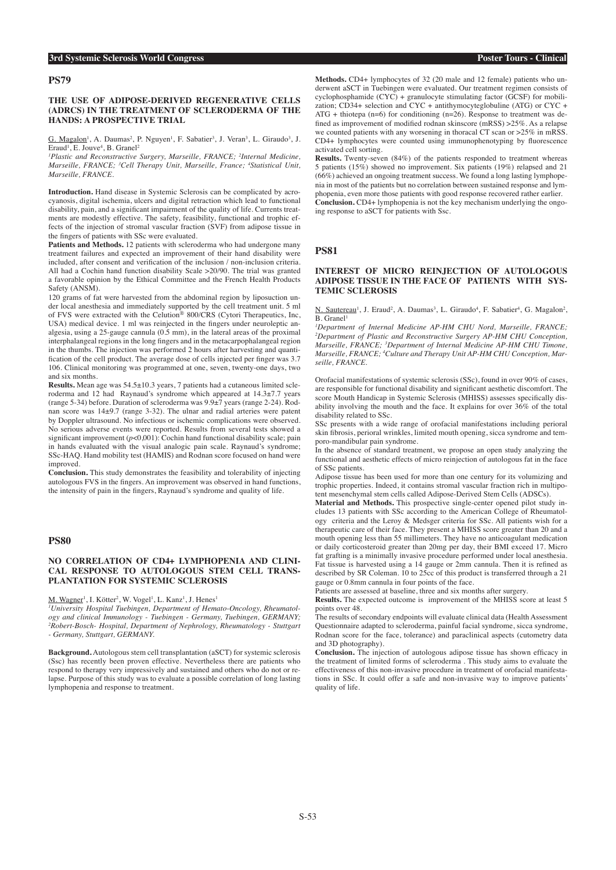### **THE USE OF ADIPOSE-DERIVED REGENERATIVE CELLS (ADRCS) IN THE TREATMENT OF SCLERODERMA OF THE HANDS: A PROSPECTIVE TRIAL**

G. Magalon<sup>1</sup>, A. Daumas<sup>2</sup>, P. Nguyen<sup>1</sup>, F. Sabatier<sup>3</sup>, J. Veran<sup>3</sup>, L. Giraudo<sup>3</sup>, J. Eraud<sup>1</sup>, E. Jouve<sup>4</sup>, B. Granel<sup>2</sup>

*1 Plastic and Reconstructive Surgery, Marseille, FRANCE; 2 Internal Medicine, Marseille, FRANCE; 3 Cell Therapy Unit, Marseille, France; 4 Statistical Unit, Marseille, FRANCE.*

**Introduction.** Hand disease in Systemic Sclerosis can be complicated by acrocyanosis, digital ischemia, ulcers and digital retraction which lead to functional disability, pain, and a significant impairment of the quality of life. Currents treatments are modestly effective. The safety, feasibility, functional and trophic effects of the injection of stromal vascular fraction (SVF) from adipose tissue in the fingers of patients with SSc were evaluated.

**Patients and Methods.** 12 patients with scleroderma who had undergone many treatment failures and expected an improvement of their hand disability were included, after consent and verification of the inclusion / non-inclusion criteria. All had a Cochin hand function disability Scale >20/90. The trial was granted a favorable opinion by the Ethical Committee and the French Health Products Safety (ANSM).

120 grams of fat were harvested from the abdominal region by liposuction under local anesthesia and immediately supported by the cell treatment unit. 5 ml of FVS were extracted with the Celution® 800/CRS (Cytori Therapeutics, Inc, USA) medical device. 1 ml was reinjected in the fingers under neuroleptic analgesia, using a 25-gauge cannula (0.5 mm), in the lateral areas of the proximal interphalangeal regions in the long fingers and in the metacarpophalangeal region in the thumbs. The injection was performed 2 hours after harvesting and quantification of the cell product. The average dose of cells injected per finger was 3.7 106. Clinical monitoring was programmed at one, seven, twenty-one days, two and six months.

**Results.** Mean age was 54.5±10.3 years, 7 patients had a cutaneous limited scleroderma and 12 had Raynaud's syndrome which appeared at 14.3±7.7 years (range 5-34) before. Duration of scleroderma was  $9.9\pm 7$  years (range 2-24). Rodnan score was 14±9.7 (range 3-32). The ulnar and radial arteries were patent by Doppler ultrasound. No infectious or ischemic complications were observed. No serious adverse events were reported. Results from several tests showed a significant improvement  $(p<0,001)$ : Cochin hand functional disability scale; pain in hands evaluated with the visual analogic pain scale. Raynaud's syndrome; SSc-HAQ. Hand mobility test (HAMIS) and Rodnan score focused on hand were improved.

**Conclusion.** This study demonstrates the feasibility and tolerability of injecting autologous FVS in the fingers. An improvement was observed in hand functions, the intensity of pain in the fingers, Raynaud's syndrome and quality of life.

### **PS80**

### **NO CORRELATION OF CD4+ LYMPHOPENIA AND CLINI-CAL RESPONSE TO AUTOLOGOUS STEM CELL TRANS-PLANTATION FOR SYSTEMIC SCLEROSIS**

#### M. Wagner<sup>1</sup>, I. Kötter<sup>2</sup>, W. Vogel<sup>1</sup>, L. Kanz<sup>1</sup>, J. Henes<sup>1</sup>

*1 University Hospital Tuebingen, Department of Hemato-Oncology, Rheumatology and clinical Immunology - Tuebingen - Germany, Tuebingen, GERMANY;*  <sup>2</sup> Robert-Bosch- Hospital, Department of Nephrology, Rheumatology - Stuttgart *- Germany, Stuttgart, GERMANY.*

**Background.** Autologous stem cell transplantation (aSCT) for systemic sclerosis (Ssc) has recently been proven effective. Nevertheless there are patients who respond to therapy very impressively and sustained and others who do not or relapse. Purpose of this study was to evaluate a possible correlation of long lasting lymphopenia and response to treatment.

**Methods.** CD4+ lymphocytes of 32 (20 male and 12 female) patients who underwent aSCT in Tuebingen were evaluated. Our treatment regimen consists of cyclophosphamide  $(CYC)$  + granulocyte stimulating factor (GCSF) for mobilization; CD34+ selection and CYC + antithymocyteglobuline (ATG) or CYC + ATG + thiotepa (n=6) for conditioning (n=26). Response to treatment was defined as improvement of modified rodnan skinscore (mRSS) >25%. As a relapse we counted patients with any worsening in thoracal CT scan or >25% in mRSS. CD4+ lymphocytes were counted using immunophenotyping by fluorescence activated cell sorting.

**Results.** Twenty-seven (84%) of the patients responded to treatment whereas 5 patients (15%) showed no improvement. Six patients (19%) relapsed and 21 (66%) achieved an ongoing treatment success. We found a long lasting lymphopenia in most of the patients but no correlation between sustained response and lymphopenia, even more those patients with good response recovered rather earlier. **Conclusion.** CD4+ lymphopenia is not the key mechanism underlying the ongoing response to aSCT for patients with Ssc.

#### **PS81**

### **INTEREST OF MICRO REINJECTION OF AUTOLOGOUS ADIPOSE TISSUE IN THE FACE OF PATIENTS WITH SYS-TEMIC SCLEROSIS**

N. Sautereau<sup>1</sup>, J. Eraud<sup>2</sup>, A. Daumas<sup>3</sup>, L. Giraudo<sup>4</sup>, F. Sabatier<sup>4</sup>, G. Magalon<sup>2</sup>, B. Granel

*1 Department of Internal Medicine AP-HM CHU Nord, Marseille, FRANCE;*  <sup>2</sup>Department of Plastic and Reconstructive Surgery AP-HM CHU Conception, *Marseille, FRANCE; 3 Department of Internal Medicine AP-HM CHU Timone,*  Marseille, FRANCE; <sup>4</sup>Culture and Therapy Unit AP-HM CHU Conception, Mar*seille, FRANCE.*

Orofacial manifestations of systemic sclerosis (SSc), found in over 90% of cases, are responsible for functional disability and significant aesthetic discomfort. The score Mouth Handicap in Systemic Sclerosis (MHISS) assesses specifically disability involving the mouth and the face. It explains for over 36% of the total disability related to SSc.

SSc presents with a wide range of orofacial manifestations including perioral skin fibrosis, perioral wrinkles, limited mouth opening, sicca syndrome and temporo-mandibular pain syndrome.

In the absence of standard treatment, we propose an open study analyzing the functional and aesthetic effects of micro reinjection of autologous fat in the face of SSc patients.

Adipose tissue has been used for more than one century for its volumizing and trophic properties. Indeed, it contains stromal vascular fraction rich in multipotent mesenchymal stem cells called Adipose-Derived Stem Cells (ADSCs).

**Material and Methods.** This prospective single-center opened pilot study includes 13 patients with SSc according to the American College of Rheumatology criteria and the Leroy & Medsger criteria for SSc. All patients wish for a therapeutic care of their face. They present a MHISS score greater than 20 and a mouth opening less than 55 millimeters. They have no anticoagulant medication or daily corticosteroid greater than 20mg per day, their BMI exceed 17. Micro fat grafting is a minimally invasive procedure performed under local anesthesia. Fat tissue is harvested using a 14 gauge or 2mm cannula. Then it is refined as described by SR Coleman. 10 to 25cc of this product is transferred through a 21 gauge or 0.8mm cannula in four points of the face.

Patients are assessed at baseline, three and six months after surgery.

**Results.** The expected outcome is improvement of the MHISS score at least 5 points over 48.

The results of secondary endpoints will evaluate clinical data (Health Assessment Questionnaire adapted to scleroderma, painful facial syndrome, sicca syndrome, Rodnan score for the face, tolerance) and paraclinical aspects (cutometry data and 3D photography).

**Conclusion.** The injection of autologous adipose tissue has shown efficacy in the treatment of limited forms of scleroderma . This study aims to evaluate the effectiveness of this non-invasive procedure in treatment of orofacial manifestations in SSc. It could offer a safe and non-invasive way to improve patients' quality of life.